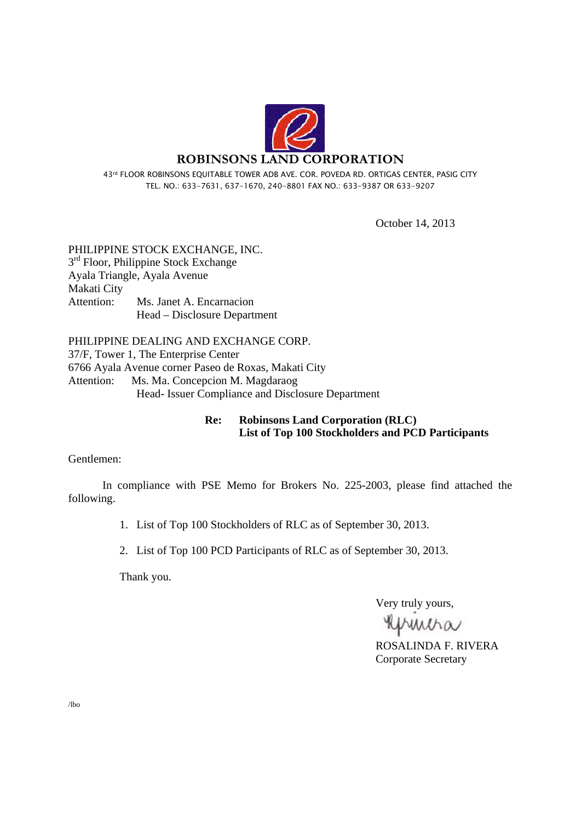

43rd FLOOR ROBINSONS EQUITABLE TOWER ADB AVE. COR. POVEDA RD. ORTIGAS CENTER, PASIG CITY TEL. NO.: 633-7631, 637-1670, 240-8801 FAX NO.: 633-9387 OR 633-9207

October 14, 2013

PHILIPPINE STOCK EXCHANGE, INC.  $3<sup>rd</sup>$  Floor, Philippine Stock Exchange Ayala Triangle, Ayala Avenue Makati City Attention: Ms. Janet A. Encarnacion Head – Disclosure Department

PHILIPPINE DEALING AND EXCHANGE CORP. 37/F, Tower 1, The Enterprise Center 6766 Ayala Avenue corner Paseo de Roxas, Makati City Attention: Ms. Ma. Concepcion M. Magdaraog Head- Issuer Compliance and Disclosure Department

#### **Re: Robinsons Land Corporation (RLC) List of Top 100 Stockholders and PCD Participants**

Gentlemen:

 In compliance with PSE Memo for Brokers No. 225-2003, please find attached the following.

1. List of Top 100 Stockholders of RLC as of September 30, 2013.

2. List of Top 100 PCD Participants of RLC as of September 30, 2013.

Thank you.

Very truly yours,

Khmiha

ROSALINDA F. RIVERA Corporate Secretary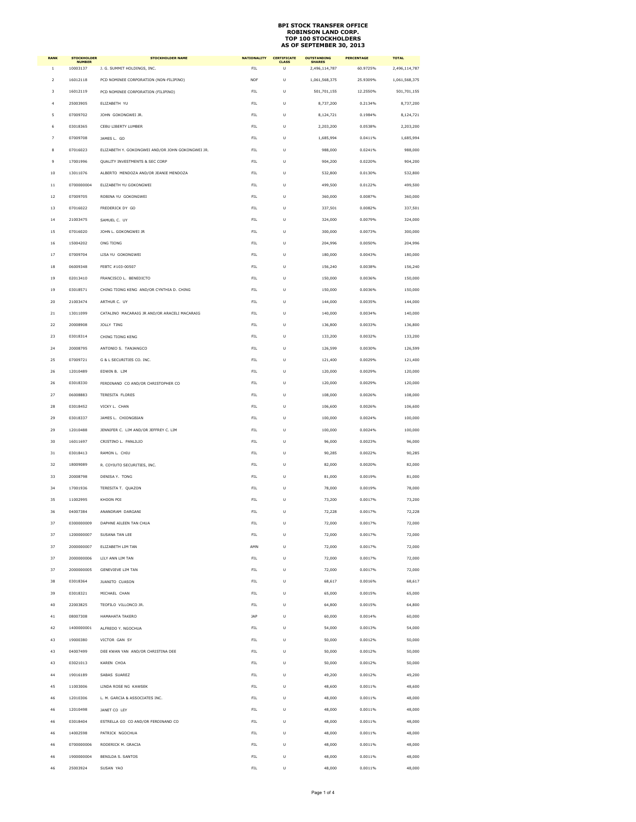| <b>RANK</b>             | STOCKHOLDER<br>NUMBER | <b>STOCKHOLDER NAME</b>                          | <b>NATIONALITY</b> | <b>CERTIFICATE</b> | <b>OUTSTANDING</b><br>SHARES | <b>PERCENTAGE</b> | <b>TOTAL</b>  |
|-------------------------|-----------------------|--------------------------------------------------|--------------------|--------------------|------------------------------|-------------------|---------------|
| 1                       | 10003137              | J. G. SUMMIT HOLDINGS, INC.                      | FIL.               | Ù                  | 2,496,114,787                | 60.9725%          | 2,496,114,787 |
| $\overline{a}$          | 16012118              | PCD NOMINEE CORPORATION (NON-FILIPINO)           | <b>NOF</b>         | U                  | 1,061,568,375                | 25.9309%          | 1,061,568,375 |
| $\overline{\mathbf{3}}$ | 16012119              | PCD NOMINEE CORPORATION (FILIPINO)               | FIL.               | U                  | 501,701,155                  | 12.2550%          | 501,701,155   |
| 4                       | 25003905              | ELIZABETH YU                                     | FIL                | U                  | 8,737,200                    | 0.2134%           | 8,737,200     |
| 5                       | 07009702              | JOHN GOKONGWEI JR.                               | FIL.               | $\cup$             | 8,124,721                    | 0.1984%           | 8,124,721     |
| 6                       | 03018365              | CEBU LIBERTY LUMBER                              | FIL                | U                  | 2,203,200                    | 0.0538%           | 2,203,200     |
| 7                       | 07009708              | JAMES L. GO                                      | FIL.               | $\cup$             | 1,685,994                    | 0.0411%           | 1,685,994     |
| 8                       | 07016023              | ELIZABETH Y. GOKONGWEI AND/OR JOHN GOKONGWEI JR. | FIL                | U                  | 988,000                      | 0.0241%           | 988,000       |
| $\overline{9}$          | 17001996              | QUALITY INVESTMENTS & SEC CORP                   | FIL.               | U                  | 904,200                      | 0.0220%           | 904,200       |
| $10\,$                  | 13011076              | ALBERTO MENDOZA AND/OR JEANIE MENDOZA            | FIL                | U                  | 532,800                      | 0.0130%           | 532,800       |
| 11                      | 0700000004            | ELIZABETH YU GOKONGWEI                           | FIL.               | U                  | 499,500                      | 0.0122%           | 499,500       |
| $12\,$                  | 07009705              | ROBINA YU GOKONGWEI                              | FIL                | U                  | 360,000                      | 0.0087%           | 360,000       |
| 13                      | 07016022              | FREDERICK DY GO                                  | FIL.               | U                  | 337,501                      | 0.0082%           | 337,501       |
| 14                      | 21003475              | SAMUEL C. UY                                     | FIL                | U                  | 324,000                      | 0.0079%           | 324,000       |
| 15                      | 07016020              | JOHN L. GOKONGWEI JR                             | FIL.               | U                  | 300,000                      | 0.0073%           | 300,000       |
| $16\,$                  | 15004202              | ONG TIONG                                        | FIL                | U                  | 204,996                      | 0.0050%           | 204,996       |
| 17                      | 07009704              | LISA YU GOKONGWEI                                | FIL.               | U                  | 180,000                      | 0.0043%           | 180,000       |
| $18\,$                  | 06009348              | FEBTC #103-00507                                 | FIL                | U                  | 156,240                      | 0.0038%           | 156,240       |
| 19                      | 02013410              | FRANCISCO L. BENEDICTO                           | FIL.               | U                  | 150,000                      | 0.0036%           | 150,000       |
| 19                      | 03018571              | CHING TIONG KENG AND/OR CYNTHIA D. CHING         | FIL                | U                  | 150,000                      | 0.0036%           | 150,000       |
| 20                      | 21003474              | ARTHUR C. UY                                     | FIL.               | U                  | 144,000                      | 0.0035%           | 144,000       |
| $\bf{21}$               | 13011099              | CATALINO MACARAIG JR AND/OR ARACELI MACARAIG     | FIL                | U                  | 140,000                      | 0.0034%           | 140,000       |
| 22                      | 20008908              | JOLLY TING                                       | FIL                | U                  | 136,800                      | 0.0033%           | 136,800       |
| 23                      | 03018314              | CHING TIONG KENG                                 | FIL                | U                  | 133,200                      | 0.0032%           | 133,200       |
| 24                      | 20008795              | ANTONIO S. TANJANGCO                             | FIL                | U                  | 126,599                      | 0.0030%           | 126,599       |
| 25                      | 07009721              | G & L SECURITIES CO. INC.                        | FIL                | U                  | 121,400                      | 0.0029%           | 121,400       |
| 26                      | 12010489              | EDWIN B. LIM                                     | FIL                | U                  | 120,000                      | 0.0029%           | 120,000       |
| 26                      | 03018330              | FERDINAND CO AND/OR CHRISTOPHER CO               | FIL                | U                  | 120,000                      | 0.0029%           | 120,000       |
| 27                      | 06008883              | TERESITA FLORES                                  | FIL                | U                  | 108,000                      | 0.0026%           | 108,000       |
| 28                      | 03018452              | VICKY L. CHAN                                    | <b>FIL</b>         | Ù                  | 106,600                      | 0.0026%           | 106,600       |
| 29                      | 03018337              | JAMES L. CHIONGBIAN                              | FIL                | U                  | 100,000                      | 0.0024%           | 100,000       |
| 29                      | 12010488              |                                                  | FIL                | Ù                  |                              | 0.0024%           | 100,000       |
|                         |                       | JENNIFER C. LIM AND/OR JEFFREY C. LIM            |                    | U                  | 100,000                      |                   |               |
| 30                      | 16011697              | CRISTINO L. PANLILIO                             | FIL                |                    | 96,000                       | 0.0023%           | 96,000        |
| 31                      | 03018413              | RAMON L. CHIU                                    | FIL                | U                  | 90,285                       | 0.0022%           | 90,285        |
| 32                      | 18009089              | R. COYIUTO SECURITIES, INC.                      | FIL                | U                  | 82,000                       | 0.0020%           | 82,000        |
| 33                      | 20008798              | DENISA Y. TONG                                   | FIL                | U                  | 81,000                       | 0.0019%           | 81,000        |
| 34                      | 17001936              | TERESITA T. QUAZON                               | FIL                | U                  | 78,000                       | 0.0019%           | 78,000        |
| 35                      | 11002995              | KHOON POI                                        | <b>FIL</b>         | U                  | 73,200                       | 0.0017%           | 73,200        |
| 36                      | 04007384              | ANANDRAM DARGANI                                 | FIL                | U                  | 72,228                       | 0.0017%           | 72,228        |
| 37                      | 0300000009            | DAPHNE AILEEN TAN CHUA                           | FIL                | U                  | 72,000                       | 0.0017%           | 72,000        |
| 37                      | 1200000007            | SUSANA TAN LEE                                   | FIL                | U                  | 72,000                       | 0.0017%           | 72,000        |
| 37                      | 2000000007            | FLIZABETH LIM TAN                                | AMN                | Ü                  | 72,000                       | 0.0017%           | 72,000        |
| 37                      | 2000000006            | LILY ANN LIM TAN                                 | FIL                | U                  | 72,000                       | 0.0017%           | 72,000        |
| 37                      | 2000000005            | GENEVIEVE LIM TAN                                | FIL                | U                  | 72,000                       | 0.0017%           | 72,000        |
| 38                      | 03018364              | JUANITO CUASON                                   | FIL                | U                  | 68,617                       | 0.0016%           | 68,617        |
| 39                      | 03018321              | MICHAEL CHAN                                     | FIL                | Ù                  | 65,000                       | 0.0015%           | 65,000        |
| 40                      | 22003825              | TEOFILO VILLONCO JR.                             | FIL                | U                  | 64,800                       | 0.0015%           | 64,800        |
| 41                      | 08007308              | <b>HAMAHATA TAKERO</b>                           | JAP                | Ù                  | 60,000                       | 0.0014%           | 60,000        |
| 42                      | 1400000001            | ALFREDO Y. NGOCHUA                               | FIL                | U                  | 54,000                       | 0.0013%           | 54,000        |
| 43                      | 19000380              | VICTOR GAN SY                                    | FIL.               | U                  | 50,000                       | 0.0012%           | 50,000        |
| 43                      | 04007499              | DEE KWAN YAN AND/OR CHRISTINA DEE                | FIL                | U                  | 50,000                       | 0.0012%           | 50,000        |
| 43                      | 03021013              | KAREN CHOA                                       | FIL.               | U                  | 50,000                       | 0.0012%           | 50,000        |
| 44                      | 19016189              | SABAS SUAREZ                                     | FIL                | U                  | 49,200                       | 0.0012%           | 49,200        |
| 45                      | 11003006              | LINDA ROSE NG KAWSEK                             | FIL.               | U                  | 48,600                       | 0.0011%           | 48,600        |
| 46                      | 12010306              | L. M. GARCIA & ASSOCIATES INC.                   | FIL                | U                  | 48,000                       | 0.0011%           | 48,000        |
| 46                      | 12010498              | JANET CO LEY                                     | FIL.               | U                  | 48,000                       | 0.0011%           | 48,000        |
| 46                      | 03018404              | ESTRELLA GO CO AND/OR FERDINAND CO               | FIL                | U                  | 48,000                       | 0.0011%           | 48,000        |
| 46                      | 14002598              | PATRICK NGOCHUA                                  | FIL.               | Ù                  | 48,000                       | 0.0011%           | 48,000        |
| 46                      | 0700000006            | RODERICK M. GRACIA                               | FIL                | U                  | 48,000                       | 0.0011%           | 48,000        |
| 46                      | 1900000004            | BENILDA S. SANTOS                                | FIL.               | U                  | 48,000                       | 0.0011%           | 48,000        |
| 46                      | 25003924              | SUSAN YAO                                        | FIL                | U                  | 48,000                       | 0.0011%           | 48,000        |
|                         |                       |                                                  |                    |                    |                              |                   |               |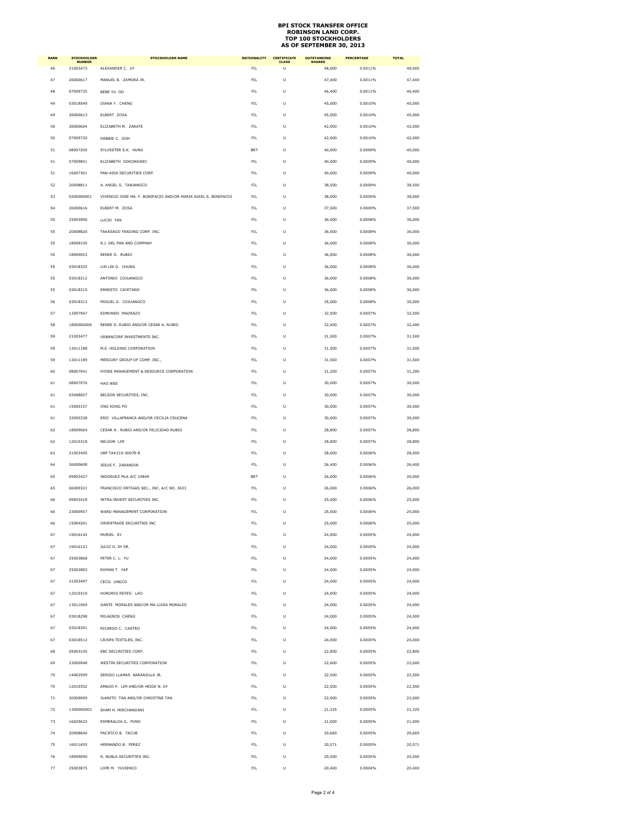| <b>RANK</b> | <b>STOCKHOLDER</b><br><b>NUMBER</b> | <b>STOCKHOLDER NAME</b>                                        | <b>NATIONALITY</b> | <b>CERTIFICATE</b><br><b>CLASS</b> | <b>OUTSTANDING</b><br><b>SHARES</b> | <b>PERCENTAGE</b> | <b>TOTAL</b> |
|-------------|-------------------------------------|----------------------------------------------------------------|--------------------|------------------------------------|-------------------------------------|-------------------|--------------|
| 46          | 21003473                            | ALEXANDER C. UY                                                | FIL                | U                                  | 48,000                              | 0.0011%           | 48,000       |
| 47          | 26000617                            | MANUEL B. ZAMORA JR.                                           | FIL                | Ù                                  | 47,400                              | 0.0011%           | 47,400       |
| 48          | 07009735                            | BEBE YU GO                                                     | FIL                | U                                  | 46,400                              | 0.0011%           | 46,400       |
| 49          | 03018549                            | DIANA Y. CHENG                                                 | FIL.               | Ù                                  | 45,000                              | 0.0010%           | 45.000       |
| 49          | 26000613                            | ELBERT ZOSA                                                    | FIL                | U                                  | 45,000                              | 0.0010%           | 45,000       |
| 50          | 26000604                            | ELIZABETH M. ZARATE                                            | FIL.               | Ù                                  | 42,000                              | 0.0010%           | 42,000       |
| 50          | 07009720                            | DEBBIE C. GOH                                                  | FIL                | U                                  | 42,000                              | 0.0010%           | 42,000       |
| 51          | 08007205                            | SYLVESTER S.K. HUNG                                            | <b>BRT</b>         | Ù                                  | 40,000                              | 0.0009%           | 40,000       |
| 51          | 07009851                            | ELIZABETH GOKONGWEI                                            | FIL                | U                                  | 40,000                              | 0.0009%           | 40,000       |
| 51          | 16007361                            | PAN-ASIA SECURITIES CORP.                                      | FIL.               | Ù                                  | 40,000                              | 0.0009%           | 40,000       |
| 52          | 20008811                            | A. ANGEL S. TANJANGCO                                          | FIL                | U                                  | 38,500                              | 0.0009%           |              |
|             |                                     |                                                                |                    |                                    |                                     |                   | 38,500       |
| 53          | 0200000001                          | VIVENCIO JOSE MA, F. BONIFACIO AND/OR MARIA ADIEL S. BONIFACIO | FIL.               | Ù                                  | 38,000                              | 0.0009%           | 38,000       |
| 54          | 26000616                            | ELBERT M. ZOSA                                                 | FIL                | U                                  | 37,500                              | 0.0009%           | 37,500       |
| 55          | 25003906                            | LUCIO YAN                                                      | FIL.               | Ù                                  | 36,000                              | 0.0008%           | 36,000       |
| 55          | 20008820                            | TAKASAGO TRADING CORP. INC.                                    | FIL                | U                                  | 36,000                              | 0.0008%           | 36,000       |
| 55          | 18009105                            | R.J. DEL PAN AND COMPANY                                       | FIL.               | Ù                                  | 36,000                              | 0.0008%           | 36,000       |
| 55          | 18009053                            | RENEE D. RUBIO                                                 | FIL                | U                                  | 36,000                              | 0.0008%           | 36,000       |
| 55          | 03018325                            | <b>ITN ITN G. CHUNG</b>                                        | FIL.               | Ù                                  | 36,000                              | 0.0008%           | 36,000       |
| 55          | 03018312                            | ANTONIO COJUANGCO                                              | FIL                | U                                  | 36,000                              | 0.0008%           | 36,000       |
| 55          | 03018315                            | <b>FRNESTO CAYETANO</b>                                        | FIL.               | Ù                                  | 36,000                              | 0.0008%           | 36,000       |
| 56          | 03018313                            | MIGUEL O. COJUANGCO                                            | FIL                | U                                  | 35,000                              | 0.0008%           | 35,000       |
| 57          | 13007947                            | <b>FDMUNDO MADRAZO</b>                                         | FIL.               | Ù                                  | 32,500                              | 0.0007%           | 32,500       |
|             |                                     |                                                                |                    |                                    |                                     |                   |              |
| 58          | 1800000006                          | RENEE D. RUBIO AND/OR CESAR A. RUBIO                           | FIL                | U                                  | 32,400                              | 0.0007%           | 32,400       |
| 59          | 21003477                            | URBANCORP INVESTMENTS INC.                                     | FIL.               | Ù                                  | 31,500                              | 0.0007%           | 31,500       |
| 59          | 13011188                            | M.E. HOLDING CORPORATION                                       | FIL                | U                                  | 31,500                              | 0.0007%           | 31,500       |
| 59          | 13011189                            | MERCURY GROUP OF COMP. INC                                     | FIL.               | Ù                                  | 31,500                              | 0.0007%           | 31,500       |
| 60          | 08007041                            | HYDEE MANAGEMENT & RESOURCE CORPORATION                        | FIL                | U                                  | 31,200                              | 0.0007%           | 31,200       |
| 61          | 08007076                            | HAO WEE                                                        | FIL                | U                                  | 30,000                              | 0.0007%           | 30,000       |
| 61          | 02008057                            | BELSON SECURITIES, INC.                                        | FIL                | U                                  | 30,000                              | 0.0007%           | 30,000       |
| 61          | 15005157                            | ONG KONG PO                                                    | FIL                | U                                  | 30,000                              | 0.0007%           | 30,000       |
| 61          | 22005338                            | ERIC VILLAFRANCA AND/OR CECILIA CRUCENA                        | FIL                | U                                  | 30,000                              | 0.0007%           | 30,000       |
|             |                                     |                                                                |                    |                                    |                                     |                   |              |
| 62          | 18009064                            | CESAR A. RUBIO AND/OR FELICIDAD RUBIO                          | FIL                | U                                  | 28,800                              | 0.0007%           | 28,800       |
| 62          | 12010318                            | NELSON LIM                                                     | FIL                | U                                  | 28,800                              | 0.0007%           | 28,800       |
| 63          | 21003495                            | UBP TA#210-50078-8                                             | FIL                | U                                  | 28,000                              | 0.0006%           | 28,000       |
| 64          | 26000608                            | JESUS F. ZARANDIN                                              | FIL                | U                                  | 26,400                              | 0.0006%           | 26,400       |
| 65          | 09003427                            | INDOSUEZ MLA A/C 10849                                         | <b>BRT</b>         | U                                  | 26,000                              | 0.0006%           | 26,000       |
| 65          | 06009321                            | FRANCISCO ORTIGAS SEC., INC. A/C NO. 3633                      | FIL                | U                                  | 26,000                              | 0.0006%           | 26,000       |
| 66          | 09003418                            | INTRA-INVEST SECURITIES INC.                                   | FIL                | U                                  | 25,000                              | 0.0006%           | 25,000       |
| 66          | 23000957                            | WARD MANAGEMENT CORPORATION                                    | FIL                | U                                  | 25,000                              | 0.0006%           | 25,000       |
| 66          | 15004201                            | ORIENTRADE SECURITIES INC                                      | FIL                |                                    | 25,000                              | 0.0006%           | 25,000       |
| 67          | 19016142                            | MURIEL SY                                                      | FIL                | U                                  | 24,000                              | 0.0005%           | 24,000       |
| 67          | 19016153                            | JULIO O. SY SR.                                                | FIL                | U                                  | 24,000                              | 0.0005%           | 24,000       |
|             |                                     |                                                                |                    |                                    |                                     |                   |              |
| 67          | 25003868                            | PETER C. L. YU                                                 | FIL                | U                                  | 24,000                              | 0.0005%           | 24,000       |
| 67          | 25003883                            | ROMAN T. YAP                                                   | FIL                | U                                  | 24,000                              | 0.0005%           | 24,000       |
| 67          | 21003497                            | CECIL UNGCO                                                    | FIL                | U                                  | 24,000                              | 0.0005%           | 24,000       |
| 67          | 12010310                            | HONORIO REYES- LAO                                             | FIL                | U                                  | 24,000                              | 0.0005%           | 24,000       |
| 67          | 13011069                            | DANTE MORALES AND/OR MA LUISA MORALES                          | FIL                | U                                  | 24,000                              | 0.0005%           | 24,000       |
| 67          | 03018298                            | MILAGROS CHENG                                                 | FIL                | U                                  | 24,000                              | 0.0005%           | 24,000       |
| 67          | 03018391                            | RICARDO C. CASTRO                                              | FIL                | U                                  | 24,000                              | 0.0005%           | 24,000       |
| 67          | 03018512                            | CRISPA TEXTILES, INC.                                          | FIL                | U                                  | 24,000                              | 0.0005%           | 24,000       |
| 68          | 05003105                            | EBC SECURITIES CORP.                                           | FIL                | U                                  | 22,800                              | 0.0005%           | 22,800       |
| 69          | 23000948                            |                                                                | FIL                | U                                  | 22,600                              | 0.0005%           | 22,600       |
|             |                                     | WESTIN SECURITIES CORPORATION                                  |                    |                                    |                                     |                   |              |
| 70          | 14002599                            | SERGIO LLAMAS NARANJILLA JR.                                   | FIL                | U                                  | 22,500                              | 0.0005%           | 22,500       |
| 70          | 12010352                            | AMADO P. LIM AND/OR HEIDE N. DY                                | FIL                | U                                  | 22,500                              | 0.0005%           | 22,500       |
| 71          | 20009009                            | JUANITO TAN AND/OR CHRISTINE TAN                               | FIL                | U                                  | 22,000                              | 0.0005%           | 22,000       |
| 72          | 1300000002                          | SHAM H. MIRCHANDANI                                            | FIL                | U                                  | 21,325                              | 0.0005%           | 21,325       |
| 73          | 16029622                            | ESMERALDA G. PUNO                                              | FIL.               | Ù                                  | 21,000                              | 0.0005%           | 21,000       |
| 74          | 20008840                            | PACIFICO B. TACUB                                              | FIL                | U                                  | 20,669                              | 0.0005%           | 20,669       |
| 75          | 16011655                            | HERNANDO B. PEREZ                                              | <b>FIL</b>         | Ù                                  | 20,571                              | 0.0005%           | 20.571       |
| 76          | 18009090                            | R. NUBLA SECURITIES INC.                                       | FIL                | U                                  | 20,500                              | 0.0005%           | 20,500       |
| 77          | 25003875                            |                                                                | FIL                | U                                  |                                     | 0.0004%           |              |
|             |                                     | LOPE M. YUVIENCO                                               |                    |                                    | 20,400                              |                   | 20,400       |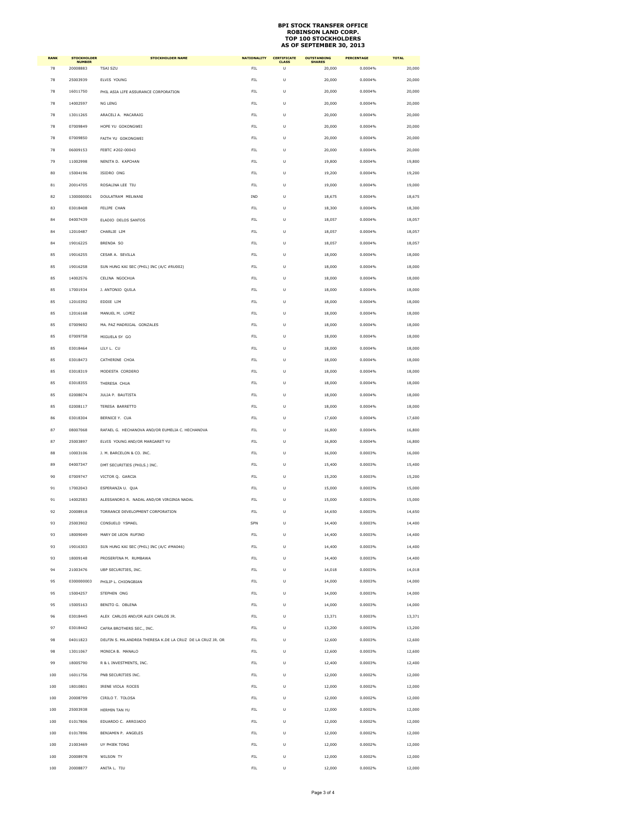| <b>RANK</b> | <b>STOCKHOLDER</b><br><b>NUMBER</b> | <b>STOCKHOLDER NAME</b>                                    | <b>NATIONALITY</b> | <b>CERTIFICATE</b><br><b>CLASS</b> | <b>OUTSTANDING</b> | <b>PERCENTAGE</b> | <b>TOTAL</b> |
|-------------|-------------------------------------|------------------------------------------------------------|--------------------|------------------------------------|--------------------|-------------------|--------------|
| 78          | 20008883                            | <b>TSAI SZU</b>                                            | FIL.               | U                                  | 20,000             | 0.0004%           | 20,000       |
| 78          | 25003939                            | ELVIS YOUNG                                                | FIL                | U                                  | 20,000             | 0.0004%           | 20,000       |
| 78          | 16011750                            | PHIL ASIA LIFE ASSURANCE CORPORATION                       | FIL                | U                                  | 20,000             | 0.0004%           | 20,000       |
| 78          | 14002597                            | NG LENG                                                    | FIL                | U                                  | 20,000             | 0.0004%           | 20,000       |
| 78          | 13011265                            | ARACELI A. MACARAIG                                        | FIL                | U                                  | 20,000             | 0.0004%           | 20,000       |
| 78          | 07009849                            | HOPE YU GOKONGWEI                                          | FIL                | U                                  | 20,000             | 0.0004%           | 20,000       |
| 78          | 07009850                            | FAITH YU GOKONGWEI                                         | FIL                | Ù                                  | 20,000             | 0.0004%           | 20,000       |
| 78          | 06009153                            | FEBTC #202-00043                                           | <b>FIL</b>         | U                                  | 20,000             | 0.0004%           | 20,000       |
| 79          | 11002998                            | NENITA D. KAPCHAN                                          | FIL                | Ù                                  | 19,800             | 0.0004%           | 19,800       |
| 80          | 15004196                            | ISIDRO ONG                                                 | FIL                | U                                  | 19,200             | 0.0004%           | 19,200       |
| 81          | 20014705                            | ROSALINA LEE TIU                                           | FIL                | Ù                                  | 19,000             | 0.0004%           | 19,000       |
| 82          | 1300000001                          | DOULATRAM MELWANI                                          | IND                | U                                  | 18,675             | 0.0004%           | 18,675       |
| 83          | 03018408                            | FELIPE CHAN                                                | FIL                | U                                  | 18,300             | 0.0004%           | 18,300       |
| 84          | 04007439                            | ELADIO DELOS SANTOS                                        | FIL                | U                                  | 18,057             | 0.0004%           | 18,057       |
| 84          | 12010487                            | CHARLIE LIM                                                | FIL                | Ù                                  | 18,057             | 0.0004%           | 18,057       |
| 84          | 19016225                            | BRENDA SO                                                  | <b>FIL</b>         | U                                  | 18,057             | 0.0004%           | 18,057       |
| 85          | 19016255                            | CESAR A. SEVILLA                                           | FIL                | U                                  | 18,000             | 0.0004%           | 18,000       |
| 85          | 19016258                            | SUN HUNG KAI SEC (PHIL) INC (A/C #RU002)                   | FIL                | U                                  | 18,000             | 0.0004%           | 18,000       |
| 85          | 14002576                            | CELINA NGOCHUA                                             | FIL                | Ù                                  | 18,000             | 0.0004%           | 18,000       |
| 85          | 17001934                            | J. ANTONIO QUILA                                           | <b>FIL</b>         | U                                  | 18,000             | 0.0004%           | 18,000       |
| 85          | 12010392                            | EDDIE LIM                                                  | FIL                | U                                  | 18,000             | 0.0004%           | 18,000       |
| 85          | 12016168                            | MANUEL M. LOPEZ                                            | FIL                | U                                  | 18,000             | 0.0004%           | 18,000       |
| 85          | 07009692                            | MA. PAZ MADRIGAL GONZALES                                  | FIL                | U                                  | 18,000             | 0.0004%           | 18,000       |
| 85          | 07009758                            | MIGUELA SY GO                                              | <b>FIL</b>         | U                                  | 18,000             | 0.0004%           | 18,000       |
| 85          | 03018464                            | LILY L. CU                                                 | FIL                | U                                  | 18,000             | 0.0004%           | 18,000       |
| 85          | 03018473                            | CATHERINE CHOA                                             | FIL                | U                                  | 18,000             | 0.0004%           | 18,000       |
| 85          | 03018319                            | MODESTA CORDERO                                            | FIL                | U                                  | 18,000             | 0.0004%           | 18,000       |
| 85          | 03018355                            | THERESA CHUA                                               | FIL                | Ù                                  | 18,000             | 0.0004%           | 18,000       |
| 85          | 02008074                            | <b>JULIA P. BAUTISTA</b>                                   | <b>FIL</b>         | U                                  | 18,000             | 0.0004%           | 18,000       |
| 85          | 02008117                            | TERESA BARRETTO                                            | FIL                | U                                  | 18,000             | 0.0004%           | 18,000       |
| 86          | 03018304                            | BERNICE Y. CUA                                             | FIL                | U                                  | 17,600             | 0.0004%           | 17,600       |
| 87          | 08007068                            | RAFAEL G. HECHANOVA AND/OR EUMELIA C. HECHANOVA            | FIL                | U                                  | 16,800             | 0.0004%           | 16,800       |
| 87          | 25003897                            | ELVIS YOUNG AND/OR MARGARET YU                             | FIL                | U                                  | 16,800             | 0.0004%           | 16,800       |
| 88          | 10003106                            | J. M. BARCELON & CO. INC.                                  | <b>FIL</b>         | U                                  | 16,000             | 0.0003%           | 16,000       |
| 89          | 04007347                            | DMT SECURITIES (PHILS.) INC.                               | FIL                | U                                  | 15,400             | 0.0003%           | 15,400       |
| 90          | 07009747                            | VICTOR Q. GARCIA                                           | FIL                | U                                  | 15,200             | 0.0003%           | 15,200       |
| 91          | 17002043                            | ESPERANZA U. QUA                                           | FIL                | U                                  | 15,000             | 0.0003%           | 15,000       |
| 91          | 14002583                            | ALESSANDRO R. NADAL AND/OR VIRGINIA NADAL                  | FIL                | U                                  | 15,000             | 0.0003%           | 15,000       |
| 92          | 20008918                            | TORRANCE DEVELOPMENT CORPORATION                           | <b>FIL</b>         | U                                  | 14,650             | 0.0003%           | 14,650       |
| 93          | 25003902                            | CONSUELO YSMAEL                                            | SPN                | U                                  | 14,400             | 0.0003%           | 14,400       |
| 93          | 18009049                            | MARY DE LEON RUFINO                                        | FIL                | U                                  | 14,400             | 0.0003%           | 14,400       |
| 93          | 19016303                            | SUN HUNG KAI SEC (PHIL) INC (A/C #MA046)                   | <b>FIL</b>         | U                                  | 14,400             | 0.0003%           | 14,400       |
| 93          | 18009148                            | PROSERFINA M. RUMBAWA                                      | FIL                | U                                  | 14,400             | 0.0003%           | 14,400       |
| 94          | 21003476                            | UBP SECURITIES, INC.                                       | FIL                | Ù                                  | 14,018             | 0.0003%           | 14,018       |
| 95          | 0300000003                          | PHILIP L. CHIONGBIAN                                       | FIL                | U                                  | 14,000             | 0.0003%           | 14,000       |
| 95          | 15004257                            | STEPHEN ONG                                                | <b>FIL</b>         | U                                  | 14,000             | 0.0003%           | 14,000       |
| 95          | 15005163                            | BENITO G. OBLENA                                           | FIL                | U                                  | 14,000             | 0.0003%           | 14,000       |
| 96          | 03018445                            | ALEX CARLOS AND/OR ALEX CARLOS JR.                         | FIL                | U                                  | 13,371             | 0.0003%           | 13,371       |
| 97          | 03018442                            | CAFRA BROTHERS SEC., INC.                                  | FIL                | U                                  | 13,200             | 0.0003%           | 13,200       |
| 98          | 04011823                            | DELFIN S. MA.ANDREA THERESA K.DE LA CRUZ DE LA CRUZ JR. OR | <b>FIL</b>         | U                                  | 12,600             | 0.0003%           | 12,600       |
| 98          | 13011067                            | MONICA B. MANALO                                           | FIL                | U                                  | 12,600             | 0.0003%           | 12,600       |
| 99          | 18005790                            | R & L INVESTMENTS, INC.                                    | FIL                | U                                  | 12,400             | 0.0003%           | 12,400       |
| 100         | 16011756                            | PNB SECURITIES INC.                                        | FIL                | Ù                                  | 12,000             | 0.0002%           | 12,000       |
| 100         | 18010801                            | IRENE VIOLA ROCES                                          | FIL.               | Ù                                  | 12,000             | 0.0002%           | 12,000       |
| 100         | 20008799                            | CIRILO T. TOLOSA                                           | FIL                | U                                  | 12,000             | 0.0002%           | 12,000       |
| 100         | 25003938                            | HERMIN TAN YU                                              | FIL.               | U                                  | 12,000             | 0.0002%           | 12,000       |
| 100         | 01017806                            | EDUARDO C. ARROJADO                                        | FIL                | U                                  | 12,000             | 0.0002%           | 12,000       |
| 100         | 01017896                            | BENJAMIN P. ANGELES                                        | FIL.               | U                                  | 12,000             | 0.0002%           | 12,000       |
| 100         | 21003469                            | UY PHIEK TONG                                              | FIL                | U                                  | 12,000             | 0.0002%           | 12,000       |
| 100         | 20008978                            | WILSON TY                                                  | FIL                | Ù                                  | 12,000             | 0.0002%           | 12,000       |
| 100         | 20008877                            | ANITA L. TIU                                               | FIL                | U                                  | 12,000             | 0.0002%           | 12,000       |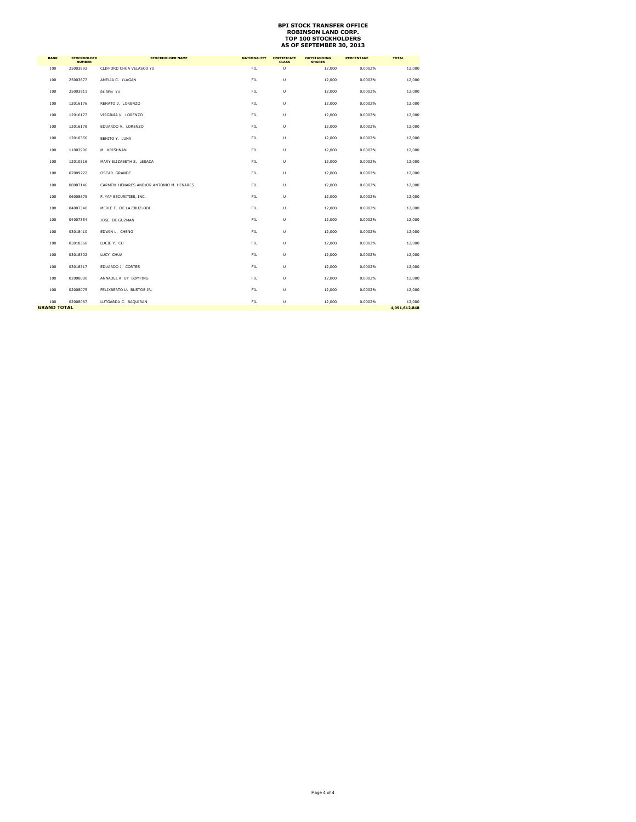| <b>RANK</b>        | <b>STOCKHOLDER</b><br><b>NUMBER</b> | <b>STOCKHOLDER NAME</b>                  | <b>NATIONALITY</b> | <b>CERTIFICATE</b><br><b>CLASS</b> | <b>OUTSTANDING</b><br><b>SHARES</b> | <b>PERCENTAGE</b> | <b>TOTAL</b>  |
|--------------------|-------------------------------------|------------------------------------------|--------------------|------------------------------------|-------------------------------------|-------------------|---------------|
| 100                | 25003892                            | CLIFFORD CHUA VELASCO YU                 | FIL.               | U                                  | 12,000                              | 0.0002%           | 12,000        |
| 100                | 25003877                            | AMELIA C. YLAGAN                         | FIL.               | Ù                                  | 12,000                              | 0.0002%           | 12,000        |
| 100                | 25003911                            | RUBEN YU                                 | FIL                | Ù                                  | 12,000                              | 0.0002%           | 12,000        |
| 100                | 12016176                            | RENATO V. LORENZO                        | FIL.               | Ù                                  | 12,000                              | 0.0002%           | 12,000        |
| 100                | 12016177                            | VIRGINIA V. LORENZO                      | FIL.               | Ù                                  | 12,000                              | 0.0002%           | 12,000        |
| 100                | 12016178                            | EDUARDO V. LORENZO                       | FIL                | U                                  | 12,000                              | 0.0002%           | 12,000        |
| 100                | 12010356                            | BENITO Y. LUNA                           | FIL                | Ù                                  | 12,000                              | 0.0002%           | 12,000        |
| 100                | 11002996                            | M. KRISHNAN                              | FIL.               | Ù                                  | 12,000                              | 0.0002%           | 12,000        |
| 100                | 12010316                            | MARY ELIZABETH S. LESACA                 | FIL.               | Ù                                  | 12,000                              | 0.0002%           | 12,000        |
| 100                | 07009722                            | OSCAR GRANDE                             | FIL                | Ù                                  | 12,000                              | 0.0002%           | 12,000        |
| 100                | 08007146                            | CARMEN HENARES AND/OR ANTONIO M. HENARES | FIL.               | U                                  | 12,000                              | 0.0002%           | 12,000        |
| 100                | 06008675                            | F. YAP SECURITIES, INC.                  | FIL.               | U                                  | 12,000                              | 0.0002%           | 12,000        |
| 100                | 04007340                            | MERLE F. DE LA CRUZ-ODI                  | FIL                | U                                  | 12,000                              | 0.0002%           | 12,000        |
| 100                | 04007354                            | JOSE DE GUZMAN                           | FIL                | Ù                                  | 12,000                              | 0.0002%           | 12,000        |
| 100                | 03018410                            | EDWIN L. CHENG                           | FIL.               | U                                  | 12,000                              | 0.0002%           | 12,000        |
| 100                | 03018368                            | LUCIE Y. CU                              | FIL.               | Ù                                  | 12,000                              | 0.0002%           | 12,000        |
| 100                | 03018302                            | LUCY CHUA                                | FIL                | U                                  | 12,000                              | 0.0002%           | 12,000        |
| 100                | 03018317                            | EDUARDO J. CORTES                        | FIL.               | U                                  | 12,000                              | 0.0002%           | 12,000        |
| 100                | 02008080                            | ANNADEL K. UY BOMPING                    | FIL.               | U                                  | 12,000                              | 0.0002%           | 12,000        |
| 100                | 02008075                            | FELIXBERTO U. BUSTOS JR.                 | FIL                | U                                  | 12,000                              | 0.0002%           | 12,000        |
| 100                | 02008067                            | LUTGARDA C. BAQUIRAN                     | FIL                | U                                  | 12,000                              | 0.0002%           | 12,000        |
| <b>GRAND TOTAL</b> |                                     |                                          |                    |                                    |                                     |                   | 4,091,612,848 |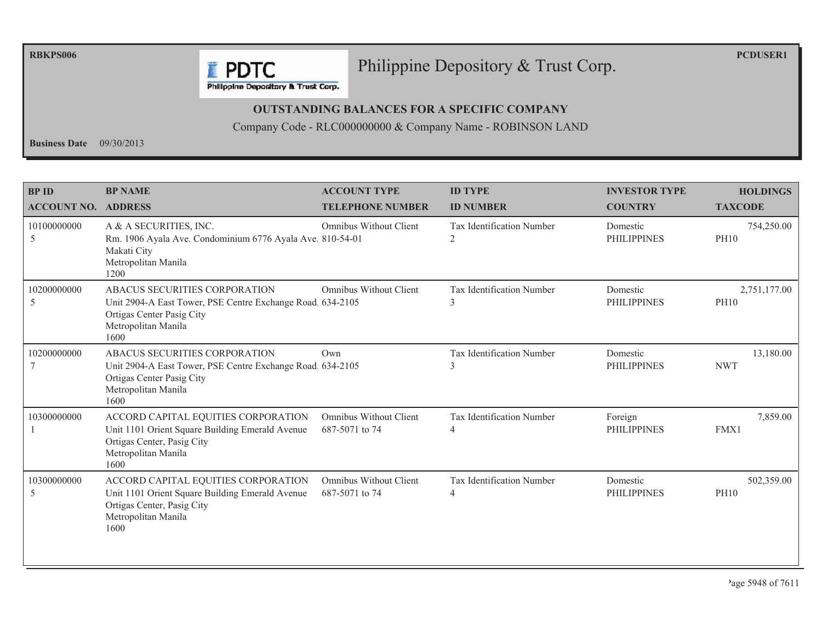**RBKPS006** 

#### Philippine Depository & Trust Corp.

**PCDUSER1** 

Philippine Depository & Trust Corp.

**F** PDTC

#### **OUTSTANDING BALANCES FOR A SPECIFIC COMPANY**

Company Code - RLC000000000 & Company Name - ROBINSON LAND

Business Date  $09/30/2013$ 

| <b>BPID</b><br><b>ACCOUNT NO. ADDRESS</b> | <b>BP NAME</b>                                                                                                                                          | <b>ACCOUNT TYPE</b><br><b>TELEPHONE NUMBER</b>  | <b>ID TYPE</b><br><b>ID NUMBER</b>          | <b>INVESTOR TYPE</b><br><b>COUNTRY</b> | <b>HOLDINGS</b><br><b>TAXCODE</b> |
|-------------------------------------------|---------------------------------------------------------------------------------------------------------------------------------------------------------|-------------------------------------------------|---------------------------------------------|----------------------------------------|-----------------------------------|
| 10100000000<br>5                          | A & A SECURITIES, INC.<br>Rm. 1906 Ayala Ave. Condominium 6776 Ayala Ave. 810-54-01<br>Makati City<br>Metropolitan Manila<br>1200                       | <b>Omnibus Without Client</b>                   | Tax Identification Number<br>2              | Domestic<br><b>PHILIPPINES</b>         | 754,250.00<br><b>PH10</b>         |
| 10200000000<br>5                          | ABACUS SECURITIES CORPORATION<br>Unit 2904-A East Tower, PSE Centre Exchange Road 634-2105<br>Ortigas Center Pasig City<br>Metropolitan Manila<br>1600  | <b>Omnibus Without Client</b>                   | Tax Identification Number<br>3              | Domestic<br><b>PHILIPPINES</b>         | 2,751,177.00<br><b>PH10</b>       |
| 10200000000                               | ABACUS SECURITIES CORPORATION<br>Unit 2904-A East Tower, PSE Centre Exchange Road. 634-2105<br>Ortigas Center Pasig City<br>Metropolitan Manila<br>1600 | Own                                             | <b>Tax Identification Number</b><br>3       | Domestic<br><b>PHILIPPINES</b>         | 13,180.00<br><b>NWT</b>           |
| 10300000000                               | ACCORD CAPITAL EQUITIES CORPORATION<br>Unit 1101 Orient Square Building Emerald Avenue<br>Ortigas Center, Pasig City<br>Metropolitan Manila<br>1600     | <b>Omnibus Without Client</b><br>687-5071 to 74 | Tax Identification Number<br>$\overline{4}$ | Foreign<br><b>PHILIPPINES</b>          | 7,859.00<br>FMX1                  |
| 10300000000<br>5                          | ACCORD CAPITAL EQUITIES CORPORATION<br>Unit 1101 Orient Square Building Emerald Avenue<br>Ortigas Center, Pasig City<br>Metropolitan Manila<br>1600     | <b>Omnibus Without Client</b><br>687-5071 to 74 | Tax Identification Number<br>$\overline{4}$ | Domestic<br><b>PHILIPPINES</b>         | 502,359.00<br><b>PH10</b>         |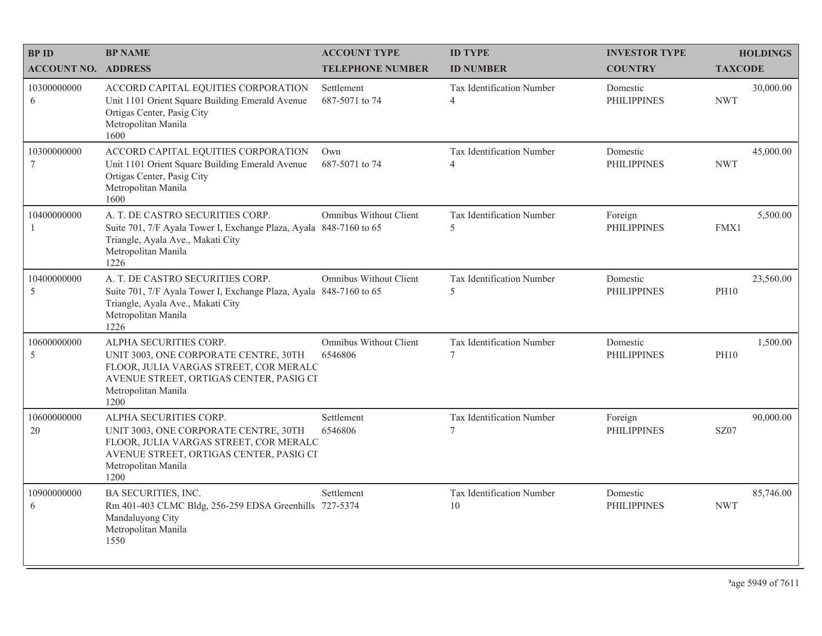| <b>BPID</b>                | <b>BP NAME</b>                                                                                                                                                                      | <b>ACCOUNT TYPE</b>               | <b>ID TYPE</b>                              | <b>INVESTOR TYPE</b>           | <b>HOLDINGS</b>          |
|----------------------------|-------------------------------------------------------------------------------------------------------------------------------------------------------------------------------------|-----------------------------------|---------------------------------------------|--------------------------------|--------------------------|
| <b>ACCOUNT NO. ADDRESS</b> |                                                                                                                                                                                     | <b>TELEPHONE NUMBER</b>           | <b>ID NUMBER</b>                            | <b>COUNTRY</b>                 | <b>TAXCODE</b>           |
| 10300000000<br>6           | ACCORD CAPITAL EQUITIES CORPORATION<br>Unit 1101 Orient Square Building Emerald Avenue<br>Ortigas Center, Pasig City<br>Metropolitan Manila<br>1600                                 | Settlement<br>687-5071 to 74      | Tax Identification Number<br>4              | Domestic<br><b>PHILIPPINES</b> | 30,000.00<br><b>NWT</b>  |
| 10300000000<br>7           | ACCORD CAPITAL EQUITIES CORPORATION<br>Unit 1101 Orient Square Building Emerald Avenue<br>Ortigas Center, Pasig City<br>Metropolitan Manila<br>1600                                 | Own<br>687-5071 to 74             | Tax Identification Number<br>$\overline{4}$ | Domestic<br><b>PHILIPPINES</b> | 45,000.00<br><b>NWT</b>  |
| 10400000000                | A. T. DE CASTRO SECURITIES CORP.<br>Suite 701, 7/F Ayala Tower I, Exchange Plaza, Ayala 848-7160 to 65<br>Triangle, Ayala Ave., Makati City<br>Metropolitan Manila<br>1226          | Omnibus Without Client            | Tax Identification Number<br>5              | Foreign<br><b>PHILIPPINES</b>  | 5,500.00<br>FMX1         |
| 10400000000<br>5           | A. T. DE CASTRO SECURITIES CORP.<br>Suite 701, 7/F Ayala Tower I, Exchange Plaza, Ayala 848-7160 to 65<br>Triangle, Ayala Ave., Makati City<br>Metropolitan Manila<br>1226          | Omnibus Without Client            | Tax Identification Number<br>5              | Domestic<br><b>PHILIPPINES</b> | 23,560.00<br><b>PH10</b> |
| 10600000000<br>5           | ALPHA SECURITIES CORP.<br>UNIT 3003, ONE CORPORATE CENTRE, 30TH<br>FLOOR, JULIA VARGAS STREET, COR MERALC<br>AVENUE STREET, ORTIGAS CENTER, PASIG CI<br>Metropolitan Manila<br>1200 | Omnibus Without Client<br>6546806 | Tax Identification Number<br>$\tau$         | Domestic<br><b>PHILIPPINES</b> | 1,500.00<br><b>PH10</b>  |
| 10600000000<br>20          | ALPHA SECURITIES CORP.<br>UNIT 3003, ONE CORPORATE CENTRE, 30TH<br>FLOOR, JULIA VARGAS STREET, COR MERALC<br>AVENUE STREET, ORTIGAS CENTER, PASIG CI<br>Metropolitan Manila<br>1200 | Settlement<br>6546806             | Tax Identification Number<br>$\overline{7}$ | Foreign<br><b>PHILIPPINES</b>  | 90,000.00<br>SZ07        |
| 10900000000<br>6           | <b>BA SECURITIES, INC.</b><br>Rm 401-403 CLMC Bldg, 256-259 EDSA Greenhills 727-5374<br>Mandaluyong City<br>Metropolitan Manila<br>1550                                             | Settlement                        | Tax Identification Number<br>10             | Domestic<br><b>PHILIPPINES</b> | 85,746.00<br><b>NWT</b>  |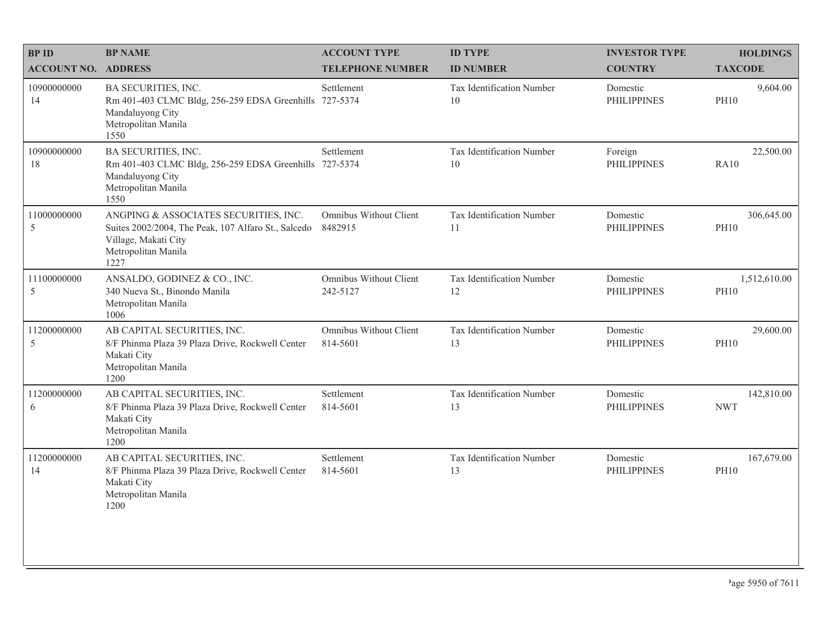| <b>BPID</b>                | <b>BP NAME</b>                                                                                                                                      | <b>ACCOUNT TYPE</b>                       | <b>ID TYPE</b>                  | <b>INVESTOR TYPE</b>           | <b>HOLDINGS</b>             |
|----------------------------|-----------------------------------------------------------------------------------------------------------------------------------------------------|-------------------------------------------|---------------------------------|--------------------------------|-----------------------------|
| <b>ACCOUNT NO. ADDRESS</b> |                                                                                                                                                     | <b>TELEPHONE NUMBER</b>                   | <b>ID NUMBER</b>                | <b>COUNTRY</b>                 | <b>TAXCODE</b>              |
| 10900000000<br>14          | BA SECURITIES, INC.<br>Rm 401-403 CLMC Bldg, 256-259 EDSA Greenhills 727-5374<br>Mandaluyong City<br>Metropolitan Manila<br>1550                    | Settlement                                | Tax Identification Number<br>10 | Domestic<br><b>PHILIPPINES</b> | 9,604.00<br><b>PH10</b>     |
| 10900000000<br>18          | BA SECURITIES, INC.<br>Rm 401-403 CLMC Bldg, 256-259 EDSA Greenhills 727-5374<br>Mandaluyong City<br>Metropolitan Manila<br>1550                    | Settlement                                | Tax Identification Number<br>10 | Foreign<br><b>PHILIPPINES</b>  | 22,500.00<br>RA10           |
| 11000000000<br>5           | ANGPING & ASSOCIATES SECURITIES, INC.<br>Suites 2002/2004, The Peak, 107 Alfaro St., Salcedo<br>Village, Makati City<br>Metropolitan Manila<br>1227 | Omnibus Without Client<br>8482915         | Tax Identification Number<br>11 | Domestic<br><b>PHILIPPINES</b> | 306,645.00<br><b>PH10</b>   |
| 11100000000<br>5           | ANSALDO, GODINEZ & CO., INC.<br>340 Nueva St., Binondo Manila<br>Metropolitan Manila<br>1006                                                        | Omnibus Without Client<br>242-5127        | Tax Identification Number<br>12 | Domestic<br><b>PHILIPPINES</b> | 1,512,610.00<br><b>PH10</b> |
| 11200000000<br>5           | AB CAPITAL SECURITIES, INC.<br>8/F Phinma Plaza 39 Plaza Drive, Rockwell Center<br>Makati City<br>Metropolitan Manila<br>1200                       | <b>Omnibus Without Client</b><br>814-5601 | Tax Identification Number<br>13 | Domestic<br><b>PHILIPPINES</b> | 29,600.00<br><b>PH10</b>    |
| 11200000000<br>6           | AB CAPITAL SECURITIES, INC.<br>8/F Phinma Plaza 39 Plaza Drive, Rockwell Center<br>Makati City<br>Metropolitan Manila<br>1200                       | Settlement<br>814-5601                    | Tax Identification Number<br>13 | Domestic<br><b>PHILIPPINES</b> | 142,810.00<br><b>NWT</b>    |
| 11200000000<br>14          | AB CAPITAL SECURITIES, INC.<br>8/F Phinma Plaza 39 Plaza Drive, Rockwell Center<br>Makati City<br>Metropolitan Manila<br>1200                       | Settlement<br>814-5601                    | Tax Identification Number<br>13 | Domestic<br><b>PHILIPPINES</b> | 167,679.00<br><b>PH10</b>   |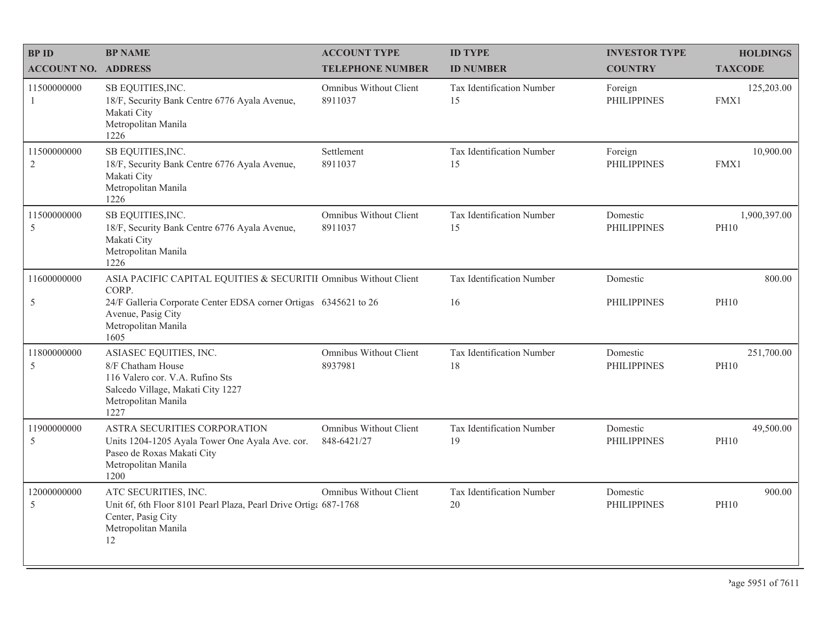| <b>BPID</b>                   | <b>BP NAME</b>                                                                                                                                     | <b>ACCOUNT TYPE</b>                   | <b>ID TYPE</b>                  | <b>INVESTOR TYPE</b>           | <b>HOLDINGS</b>             |
|-------------------------------|----------------------------------------------------------------------------------------------------------------------------------------------------|---------------------------------------|---------------------------------|--------------------------------|-----------------------------|
| <b>ACCOUNT NO. ADDRESS</b>    |                                                                                                                                                    | <b>TELEPHONE NUMBER</b>               | <b>ID NUMBER</b>                | <b>COUNTRY</b>                 | <b>TAXCODE</b>              |
| 11500000000<br>1              | SB EQUITIES, INC.<br>18/F, Security Bank Centre 6776 Ayala Avenue,<br>Makati City<br>Metropolitan Manila<br>1226                                   | Omnibus Without Client<br>8911037     | Tax Identification Number<br>15 | Foreign<br><b>PHILIPPINES</b>  | 125,203.00<br>FMX1          |
| 11500000000<br>$\overline{2}$ | SB EQUITIES, INC.<br>18/F, Security Bank Centre 6776 Ayala Avenue,<br>Makati City<br>Metropolitan Manila<br>1226                                   | Settlement<br>8911037                 | Tax Identification Number<br>15 | Foreign<br><b>PHILIPPINES</b>  | 10,900.00<br>FMX1           |
| 11500000000<br>5              | SB EQUITIES, INC.<br>18/F, Security Bank Centre 6776 Ayala Avenue,<br>Makati City<br>Metropolitan Manila<br>1226                                   | Omnibus Without Client<br>8911037     | Tax Identification Number<br>15 | Domestic<br><b>PHILIPPINES</b> | 1,900,397.00<br><b>PH10</b> |
| 11600000000                   | ASIA PACIFIC CAPITAL EQUITIES & SECURITII Omnibus Without Client<br>CORP.                                                                          |                                       | Tax Identification Number       | Domestic                       | 800.00                      |
| 5                             | 24/F Galleria Corporate Center EDSA corner Ortigas 6345621 to 26<br>Avenue, Pasig City<br>Metropolitan Manila<br>1605                              |                                       | 16                              | <b>PHILIPPINES</b>             | <b>PH10</b>                 |
| 11800000000<br>$\mathfrak s$  | ASIASEC EQUITIES, INC.<br>8/F Chatham House<br>116 Valero cor. V.A. Rufino Sts<br>Salcedo Village, Makati City 1227<br>Metropolitan Manila<br>1227 | Omnibus Without Client<br>8937981     | Tax Identification Number<br>18 | Domestic<br><b>PHILIPPINES</b> | 251,700.00<br><b>PH10</b>   |
| 11900000000<br>5              | ASTRA SECURITIES CORPORATION<br>Units 1204-1205 Ayala Tower One Ayala Ave. cor.<br>Paseo de Roxas Makati City<br>Metropolitan Manila<br>1200       | Omnibus Without Client<br>848-6421/27 | Tax Identification Number<br>19 | Domestic<br><b>PHILIPPINES</b> | 49,500.00<br><b>PH10</b>    |
| 12000000000<br>$\mathfrak s$  | ATC SECURITIES, INC.<br>Unit 6f, 6th Floor 8101 Pearl Plaza, Pearl Drive Ortiga 687-1768<br>Center, Pasig City<br>Metropolitan Manila<br>12        | Omnibus Without Client                | Tax Identification Number<br>20 | Domestic<br><b>PHILIPPINES</b> | 900.00<br><b>PH10</b>       |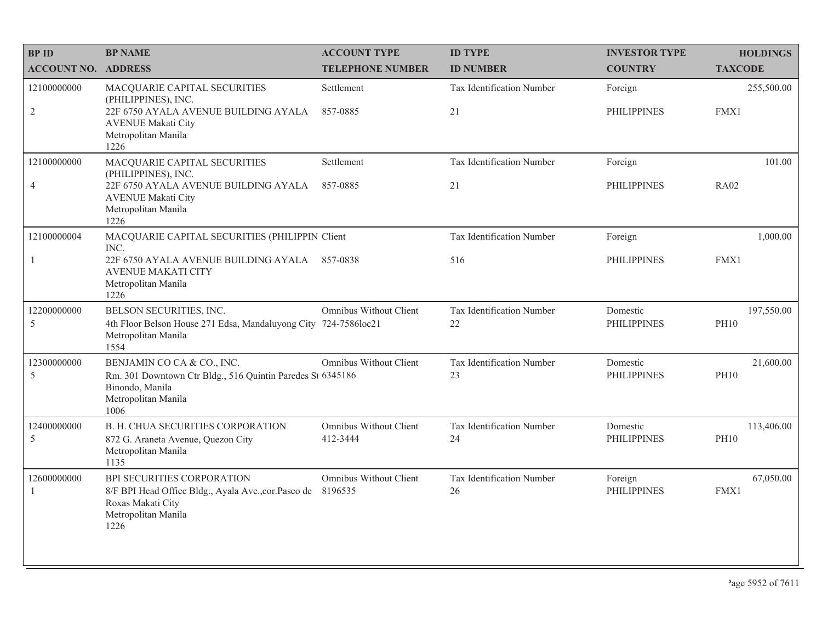| <b>BPID</b>                 | <b>BP NAME</b>                                                                                                                                 | <b>ACCOUNT TYPE</b>                | <b>ID TYPE</b>                  | <b>INVESTOR TYPE</b>           | <b>HOLDINGS</b>           |
|-----------------------------|------------------------------------------------------------------------------------------------------------------------------------------------|------------------------------------|---------------------------------|--------------------------------|---------------------------|
| <b>ACCOUNT NO. ADDRESS</b>  |                                                                                                                                                | <b>TELEPHONE NUMBER</b>            | <b>ID NUMBER</b>                | <b>COUNTRY</b>                 | <b>TAXCODE</b>            |
| 12100000000                 | MACQUARIE CAPITAL SECURITIES<br>(PHILIPPINES), INC.                                                                                            | Settlement                         | Tax Identification Number       | Foreign                        | 255,500.00                |
| $\overline{2}$              | 22F 6750 AYALA AVENUE BUILDING AYALA<br><b>AVENUE Makati City</b><br>Metropolitan Manila<br>1226                                               | 857-0885                           | 21                              | <b>PHILIPPINES</b>             | FMX1                      |
| 12100000000                 | MACQUARIE CAPITAL SECURITIES<br>(PHILIPPINES), INC.                                                                                            | Settlement                         | Tax Identification Number       | Foreign                        | 101.00                    |
| $\overline{4}$              | 22F 6750 AYALA AVENUE BUILDING AYALA<br><b>AVENUE Makati City</b><br>Metropolitan Manila<br>1226                                               | 857-0885                           | 21                              | <b>PHILIPPINES</b>             | <b>RA02</b>               |
| 12100000004                 | MACQUARIE CAPITAL SECURITIES (PHILIPPIN Client<br>INC.                                                                                         |                                    | Tax Identification Number       | Foreign                        | 1,000.00                  |
| $\mathbf{1}$                | 22F 6750 AYALA AVENUE BUILDING AYALA<br><b>AVENUE MAKATI CITY</b><br>Metropolitan Manila<br>1226                                               | 857-0838                           | 516                             | <b>PHILIPPINES</b>             | FMX1                      |
| 12200000000<br>5            | BELSON SECURITIES, INC.<br>4th Floor Belson House 271 Edsa, Mandaluyong City 724-7586loc21<br>Metropolitan Manila<br>1554                      | Omnibus Without Client             | Tax Identification Number<br>22 | Domestic<br><b>PHILIPPINES</b> | 197,550.00<br><b>PH10</b> |
| 12300000000<br>5            | BENJAMIN CO CA & CO., INC.<br>Rm. 301 Downtown Ctr Bldg., 516 Quintin Paredes St 6345186<br>Binondo, Manila<br>Metropolitan Manila<br>1006     | Omnibus Without Client             | Tax Identification Number<br>23 | Domestic<br><b>PHILIPPINES</b> | 21,600.00<br><b>PH10</b>  |
| 12400000000<br>5            | B. H. CHUA SECURITIES CORPORATION<br>872 G. Araneta Avenue, Quezon City<br>Metropolitan Manila<br>1135                                         | Omnibus Without Client<br>412-3444 | Tax Identification Number<br>24 | Domestic<br><b>PHILIPPINES</b> | 113,406.00<br><b>PH10</b> |
| 12600000000<br>$\mathbf{1}$ | BPI SECURITIES CORPORATION<br>8/F BPI Head Office Bldg., Ayala Ave., cor. Paseo de 8196535<br>Roxas Makati City<br>Metropolitan Manila<br>1226 | Omnibus Without Client             | Tax Identification Number<br>26 | Foreign<br><b>PHILIPPINES</b>  | 67,050.00<br>FMX1         |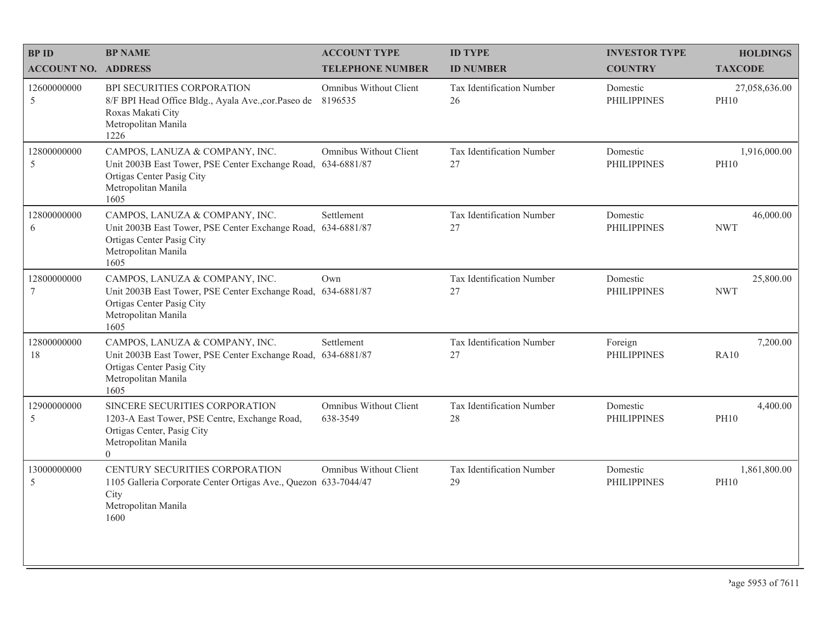| <b>BPID</b>                | <b>BP NAME</b>                                                                                                                                             | <b>ACCOUNT TYPE</b>                | <b>ID TYPE</b>                         | <b>INVESTOR TYPE</b>           | <b>HOLDINGS</b>              |
|----------------------------|------------------------------------------------------------------------------------------------------------------------------------------------------------|------------------------------------|----------------------------------------|--------------------------------|------------------------------|
| <b>ACCOUNT NO. ADDRESS</b> |                                                                                                                                                            | <b>TELEPHONE NUMBER</b>            | <b>ID NUMBER</b>                       | <b>COUNTRY</b>                 | <b>TAXCODE</b>               |
| 12600000000<br>5           | BPI SECURITIES CORPORATION<br>8/F BPI Head Office Bldg., Ayala Ave., cor. Paseo de<br>Roxas Makati City<br>Metropolitan Manila<br>1226                     | Omnibus Without Client<br>8196535  | <b>Tax Identification Number</b><br>26 | Domestic<br><b>PHILIPPINES</b> | 27,058,636.00<br><b>PH10</b> |
| 12800000000<br>5           | CAMPOS, LANUZA & COMPANY, INC.<br>Unit 2003B East Tower, PSE Center Exchange Road, 634-6881/87<br>Ortigas Center Pasig City<br>Metropolitan Manila<br>1605 | Omnibus Without Client             | Tax Identification Number<br>27        | Domestic<br><b>PHILIPPINES</b> | 1,916,000.00<br><b>PH10</b>  |
| 12800000000<br>6           | CAMPOS, LANUZA & COMPANY, INC.<br>Unit 2003B East Tower, PSE Center Exchange Road, 634-6881/87<br>Ortigas Center Pasig City<br>Metropolitan Manila<br>1605 | Settlement                         | Tax Identification Number<br>27        | Domestic<br><b>PHILIPPINES</b> | 46,000.00<br><b>NWT</b>      |
| 12800000000<br>$\tau$      | CAMPOS, LANUZA & COMPANY, INC.<br>Unit 2003B East Tower, PSE Center Exchange Road, 634-6881/87<br>Ortigas Center Pasig City<br>Metropolitan Manila<br>1605 | Own                                | Tax Identification Number<br>27        | Domestic<br><b>PHILIPPINES</b> | 25,800.00<br><b>NWT</b>      |
| 12800000000<br>18          | CAMPOS, LANUZA & COMPANY, INC.<br>Unit 2003B East Tower, PSE Center Exchange Road, 634-6881/87<br>Ortigas Center Pasig City<br>Metropolitan Manila<br>1605 | Settlement                         | Tax Identification Number<br>27        | Foreign<br><b>PHILIPPINES</b>  | 7,200.00<br><b>RA10</b>      |
| 12900000000<br>5           | SINCERE SECURITIES CORPORATION<br>1203-A East Tower, PSE Centre, Exchange Road,<br>Ortigas Center, Pasig City<br>Metropolitan Manila<br>$\Omega$           | Omnibus Without Client<br>638-3549 | Tax Identification Number<br>28        | Domestic<br><b>PHILIPPINES</b> | 4,400.00<br><b>PH10</b>      |
| 13000000000<br>5           | CENTURY SECURITIES CORPORATION<br>1105 Galleria Corporate Center Ortigas Ave., Quezon 633-7044/47<br>City<br>Metropolitan Manila<br>1600                   | Omnibus Without Client             | Tax Identification Number<br>29        | Domestic<br><b>PHILIPPINES</b> | 1,861,800.00<br><b>PH10</b>  |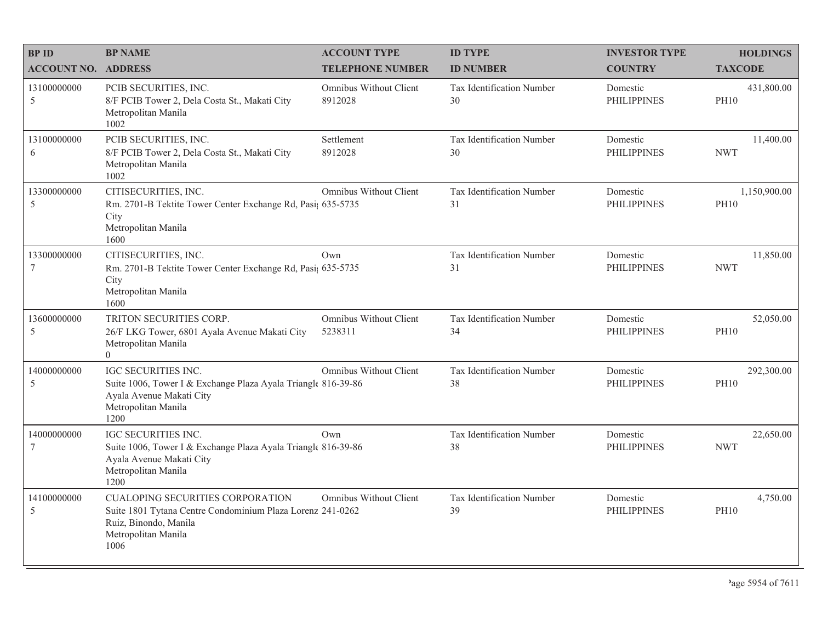| <b>BPID</b>                   | <b>BP NAME</b>                                                                                                                                                | <b>ACCOUNT TYPE</b>               | <b>ID TYPE</b>                  | <b>INVESTOR TYPE</b>           | <b>HOLDINGS</b>             |
|-------------------------------|---------------------------------------------------------------------------------------------------------------------------------------------------------------|-----------------------------------|---------------------------------|--------------------------------|-----------------------------|
| <b>ACCOUNT NO. ADDRESS</b>    |                                                                                                                                                               | <b>TELEPHONE NUMBER</b>           | <b>ID NUMBER</b>                | <b>COUNTRY</b>                 | <b>TAXCODE</b>              |
| 13100000000<br>5              | PCIB SECURITIES, INC.<br>8/F PCIB Tower 2, Dela Costa St., Makati City<br>Metropolitan Manila<br>1002                                                         | Omnibus Without Client<br>8912028 | Tax Identification Number<br>30 | Domestic<br><b>PHILIPPINES</b> | 431,800.00<br><b>PH10</b>   |
| 13100000000<br>6              | PCIB SECURITIES, INC.<br>8/F PCIB Tower 2, Dela Costa St., Makati City<br>Metropolitan Manila<br>1002                                                         | Settlement<br>8912028             | Tax Identification Number<br>30 | Domestic<br><b>PHILIPPINES</b> | 11,400.00<br><b>NWT</b>     |
| 13300000000<br>5              | CITISECURITIES, INC.<br>Rm. 2701-B Tektite Tower Center Exchange Rd, Pasi; 635-5735<br>City<br>Metropolitan Manila<br>1600                                    | Omnibus Without Client            | Tax Identification Number<br>31 | Domestic<br><b>PHILIPPINES</b> | 1,150,900.00<br><b>PH10</b> |
| 13300000000<br>7              | CITISECURITIES, INC.<br>Rm. 2701-B Tektite Tower Center Exchange Rd, Pasi; 635-5735<br>City<br>Metropolitan Manila<br>1600                                    | Own                               | Tax Identification Number<br>31 | Domestic<br><b>PHILIPPINES</b> | 11,850.00<br><b>NWT</b>     |
| 13600000000<br>5              | TRITON SECURITIES CORP.<br>26/F LKG Tower, 6801 Ayala Avenue Makati City<br>Metropolitan Manila<br>$\Omega$                                                   | Omnibus Without Client<br>5238311 | Tax Identification Number<br>34 | Domestic<br><b>PHILIPPINES</b> | 52,050.00<br><b>PH10</b>    |
| 14000000000<br>5              | <b>IGC SECURITIES INC.</b><br>Suite 1006, Tower I & Exchange Plaza Ayala Triangle 816-39-86<br>Ayala Avenue Makati City<br>Metropolitan Manila<br>1200        | Omnibus Without Client            | Tax Identification Number<br>38 | Domestic<br><b>PHILIPPINES</b> | 292,300.00<br><b>PH10</b>   |
| 14000000000<br>$\overline{7}$ | <b>IGC SECURITIES INC.</b><br>Suite 1006, Tower I & Exchange Plaza Ayala Triangle 816-39-86<br>Ayala Avenue Makati City<br>Metropolitan Manila<br>1200        | Own                               | Tax Identification Number<br>38 | Domestic<br><b>PHILIPPINES</b> | 22,650.00<br><b>NWT</b>     |
| 14100000000<br>5              | <b>CUALOPING SECURITIES CORPORATION</b><br>Suite 1801 Tytana Centre Condominium Plaza Lorenz 241-0262<br>Ruiz, Binondo, Manila<br>Metropolitan Manila<br>1006 | Omnibus Without Client            | Tax Identification Number<br>39 | Domestic<br><b>PHILIPPINES</b> | 4,750.00<br><b>PH10</b>     |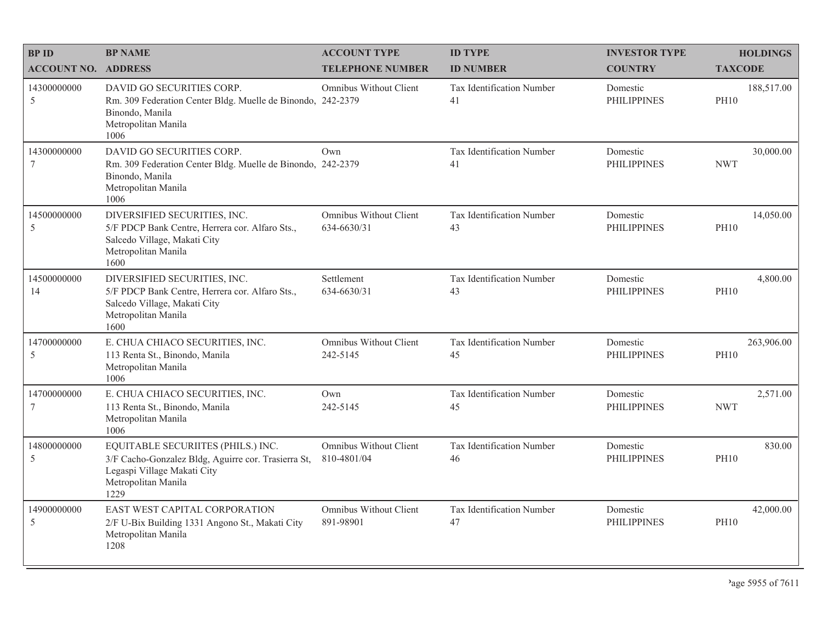| <b>BPID</b>                    | <b>BP NAME</b>                                                                                                                                          | <b>ACCOUNT TYPE</b>                          | <b>ID TYPE</b>                  | <b>INVESTOR TYPE</b>           | <b>HOLDINGS</b>           |
|--------------------------------|---------------------------------------------------------------------------------------------------------------------------------------------------------|----------------------------------------------|---------------------------------|--------------------------------|---------------------------|
| <b>ACCOUNT NO. ADDRESS</b>     |                                                                                                                                                         | <b>TELEPHONE NUMBER</b>                      | <b>ID NUMBER</b>                | <b>COUNTRY</b>                 | <b>TAXCODE</b>            |
| 14300000000<br>5               | DAVID GO SECURITIES CORP.<br>Rm. 309 Federation Center Bldg. Muelle de Binondo, 242-2379<br>Binondo, Manila<br>Metropolitan Manila<br>1006              | Omnibus Without Client                       | Tax Identification Number<br>41 | Domestic<br><b>PHILIPPINES</b> | 188,517.00<br><b>PH10</b> |
| 14300000000<br>$7\phantom{.0}$ | DAVID GO SECURITIES CORP.<br>Rm. 309 Federation Center Bldg. Muelle de Binondo, 242-2379<br>Binondo, Manila<br>Metropolitan Manila<br>1006              | Own                                          | Tax Identification Number<br>41 | Domestic<br><b>PHILIPPINES</b> | 30,000.00<br><b>NWT</b>   |
| 14500000000<br>5               | DIVERSIFIED SECURITIES, INC.<br>5/F PDCP Bank Centre, Herrera cor. Alfaro Sts.,<br>Salcedo Village, Makati City<br>Metropolitan Manila<br>1600          | <b>Omnibus Without Client</b><br>634-6630/31 | Tax Identification Number<br>43 | Domestic<br><b>PHILIPPINES</b> | 14,050.00<br><b>PH10</b>  |
| 14500000000<br>14              | DIVERSIFIED SECURITIES, INC.<br>5/F PDCP Bank Centre, Herrera cor. Alfaro Sts.,<br>Salcedo Village, Makati City<br>Metropolitan Manila<br>1600          | Settlement<br>634-6630/31                    | Tax Identification Number<br>43 | Domestic<br><b>PHILIPPINES</b> | 4,800.00<br><b>PH10</b>   |
| 14700000000<br>5               | E. CHUA CHIACO SECURITIES, INC.<br>113 Renta St., Binondo, Manila<br>Metropolitan Manila<br>1006                                                        | Omnibus Without Client<br>242-5145           | Tax Identification Number<br>45 | Domestic<br><b>PHILIPPINES</b> | 263,906.00<br><b>PH10</b> |
| 14700000000<br>7               | E. CHUA CHIACO SECURITIES, INC.<br>113 Renta St., Binondo, Manila<br>Metropolitan Manila<br>1006                                                        | Own<br>242-5145                              | Tax Identification Number<br>45 | Domestic<br><b>PHILIPPINES</b> | 2,571.00<br><b>NWT</b>    |
| 14800000000<br>5               | EQUITABLE SECURIITES (PHILS.) INC.<br>3/F Cacho-Gonzalez Bldg, Aguirre cor. Trasierra St,<br>Legaspi Village Makati City<br>Metropolitan Manila<br>1229 | Omnibus Without Client<br>810-4801/04        | Tax Identification Number<br>46 | Domestic<br><b>PHILIPPINES</b> | 830.00<br><b>PH10</b>     |
| 14900000000<br>5               | EAST WEST CAPITAL CORPORATION<br>2/F U-Bix Building 1331 Angono St., Makati City<br>Metropolitan Manila<br>1208                                         | Omnibus Without Client<br>891-98901          | Tax Identification Number<br>47 | Domestic<br><b>PHILIPPINES</b> | 42,000.00<br><b>PH10</b>  |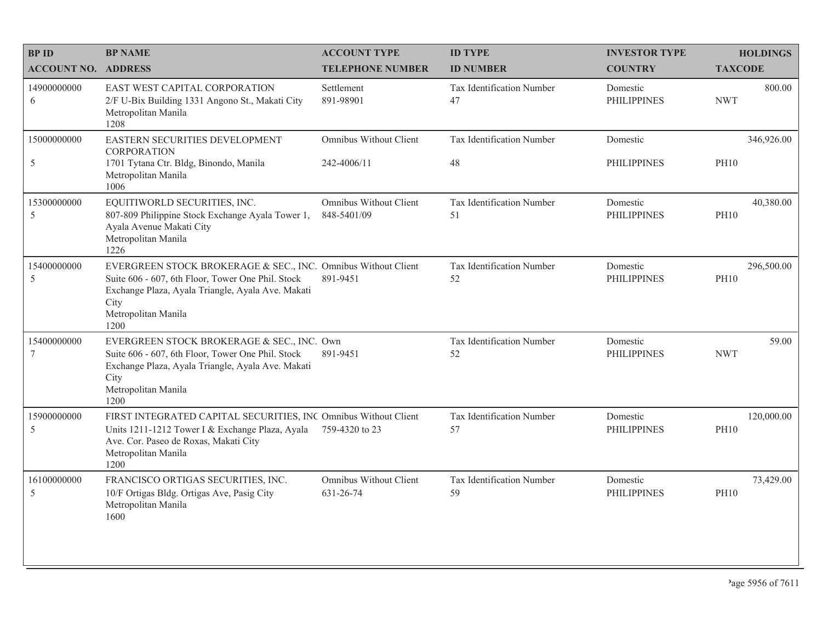| <b>BPID</b>                  | <b>BP NAME</b>                                                                                                                                                                                                 | <b>ACCOUNT TYPE</b>                   | <b>ID TYPE</b>                  | <b>INVESTOR TYPE</b>           | <b>HOLDINGS</b>           |
|------------------------------|----------------------------------------------------------------------------------------------------------------------------------------------------------------------------------------------------------------|---------------------------------------|---------------------------------|--------------------------------|---------------------------|
| <b>ACCOUNT NO. ADDRESS</b>   |                                                                                                                                                                                                                | <b>TELEPHONE NUMBER</b>               | <b>ID NUMBER</b>                | <b>COUNTRY</b>                 | <b>TAXCODE</b>            |
| 14900000000<br>6             | EAST WEST CAPITAL CORPORATION<br>2/F U-Bix Building 1331 Angono St., Makati City<br>Metropolitan Manila<br>1208                                                                                                | Settlement<br>891-98901               | Tax Identification Number<br>47 | Domestic<br><b>PHILIPPINES</b> | 800.00<br><b>NWT</b>      |
| 15000000000<br>5             | EASTERN SECURITIES DEVELOPMENT<br><b>CORPORATION</b><br>1701 Tytana Ctr. Bldg, Binondo, Manila<br>Metropolitan Manila<br>1006                                                                                  | Omnibus Without Client<br>242-4006/11 | Tax Identification Number<br>48 | Domestic<br><b>PHILIPPINES</b> | 346,926.00<br><b>PH10</b> |
| 15300000000<br>5             | EQUITIWORLD SECURITIES, INC.<br>807-809 Philippine Stock Exchange Ayala Tower 1,<br>Ayala Avenue Makati City<br>Metropolitan Manila<br>1226                                                                    | Omnibus Without Client<br>848-5401/09 | Tax Identification Number<br>51 | Domestic<br><b>PHILIPPINES</b> | 40,380.00<br><b>PH10</b>  |
| 15400000000<br>$\mathfrak s$ | EVERGREEN STOCK BROKERAGE & SEC., INC. Omnibus Without Client<br>Suite 606 - 607, 6th Floor, Tower One Phil. Stock<br>Exchange Plaza, Ayala Triangle, Ayala Ave. Makati<br>City<br>Metropolitan Manila<br>1200 | 891-9451                              | Tax Identification Number<br>52 | Domestic<br><b>PHILIPPINES</b> | 296,500.00<br><b>PH10</b> |
| 15400000000<br>7             | EVERGREEN STOCK BROKERAGE & SEC., INC. Own<br>Suite 606 - 607, 6th Floor, Tower One Phil. Stock<br>Exchange Plaza, Ayala Triangle, Ayala Ave. Makati<br>City<br>Metropolitan Manila<br>1200                    | 891-9451                              | Tax Identification Number<br>52 | Domestic<br><b>PHILIPPINES</b> | 59.00<br><b>NWT</b>       |
| 15900000000<br>5             | FIRST INTEGRATED CAPITAL SECURITIES, INC Omnibus Without Client<br>Units 1211-1212 Tower I & Exchange Plaza, Ayala<br>Ave. Cor. Paseo de Roxas, Makati City<br>Metropolitan Manila<br>1200                     | 759-4320 to 23                        | Tax Identification Number<br>57 | Domestic<br><b>PHILIPPINES</b> | 120,000.00<br><b>PH10</b> |
| 16100000000<br>5             | FRANCISCO ORTIGAS SECURITIES, INC.<br>10/F Ortigas Bldg. Ortigas Ave, Pasig City<br>Metropolitan Manila<br>1600                                                                                                | Omnibus Without Client<br>631-26-74   | Tax Identification Number<br>59 | Domestic<br><b>PHILIPPINES</b> | 73,429.00<br><b>PH10</b>  |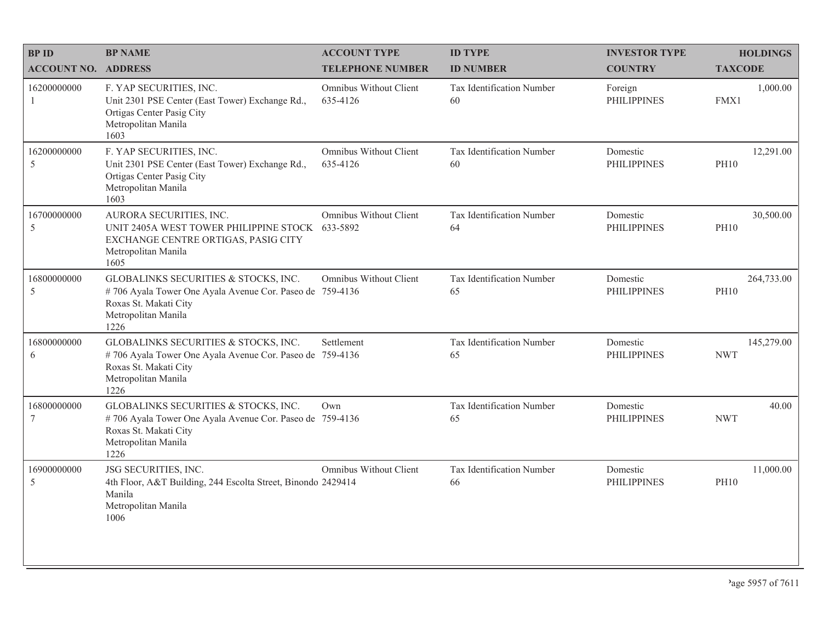| <b>BPID</b>                 | <b>BP NAME</b>                                                                                                                                           | <b>ACCOUNT TYPE</b>                       | <b>ID TYPE</b>                  | <b>INVESTOR TYPE</b>           | <b>HOLDINGS</b>           |
|-----------------------------|----------------------------------------------------------------------------------------------------------------------------------------------------------|-------------------------------------------|---------------------------------|--------------------------------|---------------------------|
| <b>ACCOUNT NO. ADDRESS</b>  |                                                                                                                                                          | <b>TELEPHONE NUMBER</b>                   | <b>ID NUMBER</b>                | <b>COUNTRY</b>                 | <b>TAXCODE</b>            |
| 16200000000<br>$\mathbf{1}$ | F. YAP SECURITIES, INC.<br>Unit 2301 PSE Center (East Tower) Exchange Rd.,<br>Ortigas Center Pasig City<br>Metropolitan Manila<br>1603                   | Omnibus Without Client<br>635-4126        | Tax Identification Number<br>60 | Foreign<br><b>PHILIPPINES</b>  | 1,000.00<br>FMX1          |
| 16200000000<br>5            | F. YAP SECURITIES, INC.<br>Unit 2301 PSE Center (East Tower) Exchange Rd.,<br>Ortigas Center Pasig City<br>Metropolitan Manila<br>1603                   | Omnibus Without Client<br>635-4126        | Tax Identification Number<br>60 | Domestic<br><b>PHILIPPINES</b> | 12,291.00<br><b>PH10</b>  |
| 16700000000<br>5            | AURORA SECURITIES, INC.<br>UNIT 2405A WEST TOWER PHILIPPINE STOCK<br>EXCHANGE CENTRE ORTIGAS, PASIG CITY<br>Metropolitan Manila<br>1605                  | <b>Omnibus Without Client</b><br>633-5892 | Tax Identification Number<br>64 | Domestic<br><b>PHILIPPINES</b> | 30,500.00<br><b>PH10</b>  |
| 16800000000<br>$\sqrt{5}$   | GLOBALINKS SECURITIES & STOCKS, INC.<br>#706 Ayala Tower One Ayala Avenue Cor. Paseo de 759-4136<br>Roxas St. Makati City<br>Metropolitan Manila<br>1226 | Omnibus Without Client                    | Tax Identification Number<br>65 | Domestic<br><b>PHILIPPINES</b> | 264,733.00<br><b>PH10</b> |
| 16800000000<br>6            | GLOBALINKS SECURITIES & STOCKS, INC.<br>#706 Ayala Tower One Ayala Avenue Cor. Paseo de 759-4136<br>Roxas St. Makati City<br>Metropolitan Manila<br>1226 | Settlement                                | Tax Identification Number<br>65 | Domestic<br><b>PHILIPPINES</b> | 145,279.00<br><b>NWT</b>  |
| 16800000000<br>7            | GLOBALINKS SECURITIES & STOCKS, INC.<br>#706 Ayala Tower One Ayala Avenue Cor. Paseo de 759-4136<br>Roxas St. Makati City<br>Metropolitan Manila<br>1226 | Own                                       | Tax Identification Number<br>65 | Domestic<br><b>PHILIPPINES</b> | 40.00<br><b>NWT</b>       |
| 16900000000<br>5            | JSG SECURITIES, INC.<br>4th Floor, A&T Building, 244 Escolta Street, Binondo 2429414<br>Manila<br>Metropolitan Manila<br>1006                            | Omnibus Without Client                    | Tax Identification Number<br>66 | Domestic<br><b>PHILIPPINES</b> | 11,000.00<br><b>PH10</b>  |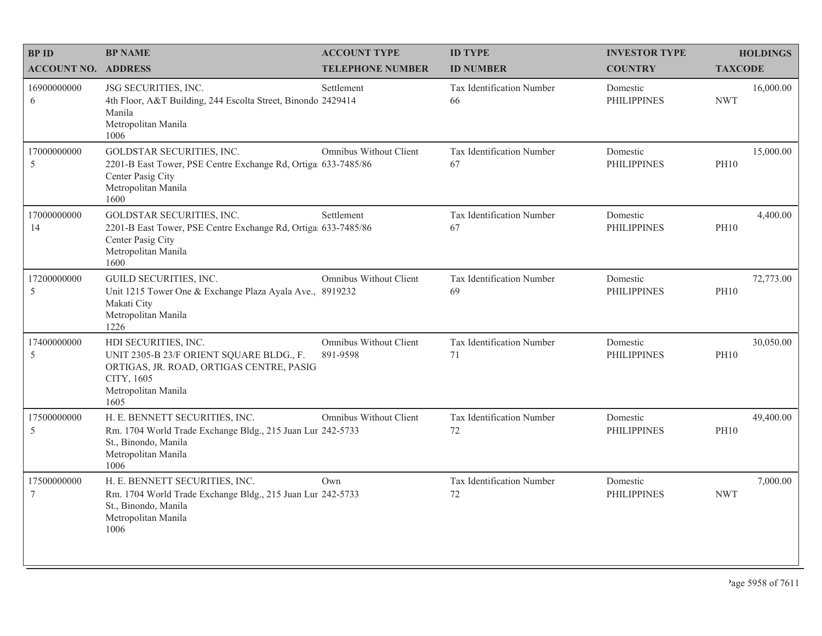| <b>BPID</b>                  | <b>BP NAME</b>                                                                                                                                            | <b>ACCOUNT TYPE</b>                | <b>ID TYPE</b>                  | <b>INVESTOR TYPE</b>           | <b>HOLDINGS</b>          |
|------------------------------|-----------------------------------------------------------------------------------------------------------------------------------------------------------|------------------------------------|---------------------------------|--------------------------------|--------------------------|
| <b>ACCOUNT NO. ADDRESS</b>   |                                                                                                                                                           | <b>TELEPHONE NUMBER</b>            | <b>ID NUMBER</b>                | <b>COUNTRY</b>                 | <b>TAXCODE</b>           |
| 16900000000<br>6             | JSG SECURITIES, INC.<br>4th Floor, A&T Building, 244 Escolta Street, Binondo 2429414<br>Manila<br>Metropolitan Manila<br>1006                             | Settlement                         | Tax Identification Number<br>66 | Domestic<br><b>PHILIPPINES</b> | 16,000.00<br><b>NWT</b>  |
| 17000000000<br>5             | GOLDSTAR SECURITIES, INC.<br>2201-B East Tower, PSE Centre Exchange Rd, Ortiga 633-7485/86<br>Center Pasig City<br>Metropolitan Manila<br>1600            | Omnibus Without Client             | Tax Identification Number<br>67 | Domestic<br><b>PHILIPPINES</b> | 15,000.00<br><b>PH10</b> |
| 17000000000<br>14            | GOLDSTAR SECURITIES, INC.<br>2201-B East Tower, PSE Centre Exchange Rd, Ortiga 633-7485/86<br>Center Pasig City<br>Metropolitan Manila<br>1600            | Settlement                         | Tax Identification Number<br>67 | Domestic<br><b>PHILIPPINES</b> | 4,400.00<br><b>PH10</b>  |
| 17200000000<br>$\mathfrak s$ | GUILD SECURITIES, INC.<br>Unit 1215 Tower One & Exchange Plaza Ayala Ave., 8919232<br>Makati City<br>Metropolitan Manila<br>1226                          | Omnibus Without Client             | Tax Identification Number<br>69 | Domestic<br><b>PHILIPPINES</b> | 72,773.00<br><b>PH10</b> |
| 17400000000<br>5             | HDI SECURITIES, INC.<br>UNIT 2305-B 23/F ORIENT SQUARE BLDG., F.<br>ORTIGAS, JR. ROAD, ORTIGAS CENTRE, PASIG<br>CITY, 1605<br>Metropolitan Manila<br>1605 | Omnibus Without Client<br>891-9598 | Tax Identification Number<br>71 | Domestic<br><b>PHILIPPINES</b> | 30,050.00<br><b>PH10</b> |
| 17500000000<br>5             | H. E. BENNETT SECURITIES, INC.<br>Rm. 1704 World Trade Exchange Bldg., 215 Juan Lur 242-5733<br>St., Binondo, Manila<br>Metropolitan Manila<br>1006       | Omnibus Without Client             | Tax Identification Number<br>72 | Domestic<br><b>PHILIPPINES</b> | 49,400.00<br><b>PH10</b> |
| 17500000000<br>$\tau$        | H. E. BENNETT SECURITIES, INC.<br>Rm. 1704 World Trade Exchange Bldg., 215 Juan Lur 242-5733<br>St., Binondo, Manila<br>Metropolitan Manila<br>1006       | Own                                | Tax Identification Number<br>72 | Domestic<br><b>PHILIPPINES</b> | 7,000.00<br><b>NWT</b>   |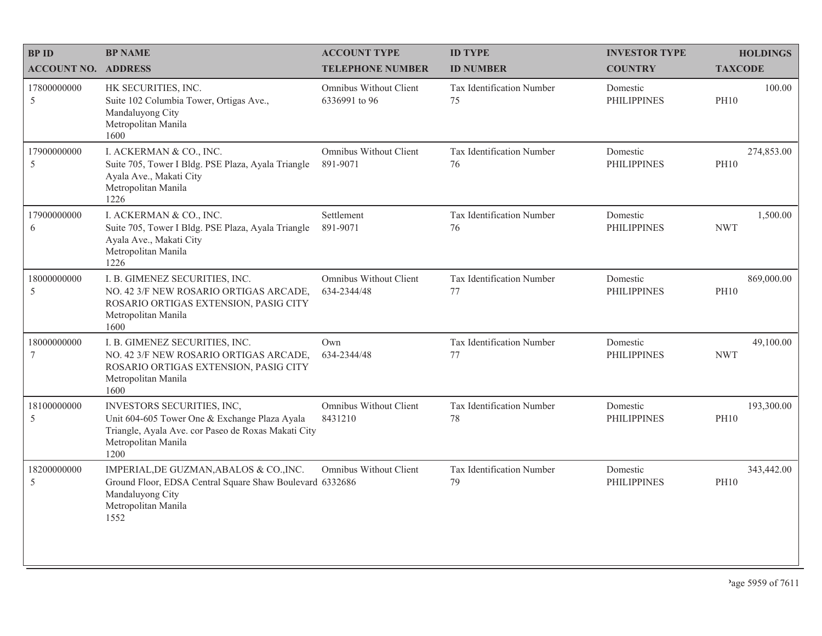| <b>BPID</b>                | <b>BP NAME</b>                                                                                                                                                    | <b>ACCOUNT TYPE</b>                            | <b>ID TYPE</b>                  | <b>INVESTOR TYPE</b>           | <b>HOLDINGS</b>           |
|----------------------------|-------------------------------------------------------------------------------------------------------------------------------------------------------------------|------------------------------------------------|---------------------------------|--------------------------------|---------------------------|
| <b>ACCOUNT NO. ADDRESS</b> |                                                                                                                                                                   | <b>TELEPHONE NUMBER</b>                        | <b>ID NUMBER</b>                | <b>COUNTRY</b>                 | <b>TAXCODE</b>            |
| 17800000000<br>5           | HK SECURITIES, INC.<br>Suite 102 Columbia Tower, Ortigas Ave.,<br>Mandaluyong City<br>Metropolitan Manila<br>1600                                                 | <b>Omnibus Without Client</b><br>6336991 to 96 | Tax Identification Number<br>75 | Domestic<br><b>PHILIPPINES</b> | 100.00<br><b>PH10</b>     |
| 17900000000<br>5           | I. ACKERMAN & CO., INC.<br>Suite 705, Tower I Bldg. PSE Plaza, Ayala Triangle<br>Ayala Ave., Makati City<br>Metropolitan Manila<br>1226                           | Omnibus Without Client<br>891-9071             | Tax Identification Number<br>76 | Domestic<br><b>PHILIPPINES</b> | 274,853.00<br><b>PH10</b> |
| 17900000000<br>6           | I. ACKERMAN & CO., INC.<br>Suite 705, Tower I Bldg. PSE Plaza, Ayala Triangle<br>Ayala Ave., Makati City<br>Metropolitan Manila<br>1226                           | Settlement<br>891-9071                         | Tax Identification Number<br>76 | Domestic<br><b>PHILIPPINES</b> | 1,500.00<br><b>NWT</b>    |
| 18000000000<br>5           | I. B. GIMENEZ SECURITIES, INC.<br>NO. 42 3/F NEW ROSARIO ORTIGAS ARCADE,<br>ROSARIO ORTIGAS EXTENSION, PASIG CITY<br>Metropolitan Manila<br>1600                  | Omnibus Without Client<br>634-2344/48          | Tax Identification Number<br>77 | Domestic<br><b>PHILIPPINES</b> | 869,000.00<br><b>PH10</b> |
| 18000000000<br>7           | I. B. GIMENEZ SECURITIES, INC.<br>NO. 42 3/F NEW ROSARIO ORTIGAS ARCADE,<br>ROSARIO ORTIGAS EXTENSION, PASIG CITY<br>Metropolitan Manila<br>1600                  | Own<br>634-2344/48                             | Tax Identification Number<br>77 | Domestic<br><b>PHILIPPINES</b> | 49,100.00<br><b>NWT</b>   |
| 18100000000<br>5           | INVESTORS SECURITIES, INC,<br>Unit 604-605 Tower One & Exchange Plaza Ayala<br>Triangle, Ayala Ave. cor Paseo de Roxas Makati City<br>Metropolitan Manila<br>1200 | Omnibus Without Client<br>8431210              | Tax Identification Number<br>78 | Domestic<br><b>PHILIPPINES</b> | 193,300.00<br><b>PH10</b> |
| 18200000000<br>5           | IMPERIAL, DE GUZMAN, ABALOS & CO., INC.<br>Ground Floor, EDSA Central Square Shaw Boulevard 6332686<br>Mandaluyong City<br>Metropolitan Manila<br>1552            | Omnibus Without Client                         | Tax Identification Number<br>79 | Domestic<br><b>PHILIPPINES</b> | 343,442.00<br><b>PH10</b> |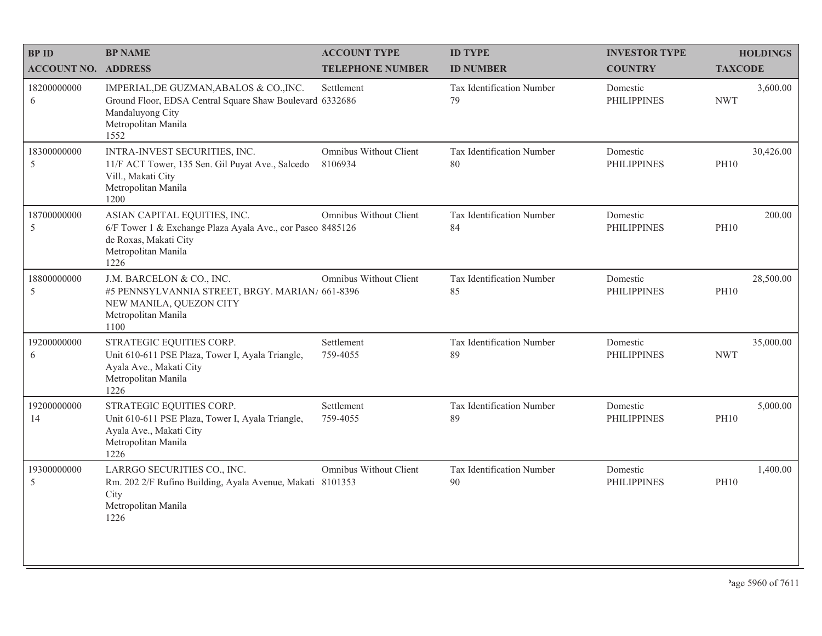| <b>BPID</b>                  | <b>BP NAME</b>                                                                                                                                         | <b>ACCOUNT TYPE</b>               | <b>ID TYPE</b>                  | <b>INVESTOR TYPE</b>           | <b>HOLDINGS</b>          |
|------------------------------|--------------------------------------------------------------------------------------------------------------------------------------------------------|-----------------------------------|---------------------------------|--------------------------------|--------------------------|
| <b>ACCOUNT NO. ADDRESS</b>   |                                                                                                                                                        | <b>TELEPHONE NUMBER</b>           | <b>ID NUMBER</b>                | <b>COUNTRY</b>                 | <b>TAXCODE</b>           |
| 18200000000<br>6             | IMPERIAL, DE GUZMAN, ABALOS & CO., INC.<br>Ground Floor, EDSA Central Square Shaw Boulevard 6332686<br>Mandaluyong City<br>Metropolitan Manila<br>1552 | Settlement                        | Tax Identification Number<br>79 | Domestic<br><b>PHILIPPINES</b> | 3,600.00<br><b>NWT</b>   |
| 18300000000<br>5             | INTRA-INVEST SECURITIES, INC.<br>11/F ACT Tower, 135 Sen. Gil Puyat Ave., Salcedo<br>Vill., Makati City<br>Metropolitan Manila<br>1200                 | Omnibus Without Client<br>8106934 | Tax Identification Number<br>80 | Domestic<br><b>PHILIPPINES</b> | 30,426.00<br><b>PH10</b> |
| 18700000000<br>$\mathfrak s$ | ASIAN CAPITAL EQUITIES, INC.<br>6/F Tower 1 & Exchange Plaza Ayala Ave., cor Paseo 8485126<br>de Roxas, Makati City<br>Metropolitan Manila<br>1226     | Omnibus Without Client            | Tax Identification Number<br>84 | Domestic<br><b>PHILIPPINES</b> | 200.00<br><b>PH10</b>    |
| 18800000000<br>$\mathfrak s$ | J.M. BARCELON & CO., INC.<br>#5 PENNSYLVANNIA STREET, BRGY. MARIAN/ 661-8396<br>NEW MANILA, QUEZON CITY<br>Metropolitan Manila<br>1100                 | Omnibus Without Client            | Tax Identification Number<br>85 | Domestic<br><b>PHILIPPINES</b> | 28,500.00<br><b>PH10</b> |
| 19200000000<br>6             | STRATEGIC EQUITIES CORP.<br>Unit 610-611 PSE Plaza, Tower I, Ayala Triangle,<br>Ayala Ave., Makati City<br>Metropolitan Manila<br>1226                 | Settlement<br>759-4055            | Tax Identification Number<br>89 | Domestic<br><b>PHILIPPINES</b> | 35,000.00<br><b>NWT</b>  |
| 19200000000<br>14            | STRATEGIC EQUITIES CORP.<br>Unit 610-611 PSE Plaza, Tower I, Ayala Triangle,<br>Ayala Ave., Makati City<br>Metropolitan Manila<br>1226                 | Settlement<br>759-4055            | Tax Identification Number<br>89 | Domestic<br><b>PHILIPPINES</b> | 5,000.00<br><b>PH10</b>  |
| 19300000000<br>5             | LARRGO SECURITIES CO., INC.<br>Rm. 202 2/F Rufino Building, Ayala Avenue, Makati 8101353<br>City<br>Metropolitan Manila<br>1226                        | Omnibus Without Client            | Tax Identification Number<br>90 | Domestic<br><b>PHILIPPINES</b> | 1,400.00<br><b>PH10</b>  |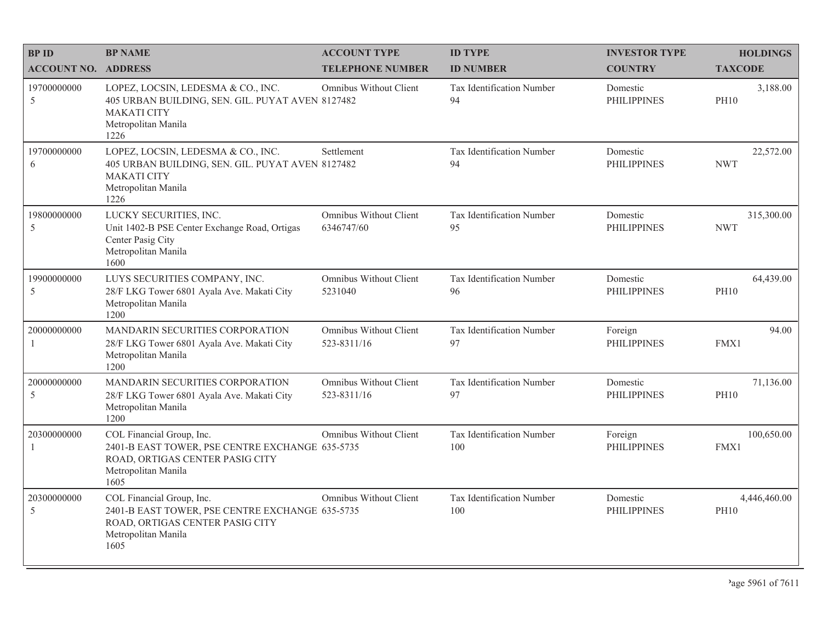| <b>BPID</b>                | <b>BP NAME</b>                                                                                                                                 | <b>ACCOUNT TYPE</b>                          | <b>ID TYPE</b>                   | <b>INVESTOR TYPE</b>           | <b>HOLDINGS</b>             |
|----------------------------|------------------------------------------------------------------------------------------------------------------------------------------------|----------------------------------------------|----------------------------------|--------------------------------|-----------------------------|
| <b>ACCOUNT NO. ADDRESS</b> |                                                                                                                                                | <b>TELEPHONE NUMBER</b>                      | <b>ID NUMBER</b>                 | <b>COUNTRY</b>                 | <b>TAXCODE</b>              |
| 19700000000<br>5           | LOPEZ, LOCSIN, LEDESMA & CO., INC.<br>405 URBAN BUILDING, SEN. GIL. PUYAT AVEN 8127482<br><b>MAKATI CITY</b><br>Metropolitan Manila<br>1226    | Omnibus Without Client                       | Tax Identification Number<br>94  | Domestic<br><b>PHILIPPINES</b> | 3,188.00<br><b>PH10</b>     |
| 19700000000<br>6           | LOPEZ, LOCSIN, LEDESMA & CO., INC.<br>405 URBAN BUILDING, SEN. GIL. PUYAT AVEN 8127482<br><b>MAKATI CITY</b><br>Metropolitan Manila<br>1226    | Settlement                                   | Tax Identification Number<br>94  | Domestic<br><b>PHILIPPINES</b> | 22,572.00<br><b>NWT</b>     |
| 19800000000<br>5           | LUCKY SECURITIES, INC.<br>Unit 1402-B PSE Center Exchange Road, Ortigas<br>Center Pasig City<br>Metropolitan Manila<br>1600                    | Omnibus Without Client<br>6346747/60         | Tax Identification Number<br>95  | Domestic<br><b>PHILIPPINES</b> | 315,300.00<br><b>NWT</b>    |
| 19900000000<br>5           | LUYS SECURITIES COMPANY, INC.<br>28/F LKG Tower 6801 Ayala Ave. Makati City<br>Metropolitan Manila<br>1200                                     | <b>Omnibus Without Client</b><br>5231040     | Tax Identification Number<br>96  | Domestic<br><b>PHILIPPINES</b> | 64,439.00<br><b>PH10</b>    |
| 20000000000<br>-1          | <b>MANDARIN SECURITIES CORPORATION</b><br>28/F LKG Tower 6801 Ayala Ave. Makati City<br>Metropolitan Manila<br>1200                            | Omnibus Without Client<br>523-8311/16        | Tax Identification Number<br>97  | Foreign<br><b>PHILIPPINES</b>  | 94.00<br>FMX1               |
| 20000000000<br>5           | MANDARIN SECURITIES CORPORATION<br>28/F LKG Tower 6801 Ayala Ave. Makati City<br>Metropolitan Manila<br>1200                                   | <b>Omnibus Without Client</b><br>523-8311/16 | Tax Identification Number<br>97  | Domestic<br><b>PHILIPPINES</b> | 71,136.00<br><b>PH10</b>    |
| 20300000000<br>-1          | COL Financial Group, Inc.<br>2401-B EAST TOWER, PSE CENTRE EXCHANGE 635-5735<br>ROAD, ORTIGAS CENTER PASIG CITY<br>Metropolitan Manila<br>1605 | Omnibus Without Client                       | Tax Identification Number<br>100 | Foreign<br><b>PHILIPPINES</b>  | 100,650.00<br>FMX1          |
| 20300000000<br>5           | COL Financial Group, Inc.<br>2401-B EAST TOWER, PSE CENTRE EXCHANGE 635-5735<br>ROAD, ORTIGAS CENTER PASIG CITY<br>Metropolitan Manila<br>1605 | <b>Omnibus Without Client</b>                | Tax Identification Number<br>100 | Domestic<br><b>PHILIPPINES</b> | 4,446,460.00<br><b>PH10</b> |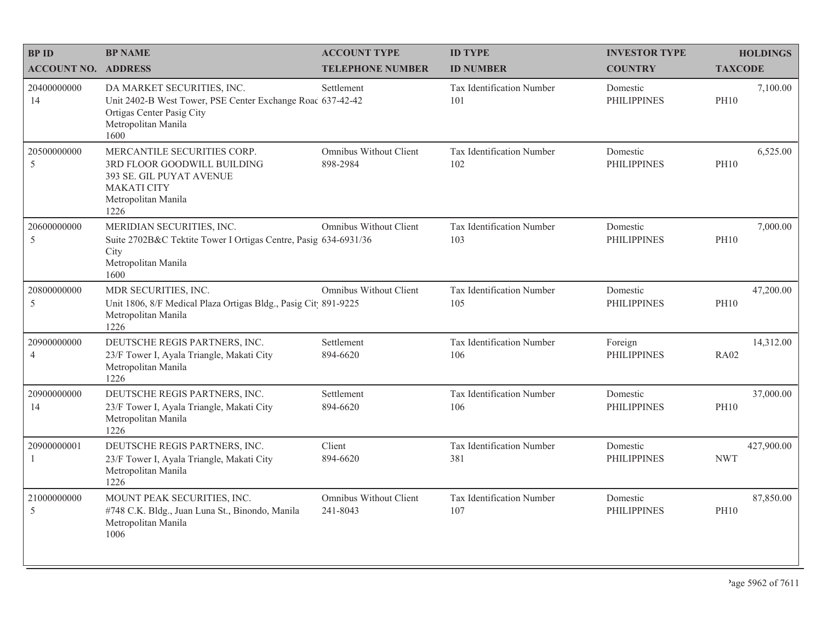| <b>BPID</b>                   | <b>BP NAME</b>                                                                                                                                       | <b>ACCOUNT TYPE</b>                | <b>ID TYPE</b>                   | <b>INVESTOR TYPE</b>           | <b>HOLDINGS</b>          |
|-------------------------------|------------------------------------------------------------------------------------------------------------------------------------------------------|------------------------------------|----------------------------------|--------------------------------|--------------------------|
| <b>ACCOUNT NO. ADDRESS</b>    |                                                                                                                                                      | <b>TELEPHONE NUMBER</b>            | <b>ID NUMBER</b>                 | <b>COUNTRY</b>                 | <b>TAXCODE</b>           |
| 20400000000<br>14             | DA MARKET SECURITIES, INC.<br>Unit 2402-B West Tower, PSE Center Exchange Roac 637-42-42<br>Ortigas Center Pasig City<br>Metropolitan Manila<br>1600 | Settlement                         | Tax Identification Number<br>101 | Domestic<br><b>PHILIPPINES</b> | 7,100.00<br><b>PH10</b>  |
| 20500000000<br>5              | MERCANTILE SECURITIES CORP.<br>3RD FLOOR GOODWILL BUILDING<br>393 SE. GIL PUYAT AVENUE<br><b>MAKATI CITY</b><br>Metropolitan Manila<br>1226          | Omnibus Without Client<br>898-2984 | Tax Identification Number<br>102 | Domestic<br><b>PHILIPPINES</b> | 6,525.00<br><b>PH10</b>  |
| 20600000000<br>5              | MERIDIAN SECURITIES, INC.<br>Suite 2702B&C Tektite Tower I Ortigas Centre, Pasig 634-6931/36<br>City<br>Metropolitan Manila<br>1600                  | Omnibus Without Client             | Tax Identification Number<br>103 | Domestic<br><b>PHILIPPINES</b> | 7,000.00<br><b>PH10</b>  |
| 20800000000<br>5              | MDR SECURITIES, INC.<br>Unit 1806, 8/F Medical Plaza Ortigas Bldg., Pasig Cit 891-9225<br>Metropolitan Manila<br>1226                                | Omnibus Without Client             | Tax Identification Number<br>105 | Domestic<br><b>PHILIPPINES</b> | 47,200.00<br><b>PH10</b> |
| 20900000000<br>$\overline{4}$ | DEUTSCHE REGIS PARTNERS, INC.<br>23/F Tower I, Ayala Triangle, Makati City<br>Metropolitan Manila<br>1226                                            | Settlement<br>894-6620             | Tax Identification Number<br>106 | Foreign<br><b>PHILIPPINES</b>  | 14,312.00<br><b>RA02</b> |
| 20900000000<br>14             | DEUTSCHE REGIS PARTNERS, INC.<br>23/F Tower I, Ayala Triangle, Makati City<br>Metropolitan Manila<br>1226                                            | Settlement<br>894-6620             | Tax Identification Number<br>106 | Domestic<br><b>PHILIPPINES</b> | 37,000.00<br><b>PH10</b> |
| 20900000001<br>-1             | DEUTSCHE REGIS PARTNERS, INC.<br>23/F Tower I, Ayala Triangle, Makati City<br>Metropolitan Manila<br>1226                                            | Client<br>894-6620                 | Tax Identification Number<br>381 | Domestic<br><b>PHILIPPINES</b> | 427,900.00<br><b>NWT</b> |
| 21000000000<br>5              | MOUNT PEAK SECURITIES, INC.<br>#748 C.K. Bldg., Juan Luna St., Binondo, Manila<br>Metropolitan Manila<br>1006                                        | Omnibus Without Client<br>241-8043 | Tax Identification Number<br>107 | Domestic<br><b>PHILIPPINES</b> | 87,850.00<br><b>PH10</b> |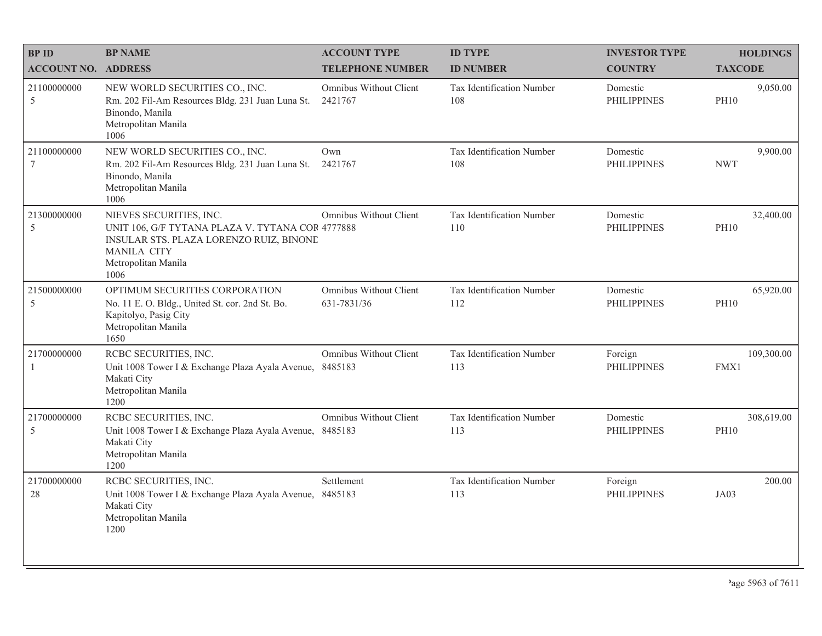| <b>BPID</b>                    | <b>BP NAME</b>                                                                                                                                                              | <b>ACCOUNT TYPE</b>                   | <b>ID TYPE</b>                   | <b>INVESTOR TYPE</b>           | <b>HOLDINGS</b>           |
|--------------------------------|-----------------------------------------------------------------------------------------------------------------------------------------------------------------------------|---------------------------------------|----------------------------------|--------------------------------|---------------------------|
| <b>ACCOUNT NO. ADDRESS</b>     |                                                                                                                                                                             | <b>TELEPHONE NUMBER</b>               | <b>ID NUMBER</b>                 | <b>COUNTRY</b>                 | <b>TAXCODE</b>            |
| 21100000000<br>5               | NEW WORLD SECURITIES CO., INC.<br>Rm. 202 Fil-Am Resources Bldg. 231 Juan Luna St.<br>Binondo, Manila<br>Metropolitan Manila<br>1006                                        | Omnibus Without Client<br>2421767     | Tax Identification Number<br>108 | Domestic<br><b>PHILIPPINES</b> | 9,050.00<br><b>PH10</b>   |
| 21100000000<br>$7\phantom{.0}$ | NEW WORLD SECURITIES CO., INC.<br>Rm. 202 Fil-Am Resources Bldg. 231 Juan Luna St.<br>Binondo, Manila<br>Metropolitan Manila<br>1006                                        | Own<br>2421767                        | Tax Identification Number<br>108 | Domestic<br><b>PHILIPPINES</b> | 9,900.00<br><b>NWT</b>    |
| 21300000000<br>5               | NIEVES SECURITIES, INC.<br>UNIT 106, G/F TYTANA PLAZA V. TYTANA COR 4777888<br>INSULAR STS. PLAZA LORENZO RUIZ, BINONE<br><b>MANILA CITY</b><br>Metropolitan Manila<br>1006 | Omnibus Without Client                | Tax Identification Number<br>110 | Domestic<br><b>PHILIPPINES</b> | 32,400.00<br><b>PH10</b>  |
| 21500000000<br>5               | OPTIMUM SECURITIES CORPORATION<br>No. 11 E. O. Bldg., United St. cor. 2nd St. Bo.<br>Kapitolyo, Pasig City<br>Metropolitan Manila<br>1650                                   | Omnibus Without Client<br>631-7831/36 | Tax Identification Number<br>112 | Domestic<br><b>PHILIPPINES</b> | 65,920.00<br><b>PH10</b>  |
| 21700000000<br>$\mathbf{1}$    | RCBC SECURITIES, INC.<br>Unit 1008 Tower I & Exchange Plaza Ayala Avenue,<br>Makati City<br>Metropolitan Manila<br>1200                                                     | Omnibus Without Client<br>8485183     | Tax Identification Number<br>113 | Foreign<br><b>PHILIPPINES</b>  | 109,300.00<br>FMX1        |
| 21700000000<br>5               | RCBC SECURITIES, INC.<br>Unit 1008 Tower I & Exchange Plaza Ayala Avenue,<br>Makati City<br>Metropolitan Manila<br>1200                                                     | Omnibus Without Client<br>8485183     | Tax Identification Number<br>113 | Domestic<br><b>PHILIPPINES</b> | 308,619.00<br><b>PH10</b> |
| 21700000000<br>28              | RCBC SECURITIES, INC.<br>Unit 1008 Tower I & Exchange Plaza Ayala Avenue, 8485183<br>Makati City<br>Metropolitan Manila<br>1200                                             | Settlement                            | Tax Identification Number<br>113 | Foreign<br><b>PHILIPPINES</b>  | 200.00<br>JA03            |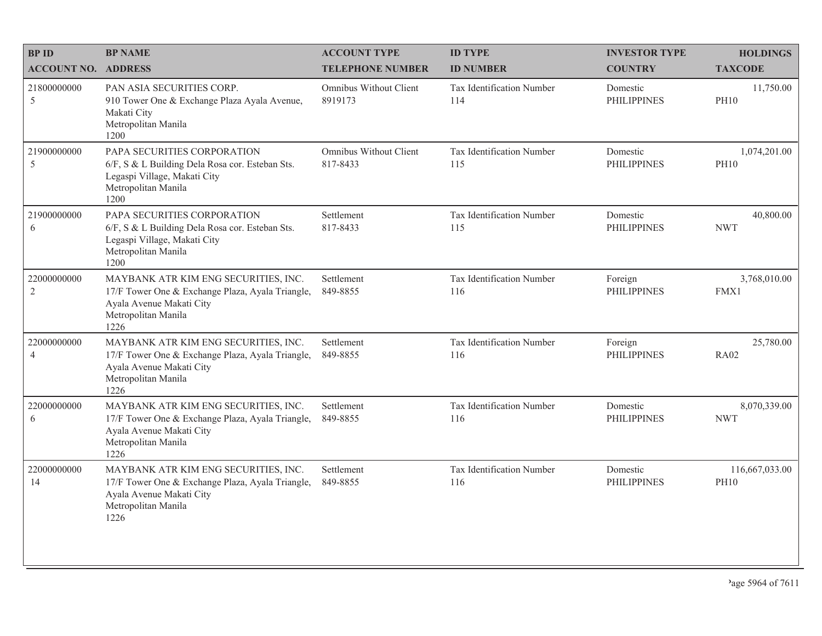| <b>BPID</b>                   | <b>BP NAME</b>                                                                                                                                      | <b>ACCOUNT TYPE</b>                      | <b>ID TYPE</b>                   | <b>INVESTOR TYPE</b>           | <b>HOLDINGS</b>               |
|-------------------------------|-----------------------------------------------------------------------------------------------------------------------------------------------------|------------------------------------------|----------------------------------|--------------------------------|-------------------------------|
| <b>ACCOUNT NO. ADDRESS</b>    |                                                                                                                                                     | <b>TELEPHONE NUMBER</b>                  | <b>ID NUMBER</b>                 | <b>COUNTRY</b>                 | <b>TAXCODE</b>                |
| 21800000000<br>5              | PAN ASIA SECURITIES CORP.<br>910 Tower One & Exchange Plaza Ayala Avenue,<br>Makati City<br>Metropolitan Manila<br>1200                             | <b>Omnibus Without Client</b><br>8919173 | Tax Identification Number<br>114 | Domestic<br><b>PHILIPPINES</b> | 11,750.00<br><b>PH10</b>      |
| 21900000000<br>5              | PAPA SECURITIES CORPORATION<br>6/F, S & L Building Dela Rosa cor. Esteban Sts.<br>Legaspi Village, Makati City<br>Metropolitan Manila<br>1200       | Omnibus Without Client<br>817-8433       | Tax Identification Number<br>115 | Domestic<br><b>PHILIPPINES</b> | 1,074,201.00<br><b>PH10</b>   |
| 21900000000<br>6              | PAPA SECURITIES CORPORATION<br>6/F, S & L Building Dela Rosa cor. Esteban Sts.<br>Legaspi Village, Makati City<br>Metropolitan Manila<br>1200       | Settlement<br>817-8433                   | Tax Identification Number<br>115 | Domestic<br><b>PHILIPPINES</b> | 40,800.00<br><b>NWT</b>       |
| 22000000000<br>$\sqrt{2}$     | MAYBANK ATR KIM ENG SECURITIES, INC.<br>17/F Tower One & Exchange Plaza, Ayala Triangle,<br>Ayala Avenue Makati City<br>Metropolitan Manila<br>1226 | Settlement<br>849-8855                   | Tax Identification Number<br>116 | Foreign<br><b>PHILIPPINES</b>  | 3,768,010.00<br>FMX1          |
| 22000000000<br>$\overline{4}$ | MAYBANK ATR KIM ENG SECURITIES, INC.<br>17/F Tower One & Exchange Plaza, Ayala Triangle,<br>Ayala Avenue Makati City<br>Metropolitan Manila<br>1226 | Settlement<br>849-8855                   | Tax Identification Number<br>116 | Foreign<br><b>PHILIPPINES</b>  | 25,780.00<br><b>RA02</b>      |
| 22000000000<br>6              | MAYBANK ATR KIM ENG SECURITIES, INC.<br>17/F Tower One & Exchange Plaza, Ayala Triangle,<br>Ayala Avenue Makati City<br>Metropolitan Manila<br>1226 | Settlement<br>849-8855                   | Tax Identification Number<br>116 | Domestic<br><b>PHILIPPINES</b> | 8,070,339.00<br><b>NWT</b>    |
| 22000000000<br>14             | MAYBANK ATR KIM ENG SECURITIES, INC.<br>17/F Tower One & Exchange Plaza, Ayala Triangle,<br>Ayala Avenue Makati City<br>Metropolitan Manila<br>1226 | Settlement<br>849-8855                   | Tax Identification Number<br>116 | Domestic<br><b>PHILIPPINES</b> | 116,667,033.00<br><b>PH10</b> |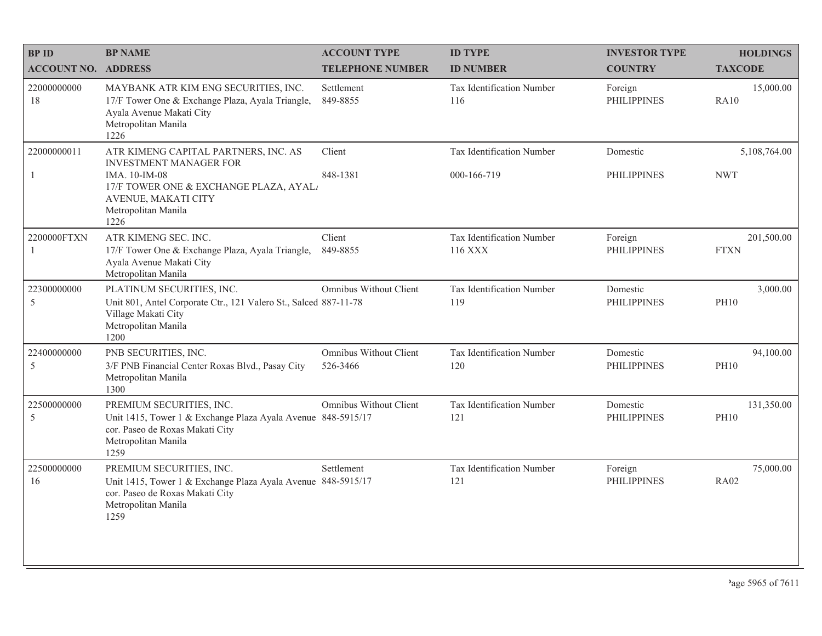| <b>BPID</b>                 | <b>BP NAME</b>                                                                                                                                                                        | <b>ACCOUNT TYPE</b>                       | <b>ID TYPE</b>                           | <b>INVESTOR TYPE</b>           | <b>HOLDINGS</b>            |
|-----------------------------|---------------------------------------------------------------------------------------------------------------------------------------------------------------------------------------|-------------------------------------------|------------------------------------------|--------------------------------|----------------------------|
| <b>ACCOUNT NO. ADDRESS</b>  |                                                                                                                                                                                       | <b>TELEPHONE NUMBER</b>                   | <b>ID NUMBER</b>                         | <b>COUNTRY</b>                 | <b>TAXCODE</b>             |
| 22000000000<br>18           | MAYBANK ATR KIM ENG SECURITIES, INC.<br>17/F Tower One & Exchange Plaza, Ayala Triangle,<br>Ayala Avenue Makati City<br>Metropolitan Manila<br>1226                                   | Settlement<br>849-8855                    | Tax Identification Number<br>116         | Foreign<br><b>PHILIPPINES</b>  | 15,000.00<br>RA10          |
| 22000000011<br>$\mathbf{1}$ | ATR KIMENG CAPITAL PARTNERS, INC. AS<br><b>INVESTMENT MANAGER FOR</b><br>IMA. 10-IM-08<br>17/F TOWER ONE & EXCHANGE PLAZA, AYAL<br>AVENUE, MAKATI CITY<br>Metropolitan Manila<br>1226 | Client<br>848-1381                        | Tax Identification Number<br>000-166-719 | Domestic<br><b>PHILIPPINES</b> | 5,108,764.00<br><b>NWT</b> |
| 2200000FTXN<br>1            | ATR KIMENG SEC. INC.<br>17/F Tower One & Exchange Plaza, Ayala Triangle,<br>Ayala Avenue Makati City<br>Metropolitan Manila                                                           | Client<br>849-8855                        | Tax Identification Number<br>116 XXX     | Foreign<br><b>PHILIPPINES</b>  | 201,500.00<br><b>FTXN</b>  |
| 22300000000<br>5            | PLATINUM SECURITIES, INC.<br>Unit 801, Antel Corporate Ctr., 121 Valero St., Salced 887-11-78<br>Village Makati City<br>Metropolitan Manila<br>1200                                   | Omnibus Without Client                    | Tax Identification Number<br>119         | Domestic<br><b>PHILIPPINES</b> | 3,000.00<br><b>PH10</b>    |
| 22400000000<br>5            | PNB SECURITIES, INC.<br>3/F PNB Financial Center Roxas Blvd., Pasay City<br>Metropolitan Manila<br>1300                                                                               | <b>Omnibus Without Client</b><br>526-3466 | Tax Identification Number<br>120         | Domestic<br><b>PHILIPPINES</b> | 94,100.00<br><b>PH10</b>   |
| 22500000000<br>5            | PREMIUM SECURITIES, INC.<br>Unit 1415, Tower 1 & Exchange Plaza Ayala Avenue 848-5915/17<br>cor. Paseo de Roxas Makati City<br>Metropolitan Manila<br>1259                            | <b>Omnibus Without Client</b>             | Tax Identification Number<br>121         | Domestic<br><b>PHILIPPINES</b> | 131,350.00<br><b>PH10</b>  |
| 22500000000<br>16           | PREMIUM SECURITIES, INC.<br>Unit 1415, Tower 1 & Exchange Plaza Ayala Avenue 848-5915/17<br>cor. Paseo de Roxas Makati City<br>Metropolitan Manila<br>1259                            | Settlement                                | Tax Identification Number<br>121         | Foreign<br><b>PHILIPPINES</b>  | 75,000.00<br><b>RA02</b>   |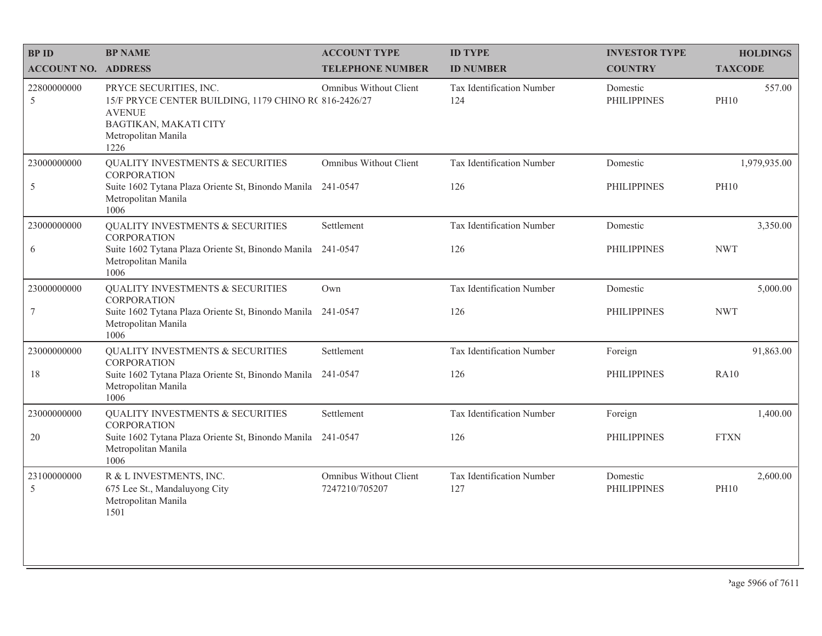| <b>BPID</b>                | <b>BP NAME</b>                                                                                                                                           | <b>ACCOUNT TYPE</b>                      | <b>ID TYPE</b>                   | <b>INVESTOR TYPE</b>           | <b>HOLDINGS</b>             |
|----------------------------|----------------------------------------------------------------------------------------------------------------------------------------------------------|------------------------------------------|----------------------------------|--------------------------------|-----------------------------|
| <b>ACCOUNT NO. ADDRESS</b> |                                                                                                                                                          | <b>TELEPHONE NUMBER</b>                  | <b>ID NUMBER</b>                 | <b>COUNTRY</b>                 | <b>TAXCODE</b>              |
| 22800000000<br>5           | PRYCE SECURITIES, INC.<br>15/F PRYCE CENTER BUILDING, 1179 CHINO R( 816-2426/27<br><b>AVENUE</b><br>BAGTIKAN, MAKATI CITY<br>Metropolitan Manila<br>1226 | Omnibus Without Client                   | Tax Identification Number<br>124 | Domestic<br><b>PHILIPPINES</b> | 557.00<br><b>PH10</b>       |
| 23000000000<br>5           | QUALITY INVESTMENTS & SECURITIES<br><b>CORPORATION</b><br>Suite 1602 Tytana Plaza Oriente St, Binondo Manila 241-0547<br>Metropolitan Manila<br>1006     | Omnibus Without Client                   | Tax Identification Number<br>126 | Domestic<br><b>PHILIPPINES</b> | 1,979,935.00<br><b>PH10</b> |
| 23000000000                | <b>QUALITY INVESTMENTS &amp; SECURITIES</b><br><b>CORPORATION</b>                                                                                        | Settlement                               | Tax Identification Number        | Domestic                       | 3,350.00                    |
| 6                          | Suite 1602 Tytana Plaza Oriente St, Binondo Manila 241-0547<br>Metropolitan Manila<br>1006                                                               |                                          | 126                              | <b>PHILIPPINES</b>             | <b>NWT</b>                  |
| 23000000000                | <b>QUALITY INVESTMENTS &amp; SECURITIES</b><br><b>CORPORATION</b>                                                                                        | Own                                      | Tax Identification Number        | Domestic                       | 5,000.00                    |
| $\tau$                     | Suite 1602 Tytana Plaza Oriente St, Binondo Manila<br>Metropolitan Manila<br>1006                                                                        | 241-0547                                 | 126                              | <b>PHILIPPINES</b>             | <b>NWT</b>                  |
| 23000000000                | QUALITY INVESTMENTS & SECURITIES<br><b>CORPORATION</b>                                                                                                   | Settlement                               | Tax Identification Number        | Foreign                        | 91,863.00                   |
| $18\,$                     | Suite 1602 Tytana Plaza Oriente St, Binondo Manila 241-0547<br>Metropolitan Manila<br>1006                                                               |                                          | 126                              | <b>PHILIPPINES</b>             | RA10                        |
| 23000000000                | <b>QUALITY INVESTMENTS &amp; SECURITIES</b><br><b>CORPORATION</b>                                                                                        | Settlement                               | Tax Identification Number        | Foreign                        | 1,400.00                    |
| $20\,$                     | Suite 1602 Tytana Plaza Oriente St, Binondo Manila 241-0547<br>Metropolitan Manila<br>1006                                                               |                                          | 126                              | <b>PHILIPPINES</b>             | <b>FTXN</b>                 |
| 23100000000<br>5           | R & L INVESTMENTS, INC.<br>675 Lee St., Mandaluyong City<br>Metropolitan Manila<br>1501                                                                  | Omnibus Without Client<br>7247210/705207 | Tax Identification Number<br>127 | Domestic<br><b>PHILIPPINES</b> | 2,600.00<br><b>PH10</b>     |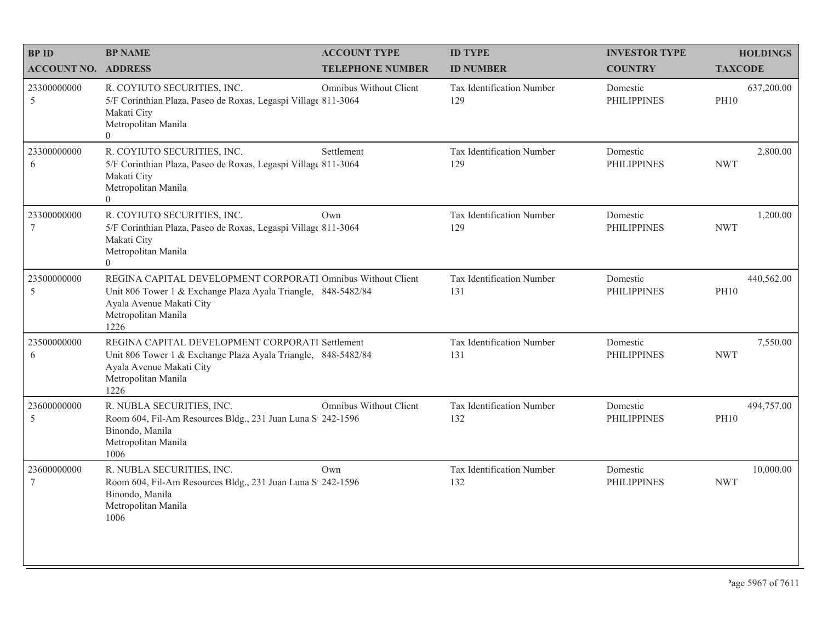| <b>BP ID</b>                   | <b>BP NAME</b>                                                                                                                                                                          | <b>ACCOUNT TYPE</b>     | <b>ID TYPE</b>                          | <b>INVESTOR TYPE</b>           | <b>HOLDINGS</b>           |
|--------------------------------|-----------------------------------------------------------------------------------------------------------------------------------------------------------------------------------------|-------------------------|-----------------------------------------|--------------------------------|---------------------------|
| <b>ACCOUNT NO. ADDRESS</b>     |                                                                                                                                                                                         | <b>TELEPHONE NUMBER</b> | <b>ID NUMBER</b>                        | <b>COUNTRY</b>                 | <b>TAXCODE</b>            |
| 23300000000<br>5               | R. COYIUTO SECURITIES, INC.<br>5/F Corinthian Plaza, Paseo de Roxas, Legaspi Village 811-3064<br>Makati City<br>Metropolitan Manila<br>$\Omega$                                         | Omnibus Without Client  | <b>Tax Identification Number</b><br>129 | Domestic<br><b>PHILIPPINES</b> | 637,200.00<br><b>PH10</b> |
| 23300000000<br>6               | R. COYIUTO SECURITIES, INC.<br>5/F Corinthian Plaza, Paseo de Roxas, Legaspi Village 811-3064<br>Makati City<br>Metropolitan Manila<br>$\overline{0}$                                   | Settlement              | Tax Identification Number<br>129        | Domestic<br><b>PHILIPPINES</b> | 2,800.00<br><b>NWT</b>    |
| 23300000000<br>$7\phantom{.0}$ | R. COYIUTO SECURITIES, INC.<br>5/F Corinthian Plaza, Paseo de Roxas, Legaspi Villag( 811-3064<br>Makati City<br>Metropolitan Manila<br>$\overline{0}$                                   | Own                     | Tax Identification Number<br>129        | Domestic<br><b>PHILIPPINES</b> | 1,200.00<br><b>NWT</b>    |
| 23500000000<br>5               | REGINA CAPITAL DEVELOPMENT CORPORATI Omnibus Without Client<br>Unit 806 Tower 1 & Exchange Plaza Ayala Triangle, 848-5482/84<br>Ayala Avenue Makati City<br>Metropolitan Manila<br>1226 |                         | Tax Identification Number<br>131        | Domestic<br><b>PHILIPPINES</b> | 440,562.00<br><b>PH10</b> |
| 23500000000<br>6               | REGINA CAPITAL DEVELOPMENT CORPORATI Settlement<br>Unit 806 Tower 1 & Exchange Plaza Ayala Triangle, 848-5482/84<br>Ayala Avenue Makati City<br>Metropolitan Manila<br>1226             |                         | Tax Identification Number<br>131        | Domestic<br><b>PHILIPPINES</b> | 7,550.00<br><b>NWT</b>    |
| 23600000000<br>5               | R. NUBLA SECURITIES, INC.<br>Room 604, Fil-Am Resources Bldg., 231 Juan Luna S 242-1596<br>Binondo, Manila<br>Metropolitan Manila<br>1006                                               | Omnibus Without Client  | Tax Identification Number<br>132        | Domestic<br><b>PHILIPPINES</b> | 494,757.00<br><b>PH10</b> |
| 23600000000<br>$7\phantom{.0}$ | R. NUBLA SECURITIES, INC.<br>Room 604, Fil-Am Resources Bldg., 231 Juan Luna S 242-1596<br>Binondo, Manila<br>Metropolitan Manila<br>1006                                               | Own                     | Tax Identification Number<br>132        | Domestic<br><b>PHILIPPINES</b> | 10,000.00<br><b>NWT</b>   |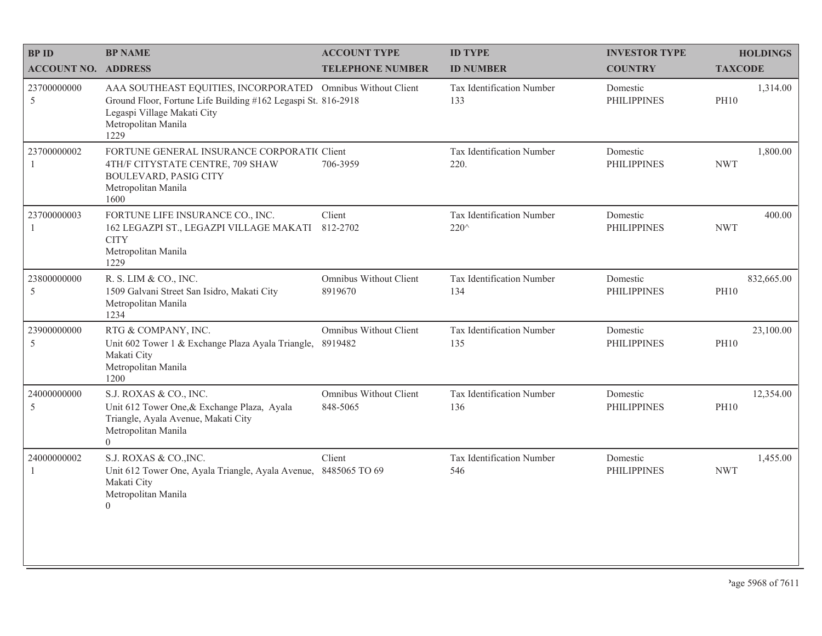| <b>BPID</b>                 | <b>BP NAME</b>                                                                                                                                                                             | <b>ACCOUNT TYPE</b>                      | <b>ID TYPE</b>                    | <b>INVESTOR TYPE</b>           | <b>HOLDINGS</b>           |
|-----------------------------|--------------------------------------------------------------------------------------------------------------------------------------------------------------------------------------------|------------------------------------------|-----------------------------------|--------------------------------|---------------------------|
| <b>ACCOUNT NO. ADDRESS</b>  |                                                                                                                                                                                            | <b>TELEPHONE NUMBER</b>                  | <b>ID NUMBER</b>                  | <b>COUNTRY</b>                 | <b>TAXCODE</b>            |
| 23700000000<br>5            | AAA SOUTHEAST EQUITIES, INCORPORATED Omnibus Without Client<br>Ground Floor, Fortune Life Building #162 Legaspi St. 816-2918<br>Legaspi Village Makati City<br>Metropolitan Manila<br>1229 |                                          | Tax Identification Number<br>133  | Domestic<br><b>PHILIPPINES</b> | 1,314.00<br><b>PH10</b>   |
| 23700000002<br>$\mathbf{1}$ | FORTUNE GENERAL INSURANCE CORPORATIC Client<br>4TH/F CITYSTATE CENTRE, 709 SHAW<br><b>BOULEVARD, PASIG CITY</b><br>Metropolitan Manila<br>1600                                             | 706-3959                                 | Tax Identification Number<br>220. | Domestic<br><b>PHILIPPINES</b> | 1,800.00<br><b>NWT</b>    |
| 23700000003<br>1            | FORTUNE LIFE INSURANCE CO., INC.<br>162 LEGAZPI ST., LEGAZPI VILLAGE MAKATI<br><b>CITY</b><br>Metropolitan Manila<br>1229                                                                  | Client<br>812-2702                       | Tax Identification Number<br>220^ | Domestic<br><b>PHILIPPINES</b> | 400.00<br><b>NWT</b>      |
| 23800000000<br>5            | R. S. LIM & CO., INC.<br>1509 Galvani Street San Isidro, Makati City<br>Metropolitan Manila<br>1234                                                                                        | <b>Omnibus Without Client</b><br>8919670 | Tax Identification Number<br>134  | Domestic<br><b>PHILIPPINES</b> | 832,665.00<br><b>PH10</b> |
| 23900000000<br>5            | RTG & COMPANY, INC.<br>Unit 602 Tower 1 & Exchange Plaza Ayala Triangle,<br>Makati City<br>Metropolitan Manila<br>1200                                                                     | <b>Omnibus Without Client</b><br>8919482 | Tax Identification Number<br>135  | Domestic<br><b>PHILIPPINES</b> | 23,100.00<br><b>PH10</b>  |
| 24000000000<br>5            | S.J. ROXAS & CO., INC.<br>Unit 612 Tower One, & Exchange Plaza, Ayala<br>Triangle, Ayala Avenue, Makati City<br>Metropolitan Manila<br>$\Omega$                                            | Omnibus Without Client<br>848-5065       | Tax Identification Number<br>136  | Domestic<br><b>PHILIPPINES</b> | 12,354.00<br><b>PH10</b>  |
| 24000000002<br>$\mathbf{1}$ | S.J. ROXAS & CO., INC.<br>Unit 612 Tower One, Ayala Triangle, Ayala Avenue,<br>Makati City<br>Metropolitan Manila<br>$\overline{0}$                                                        | Client<br>8485065 TO 69                  | Tax Identification Number<br>546  | Domestic<br><b>PHILIPPINES</b> | 1,455.00<br><b>NWT</b>    |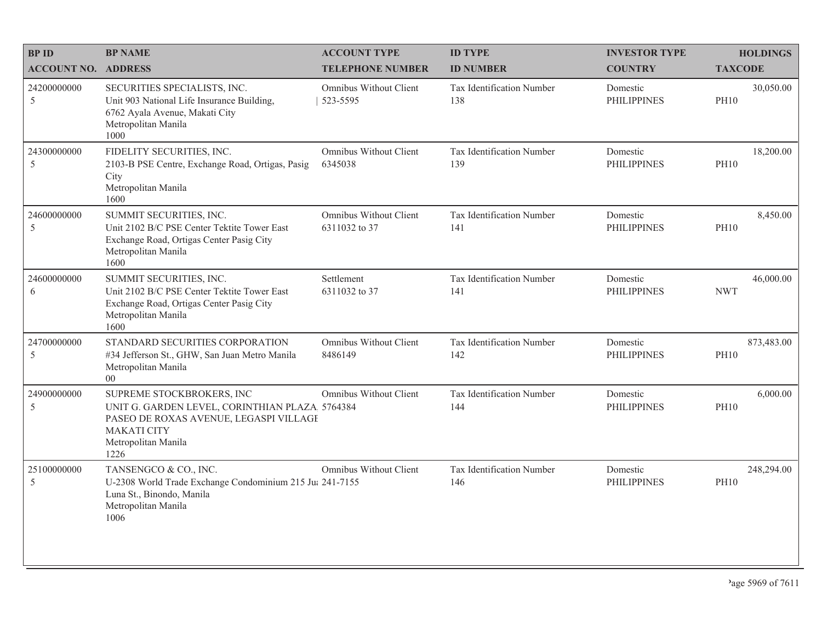| <b>BPID</b>                | <b>BP NAME</b>                                                                                                                                                             | <b>ACCOUNT TYPE</b>                            | <b>ID TYPE</b>                   | <b>INVESTOR TYPE</b>           | <b>HOLDINGS</b>           |
|----------------------------|----------------------------------------------------------------------------------------------------------------------------------------------------------------------------|------------------------------------------------|----------------------------------|--------------------------------|---------------------------|
| <b>ACCOUNT NO. ADDRESS</b> |                                                                                                                                                                            | <b>TELEPHONE NUMBER</b>                        | <b>ID NUMBER</b>                 | <b>COUNTRY</b>                 | <b>TAXCODE</b>            |
| 24200000000<br>5           | SECURITIES SPECIALISTS, INC.<br>Unit 903 National Life Insurance Building,<br>6762 Ayala Avenue, Makati City<br>Metropolitan Manila<br>1000                                | Omnibus Without Client<br>523-5595             | Tax Identification Number<br>138 | Domestic<br><b>PHILIPPINES</b> | 30,050.00<br><b>PH10</b>  |
| 24300000000<br>5           | FIDELITY SECURITIES, INC.<br>2103-B PSE Centre, Exchange Road, Ortigas, Pasig<br>City<br>Metropolitan Manila<br>1600                                                       | Omnibus Without Client<br>6345038              | Tax Identification Number<br>139 | Domestic<br><b>PHILIPPINES</b> | 18,200.00<br><b>PH10</b>  |
| 24600000000<br>5           | SUMMIT SECURITIES, INC.<br>Unit 2102 B/C PSE Center Tektite Tower East<br>Exchange Road, Ortigas Center Pasig City<br>Metropolitan Manila<br>1600                          | <b>Omnibus Without Client</b><br>6311032 to 37 | Tax Identification Number<br>141 | Domestic<br><b>PHILIPPINES</b> | 8,450.00<br><b>PH10</b>   |
| 24600000000<br>6           | SUMMIT SECURITIES, INC.<br>Unit 2102 B/C PSE Center Tektite Tower East<br>Exchange Road, Ortigas Center Pasig City<br>Metropolitan Manila<br>1600                          | Settlement<br>6311032 to 37                    | Tax Identification Number<br>141 | Domestic<br><b>PHILIPPINES</b> | 46,000.00<br><b>NWT</b>   |
| 24700000000<br>5           | STANDARD SECURITIES CORPORATION<br>#34 Jefferson St., GHW, San Juan Metro Manila<br>Metropolitan Manila<br>$00\,$                                                          | Omnibus Without Client<br>8486149              | Tax Identification Number<br>142 | Domestic<br><b>PHILIPPINES</b> | 873,483.00<br><b>PH10</b> |
| 24900000000<br>5           | SUPREME STOCKBROKERS, INC<br>UNIT G. GARDEN LEVEL, CORINTHIAN PLAZA 5764384<br>PASEO DE ROXAS AVENUE, LEGASPI VILLAGE<br><b>MAKATI CITY</b><br>Metropolitan Manila<br>1226 | Omnibus Without Client                         | Tax Identification Number<br>144 | Domestic<br><b>PHILIPPINES</b> | 6,000.00<br><b>PH10</b>   |
| 25100000000<br>5           | TANSENGCO & CO., INC.<br>U-2308 World Trade Exchange Condominium 215 Jul 241-7155<br>Luna St., Binondo, Manila<br>Metropolitan Manila<br>1006                              | Omnibus Without Client                         | Tax Identification Number<br>146 | Domestic<br><b>PHILIPPINES</b> | 248,294.00<br><b>PH10</b> |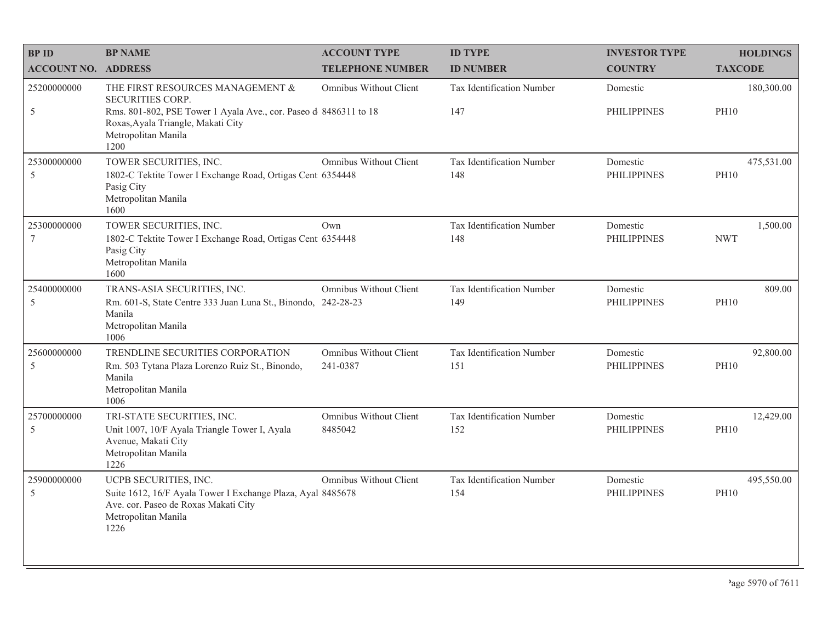| <b>BPID</b>                    | <b>BP NAME</b>                                                                                                                                                                                | <b>ACCOUNT TYPE</b>                      | <b>ID TYPE</b>                   | <b>INVESTOR TYPE</b>           | <b>HOLDINGS</b>           |
|--------------------------------|-----------------------------------------------------------------------------------------------------------------------------------------------------------------------------------------------|------------------------------------------|----------------------------------|--------------------------------|---------------------------|
| <b>ACCOUNT NO. ADDRESS</b>     |                                                                                                                                                                                               | <b>TELEPHONE NUMBER</b>                  | <b>ID NUMBER</b>                 | <b>COUNTRY</b>                 | <b>TAXCODE</b>            |
| 25200000000<br>5               | THE FIRST RESOURCES MANAGEMENT &<br>SECURITIES CORP.<br>Rms. 801-802, PSE Tower 1 Ayala Ave., cor. Paseo d 8486311 to 18<br>Roxas, Ayala Triangle, Makati City<br>Metropolitan Manila<br>1200 | Omnibus Without Client                   | Tax Identification Number<br>147 | Domestic<br><b>PHILIPPINES</b> | 180,300.00<br><b>PH10</b> |
| 25300000000<br>5               | TOWER SECURITIES, INC.<br>1802-C Tektite Tower I Exchange Road, Ortigas Cent 6354448<br>Pasig City<br>Metropolitan Manila<br>1600                                                             | Omnibus Without Client                   | Tax Identification Number<br>148 | Domestic<br><b>PHILIPPINES</b> | 475,531.00<br><b>PH10</b> |
| 25300000000<br>$7\phantom{.0}$ | TOWER SECURITIES, INC.<br>1802-C Tektite Tower I Exchange Road, Ortigas Cent 6354448<br>Pasig City<br>Metropolitan Manila<br>1600                                                             | Own                                      | Tax Identification Number<br>148 | Domestic<br><b>PHILIPPINES</b> | 1,500.00<br><b>NWT</b>    |
| 25400000000<br>5               | TRANS-ASIA SECURITIES, INC.<br>Rm. 601-S, State Centre 333 Juan Luna St., Binondo, 242-28-23<br>Manila<br>Metropolitan Manila<br>1006                                                         | Omnibus Without Client                   | Tax Identification Number<br>149 | Domestic<br><b>PHILIPPINES</b> | 809.00<br><b>PH10</b>     |
| 25600000000<br>5               | TRENDLINE SECURITIES CORPORATION<br>Rm. 503 Tytana Plaza Lorenzo Ruiz St., Binondo,<br>Manila<br>Metropolitan Manila<br>1006                                                                  | Omnibus Without Client<br>241-0387       | Tax Identification Number<br>151 | Domestic<br><b>PHILIPPINES</b> | 92,800.00<br><b>PH10</b>  |
| 25700000000<br>5               | TRI-STATE SECURITIES, INC.<br>Unit 1007, 10/F Ayala Triangle Tower I, Ayala<br>Avenue, Makati City<br>Metropolitan Manila<br>1226                                                             | <b>Omnibus Without Client</b><br>8485042 | Tax Identification Number<br>152 | Domestic<br><b>PHILIPPINES</b> | 12,429.00<br><b>PH10</b>  |
| 25900000000<br>5               | UCPB SECURITIES, INC.<br>Suite 1612, 16/F Ayala Tower I Exchange Plaza, Ayal 8485678<br>Ave. cor. Paseo de Roxas Makati City<br>Metropolitan Manila<br>1226                                   | <b>Omnibus Without Client</b>            | Tax Identification Number<br>154 | Domestic<br><b>PHILIPPINES</b> | 495,550.00<br><b>PH10</b> |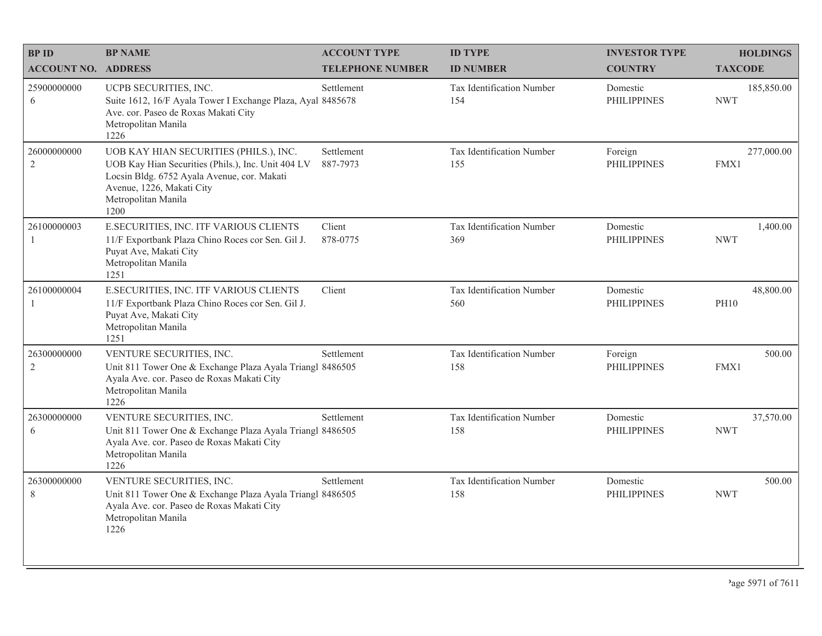| <b>BPID</b>                   | <b>BP NAME</b>                                                                                                                                                                                          | <b>ACCOUNT TYPE</b>     | <b>ID TYPE</b>                   | <b>INVESTOR TYPE</b>           | <b>HOLDINGS</b>          |
|-------------------------------|---------------------------------------------------------------------------------------------------------------------------------------------------------------------------------------------------------|-------------------------|----------------------------------|--------------------------------|--------------------------|
| <b>ACCOUNT NO. ADDRESS</b>    |                                                                                                                                                                                                         | <b>TELEPHONE NUMBER</b> | <b>ID NUMBER</b>                 | <b>COUNTRY</b>                 | <b>TAXCODE</b>           |
| 25900000000<br>6              | UCPB SECURITIES, INC.<br>Suite 1612, 16/F Ayala Tower I Exchange Plaza, Ayal 8485678<br>Ave. cor. Paseo de Roxas Makati City<br>Metropolitan Manila<br>1226                                             | Settlement              | Tax Identification Number<br>154 | Domestic<br><b>PHILIPPINES</b> | 185,850.00<br><b>NWT</b> |
| 26000000000<br>$\overline{2}$ | UOB KAY HIAN SECURITIES (PHILS.), INC.<br>UOB Kay Hian Securities (Phils.), Inc. Unit 404 LV<br>Locsin Bldg. 6752 Ayala Avenue, cor. Makati<br>Avenue, 1226, Makati City<br>Metropolitan Manila<br>1200 | Settlement<br>887-7973  | Tax Identification Number<br>155 | Foreign<br><b>PHILIPPINES</b>  | 277,000.00<br>FMX1       |
| 26100000003<br>1              | E.SECURITIES, INC. ITF VARIOUS CLIENTS<br>11/F Exportbank Plaza Chino Roces cor Sen. Gil J.<br>Puyat Ave, Makati City<br>Metropolitan Manila<br>1251                                                    | Client<br>878-0775      | Tax Identification Number<br>369 | Domestic<br><b>PHILIPPINES</b> | 1,400.00<br><b>NWT</b>   |
| 26100000004<br>$\mathbf{1}$   | E.SECURITIES, INC. ITF VARIOUS CLIENTS<br>11/F Exportbank Plaza Chino Roces cor Sen. Gil J.<br>Puyat Ave, Makati City<br>Metropolitan Manila<br>1251                                                    | Client                  | Tax Identification Number<br>560 | Domestic<br><b>PHILIPPINES</b> | 48,800.00<br><b>PH10</b> |
| 26300000000<br>$\sqrt{2}$     | VENTURE SECURITIES, INC.<br>Unit 811 Tower One & Exchange Plaza Ayala Triangl 8486505<br>Ayala Ave. cor. Paseo de Roxas Makati City<br>Metropolitan Manila<br>1226                                      | Settlement              | Tax Identification Number<br>158 | Foreign<br><b>PHILIPPINES</b>  | 500.00<br>FMX1           |
| 26300000000<br>6              | VENTURE SECURITIES, INC.<br>Unit 811 Tower One & Exchange Plaza Ayala Triangl 8486505<br>Ayala Ave. cor. Paseo de Roxas Makati City<br>Metropolitan Manila<br>1226                                      | Settlement              | Tax Identification Number<br>158 | Domestic<br><b>PHILIPPINES</b> | 37,570.00<br><b>NWT</b>  |
| 26300000000<br>8              | VENTURE SECURITIES, INC.<br>Unit 811 Tower One & Exchange Plaza Ayala Triangl 8486505<br>Ayala Ave. cor. Paseo de Roxas Makati City<br>Metropolitan Manila<br>1226                                      | Settlement              | Tax Identification Number<br>158 | Domestic<br><b>PHILIPPINES</b> | 500.00<br><b>NWT</b>     |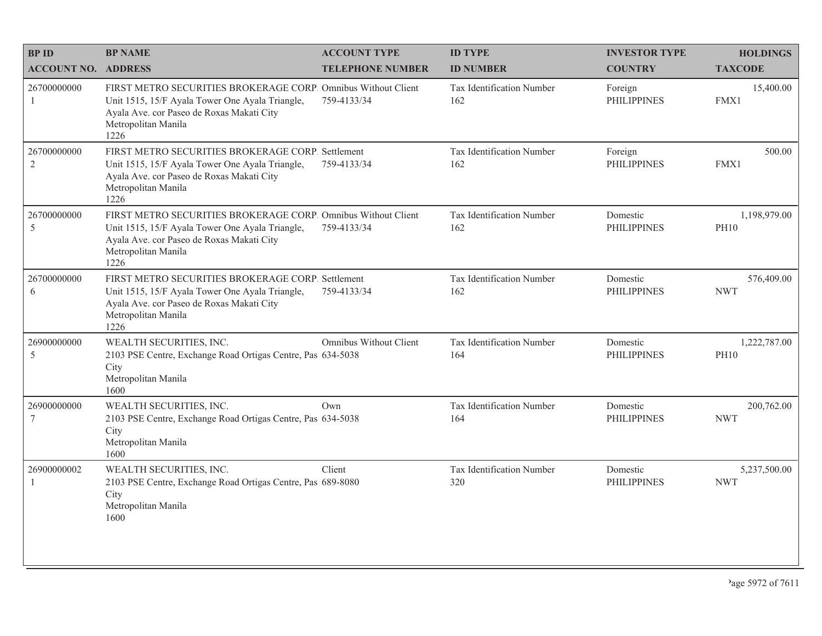| <b>BPID</b>                   | <b>BP NAME</b>                                                                                                                                                                               | <b>ACCOUNT TYPE</b>           | <b>ID TYPE</b>                          | <b>INVESTOR TYPE</b>           | <b>HOLDINGS</b>             |
|-------------------------------|----------------------------------------------------------------------------------------------------------------------------------------------------------------------------------------------|-------------------------------|-----------------------------------------|--------------------------------|-----------------------------|
| <b>ACCOUNT NO. ADDRESS</b>    |                                                                                                                                                                                              | <b>TELEPHONE NUMBER</b>       | <b>ID NUMBER</b>                        | <b>COUNTRY</b>                 | <b>TAXCODE</b>              |
| 26700000000<br>1              | FIRST METRO SECURITIES BROKERAGE CORP. Omnibus Without Client<br>Unit 1515, 15/F Ayala Tower One Ayala Triangle,<br>Ayala Ave. cor Paseo de Roxas Makati City<br>Metropolitan Manila<br>1226 | 759-4133/34                   | <b>Tax Identification Number</b><br>162 | Foreign<br><b>PHILIPPINES</b>  | 15,400.00<br>FMX1           |
| 26700000000<br>$\overline{2}$ | FIRST METRO SECURITIES BROKERAGE CORP. Settlement<br>Unit 1515, 15/F Ayala Tower One Ayala Triangle,<br>Ayala Ave. cor Paseo de Roxas Makati City<br>Metropolitan Manila<br>1226             | 759-4133/34                   | Tax Identification Number<br>162        | Foreign<br><b>PHILIPPINES</b>  | 500.00<br>FMX1              |
| 26700000000<br>5              | FIRST METRO SECURITIES BROKERAGE CORP. Omnibus Without Client<br>Unit 1515, 15/F Ayala Tower One Ayala Triangle,<br>Ayala Ave. cor Paseo de Roxas Makati City<br>Metropolitan Manila<br>1226 | 759-4133/34                   | Tax Identification Number<br>162        | Domestic<br><b>PHILIPPINES</b> | 1,198,979.00<br><b>PH10</b> |
| 26700000000<br>6              | FIRST METRO SECURITIES BROKERAGE CORP. Settlement<br>Unit 1515, 15/F Ayala Tower One Ayala Triangle,<br>Ayala Ave. cor Paseo de Roxas Makati City<br>Metropolitan Manila<br>1226             | 759-4133/34                   | Tax Identification Number<br>162        | Domestic<br><b>PHILIPPINES</b> | 576,409.00<br><b>NWT</b>    |
| 26900000000<br>5              | WEALTH SECURITIES, INC.<br>2103 PSE Centre, Exchange Road Ortigas Centre, Pas 634-5038<br>City<br>Metropolitan Manila<br>1600                                                                | <b>Omnibus Without Client</b> | Tax Identification Number<br>164        | Domestic<br><b>PHILIPPINES</b> | 1,222,787.00<br><b>PH10</b> |
| 26900000000<br>7              | WEALTH SECURITIES, INC.<br>2103 PSE Centre, Exchange Road Ortigas Centre, Pas 634-5038<br>City<br>Metropolitan Manila<br>1600                                                                | Own                           | Tax Identification Number<br>164        | Domestic<br><b>PHILIPPINES</b> | 200,762.00<br><b>NWT</b>    |
| 26900000002<br>$\mathbf{1}$   | WEALTH SECURITIES, INC.<br>2103 PSE Centre, Exchange Road Ortigas Centre, Pas 689-8080<br>City<br>Metropolitan Manila<br>1600                                                                | Client                        | Tax Identification Number<br>320        | Domestic<br><b>PHILIPPINES</b> | 5,237,500.00<br><b>NWT</b>  |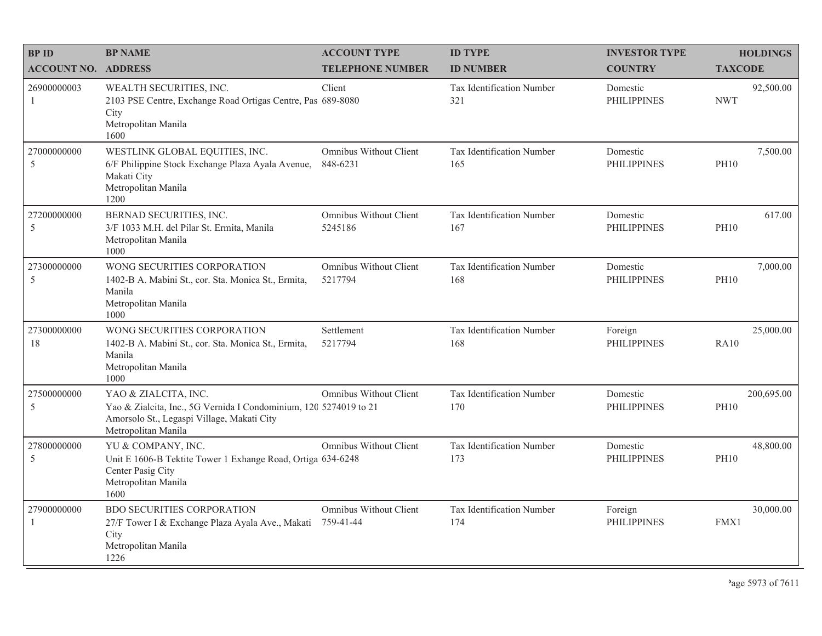| <b>BPID</b>                   | <b>BP NAME</b>                                                                                                                                                 | <b>ACCOUNT TYPE</b>                        | <b>ID TYPE</b>                   | <b>INVESTOR TYPE</b>           | <b>HOLDINGS</b>           |
|-------------------------------|----------------------------------------------------------------------------------------------------------------------------------------------------------------|--------------------------------------------|----------------------------------|--------------------------------|---------------------------|
| <b>ACCOUNT NO. ADDRESS</b>    |                                                                                                                                                                | <b>TELEPHONE NUMBER</b>                    | <b>ID NUMBER</b>                 | <b>COUNTRY</b>                 | <b>TAXCODE</b>            |
| 26900000003<br>1              | WEALTH SECURITIES, INC.<br>2103 PSE Centre, Exchange Road Ortigas Centre, Pas 689-8080<br>City<br>Metropolitan Manila<br>1600                                  | Client                                     | Tax Identification Number<br>321 | Domestic<br><b>PHILIPPINES</b> | 92,500.00<br><b>NWT</b>   |
| 27000000000<br>5              | WESTLINK GLOBAL EQUITIES, INC.<br>6/F Philippine Stock Exchange Plaza Ayala Avenue,<br>Makati City<br>Metropolitan Manila<br>1200                              | Omnibus Without Client<br>848-6231         | Tax Identification Number<br>165 | Domestic<br><b>PHILIPPINES</b> | 7,500.00<br><b>PH10</b>   |
| 27200000000<br>5              | BERNAD SECURITIES, INC.<br>3/F 1033 M.H. del Pilar St. Ermita, Manila<br>Metropolitan Manila<br>1000                                                           | Omnibus Without Client<br>5245186          | Tax Identification Number<br>167 | Domestic<br><b>PHILIPPINES</b> | 617.00<br><b>PH10</b>     |
| 27300000000<br>$\sqrt{5}$     | WONG SECURITIES CORPORATION<br>1402-B A. Mabini St., cor. Sta. Monica St., Ermita,<br>Manila<br>Metropolitan Manila<br>1000                                    | Omnibus Without Client<br>5217794          | Tax Identification Number<br>168 | Domestic<br><b>PHILIPPINES</b> | 7,000.00<br><b>PH10</b>   |
| 27300000000<br>18             | WONG SECURITIES CORPORATION<br>1402-B A. Mabini St., cor. Sta. Monica St., Ermita,<br>Manila<br>Metropolitan Manila<br>1000                                    | Settlement<br>5217794                      | Tax Identification Number<br>168 | Foreign<br><b>PHILIPPINES</b>  | 25,000.00<br><b>RA10</b>  |
| 27500000000<br>5              | YAO & ZIALCITA, INC.<br>Yao & Zialcita, Inc., 5G Vernida I Condominium, 120 5274019 to 21<br>Amorsolo St., Legaspi Village, Makati City<br>Metropolitan Manila | Omnibus Without Client                     | Tax Identification Number<br>170 | Domestic<br><b>PHILIPPINES</b> | 200,695.00<br><b>PH10</b> |
| 27800000000<br>5              | YU & COMPANY, INC.<br>Unit E 1606-B Tektite Tower 1 Exhange Road, Ortiga 634-6248<br>Center Pasig City<br>Metropolitan Manila<br>1600                          | Omnibus Without Client                     | Tax Identification Number<br>173 | Domestic<br><b>PHILIPPINES</b> | 48,800.00<br><b>PH10</b>  |
| 27900000000<br>$\overline{1}$ | <b>BDO SECURITIES CORPORATION</b><br>27/F Tower I & Exchange Plaza Ayala Ave., Makati<br>City<br>Metropolitan Manila<br>1226                                   | <b>Omnibus Without Client</b><br>759-41-44 | Tax Identification Number<br>174 | Foreign<br><b>PHILIPPINES</b>  | 30,000.00<br>FMX1         |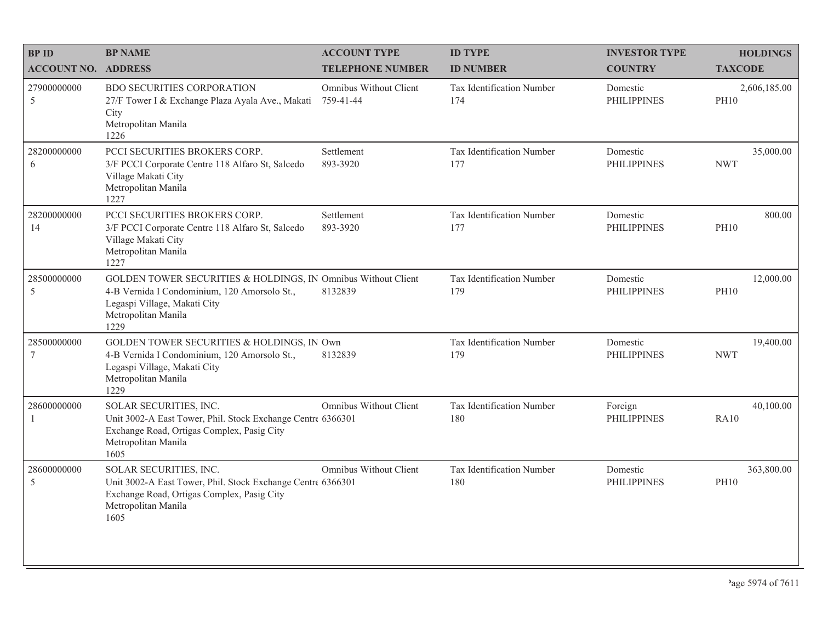| <b>BPID</b>                | <b>BP NAME</b>                                                                                                                                                               | <b>ACCOUNT TYPE</b>                        | <b>ID TYPE</b>                   | <b>INVESTOR TYPE</b>           | <b>HOLDINGS</b>             |
|----------------------------|------------------------------------------------------------------------------------------------------------------------------------------------------------------------------|--------------------------------------------|----------------------------------|--------------------------------|-----------------------------|
| <b>ACCOUNT NO. ADDRESS</b> |                                                                                                                                                                              | <b>TELEPHONE NUMBER</b>                    | <b>ID NUMBER</b>                 | <b>COUNTRY</b>                 | <b>TAXCODE</b>              |
| 27900000000<br>5           | <b>BDO SECURITIES CORPORATION</b><br>27/F Tower I & Exchange Plaza Ayala Ave., Makati<br>City<br>Metropolitan Manila<br>1226                                                 | <b>Omnibus Without Client</b><br>759-41-44 | Tax Identification Number<br>174 | Domestic<br><b>PHILIPPINES</b> | 2,606,185.00<br><b>PH10</b> |
| 28200000000<br>6           | PCCI SECURITIES BROKERS CORP.<br>3/F PCCI Corporate Centre 118 Alfaro St, Salcedo<br>Village Makati City<br>Metropolitan Manila<br>1227                                      | Settlement<br>893-3920                     | Tax Identification Number<br>177 | Domestic<br><b>PHILIPPINES</b> | 35,000.00<br><b>NWT</b>     |
| 28200000000<br>14          | PCCI SECURITIES BROKERS CORP.<br>3/F PCCI Corporate Centre 118 Alfaro St, Salcedo<br>Village Makati City<br>Metropolitan Manila<br>1227                                      | Settlement<br>893-3920                     | Tax Identification Number<br>177 | Domestic<br><b>PHILIPPINES</b> | 800.00<br><b>PH10</b>       |
| 28500000000<br>5           | GOLDEN TOWER SECURITIES & HOLDINGS, IN Omnibus Without Client<br>4-B Vernida I Condominium, 120 Amorsolo St.,<br>Legaspi Village, Makati City<br>Metropolitan Manila<br>1229 | 8132839                                    | Tax Identification Number<br>179 | Domestic<br><b>PHILIPPINES</b> | 12,000.00<br><b>PH10</b>    |
| 28500000000<br>$\tau$      | GOLDEN TOWER SECURITIES & HOLDINGS, IN Own<br>4-B Vernida I Condominium, 120 Amorsolo St.,<br>Legaspi Village, Makati City<br>Metropolitan Manila<br>1229                    | 8132839                                    | Tax Identification Number<br>179 | Domestic<br><b>PHILIPPINES</b> | 19,400.00<br><b>NWT</b>     |
| 28600000000<br>1           | SOLAR SECURITIES, INC.<br>Unit 3002-A East Tower, Phil. Stock Exchange Centre 6366301<br>Exchange Road, Ortigas Complex, Pasig City<br>Metropolitan Manila<br>1605           | Omnibus Without Client                     | Tax Identification Number<br>180 | Foreign<br><b>PHILIPPINES</b>  | 40,100.00<br>RA10           |
| 28600000000<br>5           | SOLAR SECURITIES, INC.<br>Unit 3002-A East Tower, Phil. Stock Exchange Centre 6366301<br>Exchange Road, Ortigas Complex, Pasig City<br>Metropolitan Manila<br>1605           | Omnibus Without Client                     | Tax Identification Number<br>180 | Domestic<br><b>PHILIPPINES</b> | 363,800.00<br><b>PH10</b>   |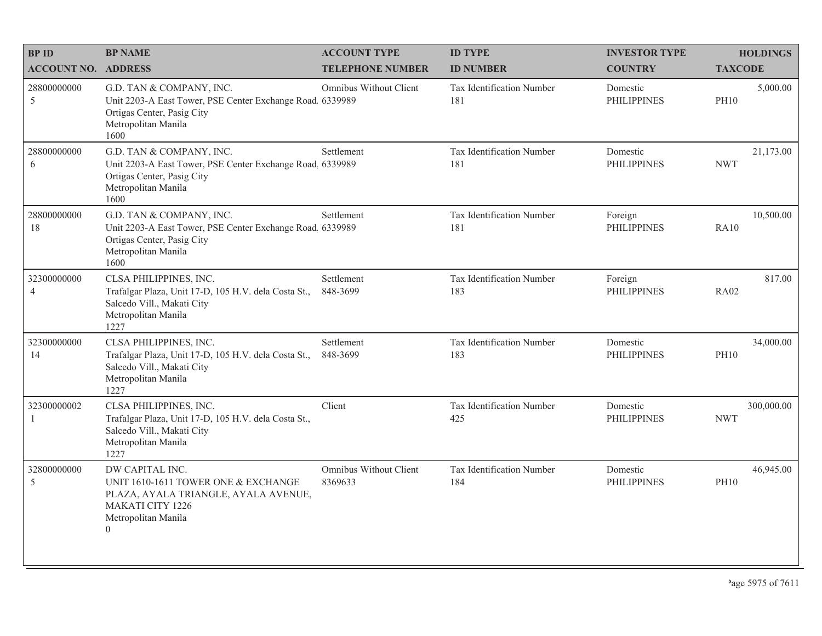| <b>BPID</b>                   | <b>BP NAME</b>                                                                                                                                               | <b>ACCOUNT TYPE</b>               | <b>ID TYPE</b>                   | <b>INVESTOR TYPE</b>           | <b>HOLDINGS</b>          |
|-------------------------------|--------------------------------------------------------------------------------------------------------------------------------------------------------------|-----------------------------------|----------------------------------|--------------------------------|--------------------------|
| <b>ACCOUNT NO. ADDRESS</b>    |                                                                                                                                                              | <b>TELEPHONE NUMBER</b>           | <b>ID NUMBER</b>                 | <b>COUNTRY</b>                 | <b>TAXCODE</b>           |
| 28800000000<br>5              | G.D. TAN & COMPANY, INC.<br>Unit 2203-A East Tower, PSE Center Exchange Road, 6339989<br>Ortigas Center, Pasig City<br>Metropolitan Manila<br>1600           | Omnibus Without Client            | Tax Identification Number<br>181 | Domestic<br><b>PHILIPPINES</b> | 5,000.00<br><b>PH10</b>  |
| 28800000000<br>6              | G.D. TAN & COMPANY, INC.<br>Unit 2203-A East Tower, PSE Center Exchange Road. 6339989<br>Ortigas Center, Pasig City<br>Metropolitan Manila<br>1600           | Settlement                        | Tax Identification Number<br>181 | Domestic<br><b>PHILIPPINES</b> | 21,173.00<br><b>NWT</b>  |
| 28800000000<br>18             | G.D. TAN & COMPANY, INC.<br>Unit 2203-A East Tower, PSE Center Exchange Road 6339989<br>Ortigas Center, Pasig City<br>Metropolitan Manila<br>1600            | Settlement                        | Tax Identification Number<br>181 | Foreign<br><b>PHILIPPINES</b>  | 10,500.00<br><b>RA10</b> |
| 32300000000<br>$\overline{4}$ | CLSA PHILIPPINES, INC.<br>Trafalgar Plaza, Unit 17-D, 105 H.V. dela Costa St.,<br>Salcedo Vill., Makati City<br>Metropolitan Manila<br>1227                  | Settlement<br>848-3699            | Tax Identification Number<br>183 | Foreign<br><b>PHILIPPINES</b>  | 817.00<br><b>RA02</b>    |
| 32300000000<br>14             | CLSA PHILIPPINES, INC.<br>Trafalgar Plaza, Unit 17-D, 105 H.V. dela Costa St.,<br>Salcedo Vill., Makati City<br>Metropolitan Manila<br>1227                  | Settlement<br>848-3699            | Tax Identification Number<br>183 | Domestic<br><b>PHILIPPINES</b> | 34,000.00<br><b>PH10</b> |
| 32300000002<br>1              | CLSA PHILIPPINES, INC.<br>Trafalgar Plaza, Unit 17-D, 105 H.V. dela Costa St.,<br>Salcedo Vill., Makati City<br>Metropolitan Manila<br>1227                  | Client                            | Tax Identification Number<br>425 | Domestic<br><b>PHILIPPINES</b> | 300,000.00<br><b>NWT</b> |
| 32800000000<br>5              | DW CAPITAL INC.<br>UNIT 1610-1611 TOWER ONE & EXCHANGE<br>PLAZA, AYALA TRIANGLE, AYALA AVENUE,<br><b>MAKATI CITY 1226</b><br>Metropolitan Manila<br>$\theta$ | Omnibus Without Client<br>8369633 | Tax Identification Number<br>184 | Domestic<br><b>PHILIPPINES</b> | 46,945.00<br><b>PH10</b> |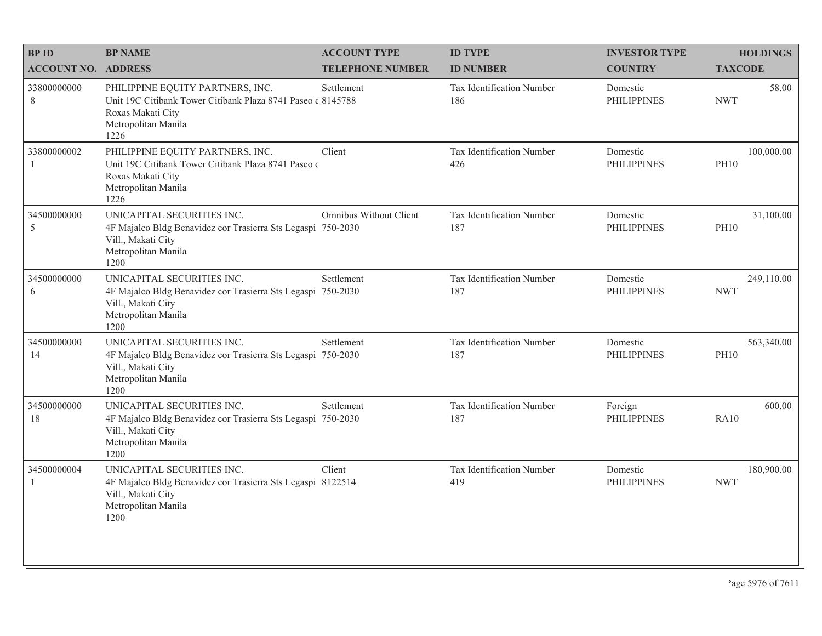| <b>BPID</b>                 | <b>BP NAME</b>                                                                                                                                      | <b>ACCOUNT TYPE</b>           | <b>ID TYPE</b>                   | <b>INVESTOR TYPE</b>           | <b>HOLDINGS</b>           |
|-----------------------------|-----------------------------------------------------------------------------------------------------------------------------------------------------|-------------------------------|----------------------------------|--------------------------------|---------------------------|
| <b>ACCOUNT NO. ADDRESS</b>  |                                                                                                                                                     | <b>TELEPHONE NUMBER</b>       | <b>ID NUMBER</b>                 | <b>COUNTRY</b>                 | <b>TAXCODE</b>            |
| 33800000000<br>$8\,$        | PHILIPPINE EQUITY PARTNERS, INC.<br>Unit 19C Citibank Tower Citibank Plaza 8741 Paseo (8145788)<br>Roxas Makati City<br>Metropolitan Manila<br>1226 | Settlement                    | Tax Identification Number<br>186 | Domestic<br><b>PHILIPPINES</b> | 58.00<br><b>NWT</b>       |
| 33800000002<br>$\mathbf{1}$ | PHILIPPINE EQUITY PARTNERS, INC.<br>Unit 19C Citibank Tower Citibank Plaza 8741 Paseo o<br>Roxas Makati City<br>Metropolitan Manila<br>1226         | Client                        | Tax Identification Number<br>426 | Domestic<br><b>PHILIPPINES</b> | 100,000.00<br><b>PH10</b> |
| 34500000000<br>5            | UNICAPITAL SECURITIES INC.<br>4F Majalco Bldg Benavidez cor Trasierra Sts Legaspi 750-2030<br>Vill., Makati City<br>Metropolitan Manila<br>1200     | <b>Omnibus Without Client</b> | Tax Identification Number<br>187 | Domestic<br><b>PHILIPPINES</b> | 31,100.00<br><b>PH10</b>  |
| 34500000000<br>6            | UNICAPITAL SECURITIES INC.<br>4F Majalco Bldg Benavidez cor Trasierra Sts Legaspi<br>Vill., Makati City<br>Metropolitan Manila<br>1200              | Settlement<br>750-2030        | Tax Identification Number<br>187 | Domestic<br><b>PHILIPPINES</b> | 249,110.00<br><b>NWT</b>  |
| 34500000000<br>14           | UNICAPITAL SECURITIES INC.<br>4F Majalco Bldg Benavidez cor Trasierra Sts Legaspi 750-2030<br>Vill., Makati City<br>Metropolitan Manila<br>1200     | Settlement                    | Tax Identification Number<br>187 | Domestic<br><b>PHILIPPINES</b> | 563,340.00<br><b>PH10</b> |
| 34500000000<br>18           | UNICAPITAL SECURITIES INC.<br>4F Majalco Bldg Benavidez cor Trasierra Sts Legaspi 750-2030<br>Vill., Makati City<br>Metropolitan Manila<br>1200     | Settlement                    | Tax Identification Number<br>187 | Foreign<br><b>PHILIPPINES</b>  | 600.00<br><b>RA10</b>     |
| 34500000004<br>$\mathbf{1}$ | UNICAPITAL SECURITIES INC.<br>4F Majalco Bldg Benavidez cor Trasierra Sts Legaspi 8122514<br>Vill., Makati City<br>Metropolitan Manila<br>1200      | Client                        | Tax Identification Number<br>419 | Domestic<br><b>PHILIPPINES</b> | 180,900.00<br><b>NWT</b>  |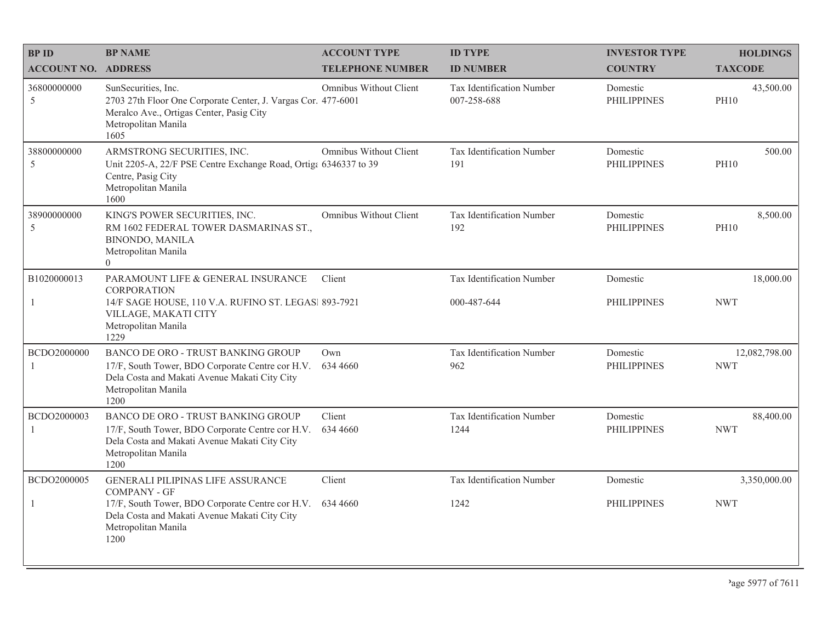| <b>BPID</b>                | <b>BP NAME</b>                                                                                                                                                         | <b>ACCOUNT TYPE</b>           | <b>ID TYPE</b>                                  | <b>INVESTOR TYPE</b>           | <b>HOLDINGS</b>             |
|----------------------------|------------------------------------------------------------------------------------------------------------------------------------------------------------------------|-------------------------------|-------------------------------------------------|--------------------------------|-----------------------------|
| <b>ACCOUNT NO. ADDRESS</b> |                                                                                                                                                                        | <b>TELEPHONE NUMBER</b>       | <b>ID NUMBER</b>                                | <b>COUNTRY</b>                 | <b>TAXCODE</b>              |
| 36800000000<br>5           | SunSecurities, Inc.<br>2703 27th Floor One Corporate Center, J. Vargas Cor. 477-6001<br>Meralco Ave., Ortigas Center, Pasig City<br>Metropolitan Manila<br>1605        | Omnibus Without Client        | <b>Tax Identification Number</b><br>007-258-688 | Domestic<br><b>PHILIPPINES</b> | 43,500.00<br><b>PH10</b>    |
| 38800000000<br>5           | ARMSTRONG SECURITIES, INC.<br>Unit 2205-A, 22/F PSE Centre Exchange Road, Ortiga 6346337 to 39<br>Centre, Pasig City<br>Metropolitan Manila<br>1600                    | Omnibus Without Client        | Tax Identification Number<br>191                | Domestic<br><b>PHILIPPINES</b> | 500.00<br><b>PH10</b>       |
| 38900000000<br>5           | KING'S POWER SECURITIES, INC.<br>RM 1602 FEDERAL TOWER DASMARINAS ST.,<br><b>BINONDO, MANILA</b><br>Metropolitan Manila<br>$\theta$                                    | <b>Omnibus Without Client</b> | Tax Identification Number<br>192                | Domestic<br><b>PHILIPPINES</b> | 8,500.00<br><b>PH10</b>     |
| B1020000013                | PARAMOUNT LIFE & GENERAL INSURANCE                                                                                                                                     | Client                        | Tax Identification Number                       | Domestic                       | 18,000.00                   |
| -1                         | CORPORATION<br>14/F SAGE HOUSE, 110 V.A. RUFINO ST. LEGAS  893-7921<br>VILLAGE, MAKATI CITY<br>Metropolitan Manila<br>1229                                             |                               | 000-487-644                                     | <b>PHILIPPINES</b>             | <b>NWT</b>                  |
| BCDO2000000                | BANCO DE ORO - TRUST BANKING GROUP<br>17/F, South Tower, BDO Corporate Centre cor H.V.<br>Dela Costa and Makati Avenue Makati City City<br>Metropolitan Manila<br>1200 | Own<br>634 4660               | Tax Identification Number<br>962                | Domestic<br><b>PHILIPPINES</b> | 12,082,798.00<br><b>NWT</b> |
| BCDO2000003<br>-1          | BANCO DE ORO - TRUST BANKING GROUP<br>17/F, South Tower, BDO Corporate Centre cor H.V.<br>Dela Costa and Makati Avenue Makati City City<br>Metropolitan Manila<br>1200 | Client<br>634 4660            | Tax Identification Number<br>1244               | Domestic<br><b>PHILIPPINES</b> | 88,400.00<br><b>NWT</b>     |
| BCDO2000005                | <b>GENERALI PILIPINAS LIFE ASSURANCE</b><br><b>COMPANY - GF</b>                                                                                                        | Client                        | Tax Identification Number                       | Domestic                       | 3,350,000.00                |
| 1                          | 17/F, South Tower, BDO Corporate Centre cor H.V.<br>Dela Costa and Makati Avenue Makati City City<br>Metropolitan Manila<br>1200                                       | 634 4660                      | 1242                                            | <b>PHILIPPINES</b>             | <b>NWT</b>                  |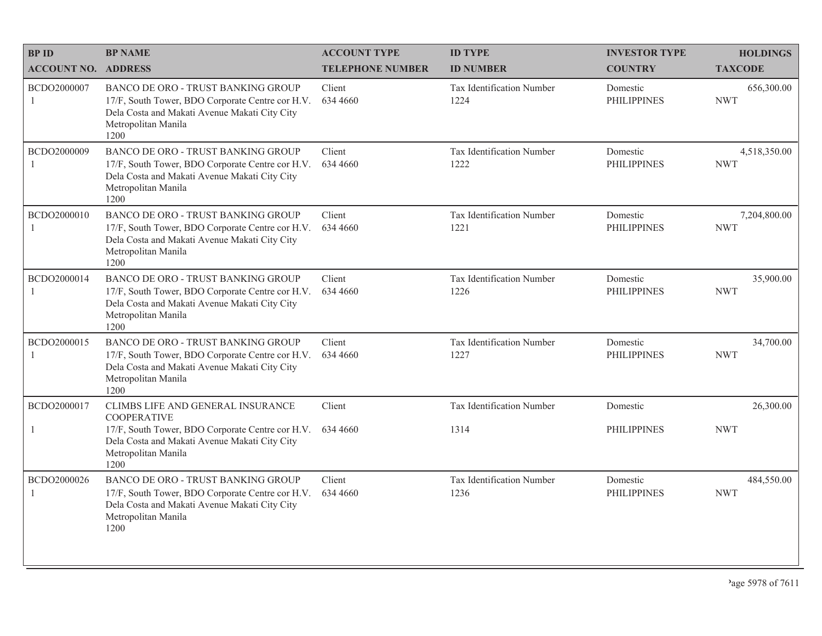| <b>BPID</b>                 | <b>BP NAME</b>                                                                                                                                                                | <b>ACCOUNT TYPE</b>     | <b>ID TYPE</b>                    | <b>INVESTOR TYPE</b>           | <b>HOLDINGS</b>            |
|-----------------------------|-------------------------------------------------------------------------------------------------------------------------------------------------------------------------------|-------------------------|-----------------------------------|--------------------------------|----------------------------|
| <b>ACCOUNT NO. ADDRESS</b>  |                                                                                                                                                                               | <b>TELEPHONE NUMBER</b> | <b>ID NUMBER</b>                  | <b>COUNTRY</b>                 | <b>TAXCODE</b>             |
| BCDO2000007<br>$\mathbf{1}$ | BANCO DE ORO - TRUST BANKING GROUP<br>17/F, South Tower, BDO Corporate Centre cor H.V.<br>Dela Costa and Makati Avenue Makati City City<br>Metropolitan Manila<br>1200        | Client<br>634 4660      | Tax Identification Number<br>1224 | Domestic<br><b>PHILIPPINES</b> | 656,300.00<br><b>NWT</b>   |
| BCDO2000009                 | <b>BANCO DE ORO - TRUST BANKING GROUP</b><br>17/F, South Tower, BDO Corporate Centre cor H.V.<br>Dela Costa and Makati Avenue Makati City City<br>Metropolitan Manila<br>1200 | Client<br>634 4660      | Tax Identification Number<br>1222 | Domestic<br><b>PHILIPPINES</b> | 4,518,350.00<br><b>NWT</b> |
| BCDO2000010<br>1            | BANCO DE ORO - TRUST BANKING GROUP<br>17/F, South Tower, BDO Corporate Centre cor H.V.<br>Dela Costa and Makati Avenue Makati City City<br>Metropolitan Manila<br>1200        | Client<br>634 4660      | Tax Identification Number<br>1221 | Domestic<br><b>PHILIPPINES</b> | 7,204,800.00<br><b>NWT</b> |
| BCDO2000014<br>1            | BANCO DE ORO - TRUST BANKING GROUP<br>17/F, South Tower, BDO Corporate Centre cor H.V.<br>Dela Costa and Makati Avenue Makati City City<br>Metropolitan Manila<br>1200        | Client<br>634 4660      | Tax Identification Number<br>1226 | Domestic<br><b>PHILIPPINES</b> | 35,900.00<br><b>NWT</b>    |
| BCDO2000015                 | BANCO DE ORO - TRUST BANKING GROUP<br>17/F, South Tower, BDO Corporate Centre cor H.V.<br>Dela Costa and Makati Avenue Makati City City<br>Metropolitan Manila<br>1200        | Client<br>634 4660      | Tax Identification Number<br>1227 | Domestic<br><b>PHILIPPINES</b> | 34,700.00<br><b>NWT</b>    |
| BCDO2000017                 | CLIMBS LIFE AND GENERAL INSURANCE<br><b>COOPERATIVE</b>                                                                                                                       | Client                  | Tax Identification Number         | Domestic                       | 26,300.00                  |
| $\mathbf{1}$                | 17/F, South Tower, BDO Corporate Centre cor H.V.<br>Dela Costa and Makati Avenue Makati City City<br>Metropolitan Manila<br>1200                                              | 634 4660                | 1314                              | <b>PHILIPPINES</b>             | <b>NWT</b>                 |
| BCDO2000026                 | BANCO DE ORO - TRUST BANKING GROUP<br>17/F, South Tower, BDO Corporate Centre cor H.V.<br>Dela Costa and Makati Avenue Makati City City<br>Metropolitan Manila<br>1200        | Client<br>634 4660      | Tax Identification Number<br>1236 | Domestic<br><b>PHILIPPINES</b> | 484,550.00<br><b>NWT</b>   |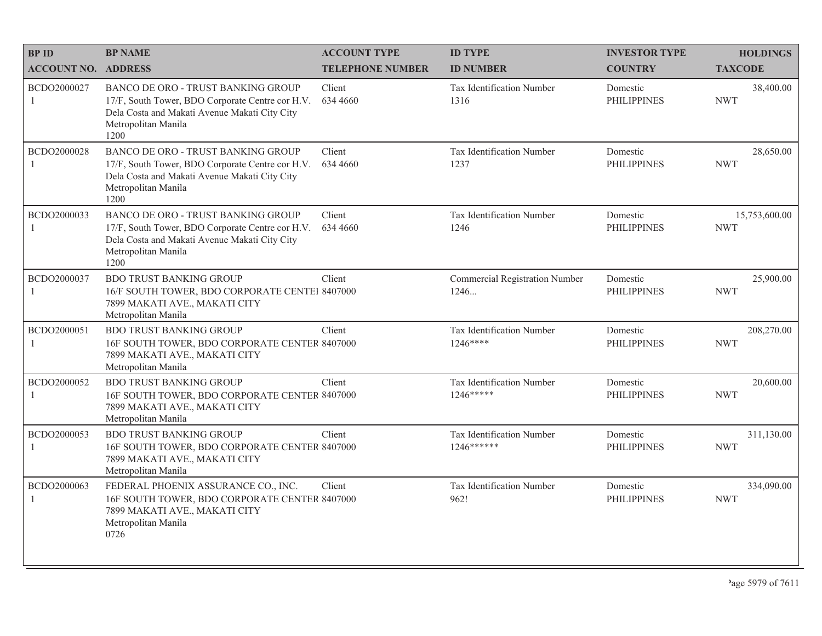| <b>BPID</b>                   | <b>BP NAME</b>                                                                                                                                                         | <b>ACCOUNT TYPE</b>     | <b>ID TYPE</b>                                 | <b>INVESTOR TYPE</b>           | <b>HOLDINGS</b>             |
|-------------------------------|------------------------------------------------------------------------------------------------------------------------------------------------------------------------|-------------------------|------------------------------------------------|--------------------------------|-----------------------------|
| <b>ACCOUNT NO. ADDRESS</b>    |                                                                                                                                                                        | <b>TELEPHONE NUMBER</b> | <b>ID NUMBER</b>                               | <b>COUNTRY</b>                 | <b>TAXCODE</b>              |
| BCDO2000027<br>$\overline{1}$ | BANCO DE ORO - TRUST BANKING GROUP<br>17/F, South Tower, BDO Corporate Centre cor H.V.<br>Dela Costa and Makati Avenue Makati City City<br>Metropolitan Manila<br>1200 | Client<br>634 4660      | Tax Identification Number<br>1316              | Domestic<br><b>PHILIPPINES</b> | 38,400.00<br><b>NWT</b>     |
| BCDO2000028                   | BANCO DE ORO - TRUST BANKING GROUP<br>17/F, South Tower, BDO Corporate Centre cor H.V.<br>Dela Costa and Makati Avenue Makati City City<br>Metropolitan Manila<br>1200 | Client<br>634 4660      | Tax Identification Number<br>1237              | Domestic<br><b>PHILIPPINES</b> | 28,650.00<br><b>NWT</b>     |
| BCDO2000033<br>$\overline{1}$ | BANCO DE ORO - TRUST BANKING GROUP<br>17/F, South Tower, BDO Corporate Centre cor H.V.<br>Dela Costa and Makati Avenue Makati City City<br>Metropolitan Manila<br>1200 | Client<br>634 4660      | Tax Identification Number<br>1246              | Domestic<br><b>PHILIPPINES</b> | 15,753,600.00<br><b>NWT</b> |
| BCDO2000037<br>-1             | <b>BDO TRUST BANKING GROUP</b><br>16/F SOUTH TOWER, BDO CORPORATE CENTEI 8407000<br>7899 MAKATI AVE., MAKATI CITY<br>Metropolitan Manila                               | Client                  | <b>Commercial Registration Number</b><br>1246  | Domestic<br><b>PHILIPPINES</b> | 25,900.00<br><b>NWT</b>     |
| BCDO2000051                   | <b>BDO TRUST BANKING GROUP</b><br>16F SOUTH TOWER, BDO CORPORATE CENTER 8407000<br>7899 MAKATI AVE., MAKATI CITY<br>Metropolitan Manila                                | Client                  | Tax Identification Number<br>$1246***$         | Domestic<br><b>PHILIPPINES</b> | 208,270.00<br><b>NWT</b>    |
| BCDO2000052<br>$\mathbf{1}$   | <b>BDO TRUST BANKING GROUP</b><br>16F SOUTH TOWER, BDO CORPORATE CENTER 8407000<br>7899 MAKATI AVE., MAKATI CITY<br>Metropolitan Manila                                | Client                  | <b>Tax Identification Number</b><br>1246*****  | Domestic<br><b>PHILIPPINES</b> | 20,600.00<br><b>NWT</b>     |
| BCDO2000053                   | <b>BDO TRUST BANKING GROUP</b><br>16F SOUTH TOWER, BDO CORPORATE CENTER 8407000<br>7899 MAKATI AVE., MAKATI CITY<br>Metropolitan Manila                                | Client                  | <b>Tax Identification Number</b><br>1246****** | Domestic<br><b>PHILIPPINES</b> | 311,130.00<br><b>NWT</b>    |
| BCDO2000063<br>-1             | FEDERAL PHOENIX ASSURANCE CO., INC.<br>16F SOUTH TOWER, BDO CORPORATE CENTER 8407000<br>7899 MAKATI AVE., MAKATI CITY<br>Metropolitan Manila<br>0726                   | Client                  | Tax Identification Number<br>962!              | Domestic<br><b>PHILIPPINES</b> | 334,090.00<br><b>NWT</b>    |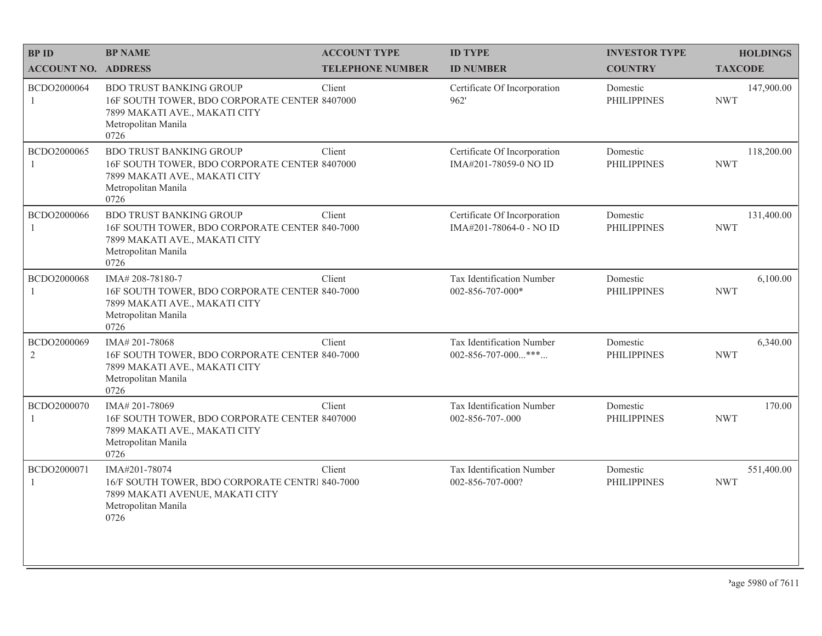| <b>BPID</b>                 | <b>BP NAME</b>                                                                                                                                   | <b>ACCOUNT TYPE</b>     | <b>ID TYPE</b>                                          | <b>INVESTOR TYPE</b>           | <b>HOLDINGS</b>          |
|-----------------------------|--------------------------------------------------------------------------------------------------------------------------------------------------|-------------------------|---------------------------------------------------------|--------------------------------|--------------------------|
| <b>ACCOUNT NO. ADDRESS</b>  |                                                                                                                                                  | <b>TELEPHONE NUMBER</b> | <b>ID NUMBER</b>                                        | <b>COUNTRY</b>                 | <b>TAXCODE</b>           |
| BCDO2000064<br>1            | <b>BDO TRUST BANKING GROUP</b><br>16F SOUTH TOWER, BDO CORPORATE CENTER 8407000<br>7899 MAKATI AVE., MAKATI CITY<br>Metropolitan Manila<br>0726  | Client                  | Certificate Of Incorporation<br>962'                    | Domestic<br><b>PHILIPPINES</b> | 147,900.00<br><b>NWT</b> |
| BCDO2000065                 | <b>BDO TRUST BANKING GROUP</b><br>16F SOUTH TOWER, BDO CORPORATE CENTER 8407000<br>7899 MAKATI AVE., MAKATI CITY<br>Metropolitan Manila<br>0726  | Client                  | Certificate Of Incorporation<br>IMA#201-78059-0 NO ID   | Domestic<br><b>PHILIPPINES</b> | 118,200.00<br><b>NWT</b> |
| BCDO2000066                 | <b>BDO TRUST BANKING GROUP</b><br>16F SOUTH TOWER, BDO CORPORATE CENTER 840-7000<br>7899 MAKATI AVE., MAKATI CITY<br>Metropolitan Manila<br>0726 | Client                  | Certificate Of Incorporation<br>IMA#201-78064-0 - NO ID | Domestic<br><b>PHILIPPINES</b> | 131,400.00<br><b>NWT</b> |
| BCDO2000068<br>1            | IMA#208-78180-7<br>16F SOUTH TOWER, BDO CORPORATE CENTER 840-7000<br>7899 MAKATI AVE., MAKATI CITY<br>Metropolitan Manila<br>0726                | Client                  | Tax Identification Number<br>002-856-707-000*           | Domestic<br><b>PHILIPPINES</b> | 6,100.00<br><b>NWT</b>   |
| BCDO2000069<br>2            | IMA#201-78068<br>16F SOUTH TOWER, BDO CORPORATE CENTER 840-7000<br>7899 MAKATI AVE., MAKATI CITY<br>Metropolitan Manila<br>0726                  | Client                  | Tax Identification Number<br>002-856-707-000***         | Domestic<br><b>PHILIPPINES</b> | 6,340.00<br><b>NWT</b>   |
| BCDO2000070<br>1            | IMA# 201-78069<br>16F SOUTH TOWER, BDO CORPORATE CENTER 8407000<br>7899 MAKATI AVE., MAKATI CITY<br>Metropolitan Manila<br>0726                  | Client                  | Tax Identification Number<br>002-856-707-.000           | Domestic<br><b>PHILIPPINES</b> | 170.00<br><b>NWT</b>     |
| BCDO2000071<br>$\mathbf{1}$ | IMA#201-78074<br>16/F SOUTH TOWER, BDO CORPORATE CENTRI 840-7000<br>7899 MAKATI AVENUE, MAKATI CITY<br>Metropolitan Manila<br>0726               | Client                  | Tax Identification Number<br>002-856-707-000?           | Domestic<br><b>PHILIPPINES</b> | 551,400.00<br><b>NWT</b> |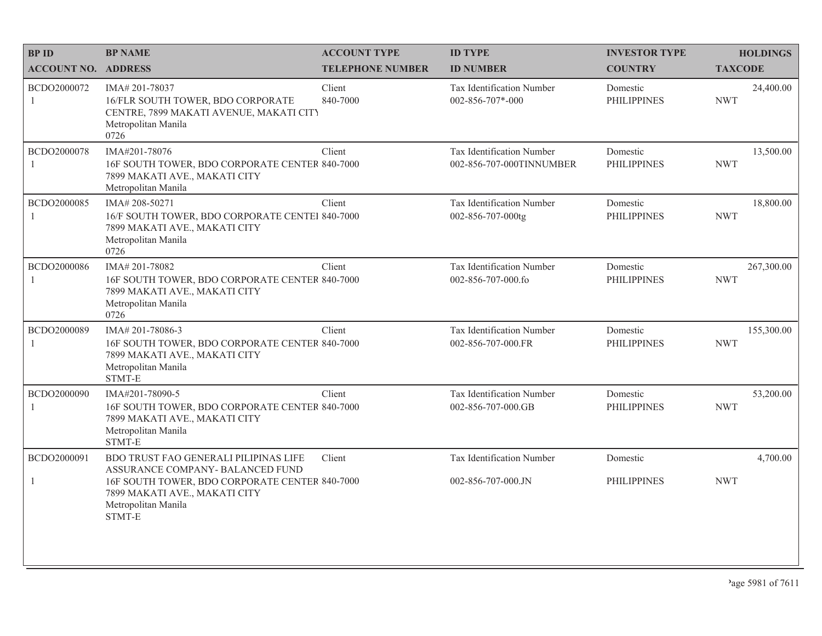| <b>BPID</b>                 | <b>BP NAME</b>                                                                                                                                       | <b>ACCOUNT TYPE</b>     | <b>ID TYPE</b>                                        | <b>INVESTOR TYPE</b>           | <b>HOLDINGS</b>          |
|-----------------------------|------------------------------------------------------------------------------------------------------------------------------------------------------|-------------------------|-------------------------------------------------------|--------------------------------|--------------------------|
| <b>ACCOUNT NO. ADDRESS</b>  |                                                                                                                                                      | <b>TELEPHONE NUMBER</b> | <b>ID NUMBER</b>                                      | <b>COUNTRY</b>                 | <b>TAXCODE</b>           |
| BCDO2000072<br>$\mathbf{1}$ | IMA# 201-78037<br>16/FLR SOUTH TOWER, BDO CORPORATE<br>CENTRE, 7899 MAKATI AVENUE, MAKATI CITY<br>Metropolitan Manila<br>0726                        | Client<br>840-7000      | Tax Identification Number<br>$002 - 856 - 707 - 000$  | Domestic<br><b>PHILIPPINES</b> | 24,400.00<br><b>NWT</b>  |
| BCDO2000078<br>$\mathbf{1}$ | IMA#201-78076<br>16F SOUTH TOWER, BDO CORPORATE CENTER 840-7000<br>7899 MAKATI AVE., MAKATI CITY<br>Metropolitan Manila                              | Client                  | Tax Identification Number<br>002-856-707-000TINNUMBER | Domestic<br><b>PHILIPPINES</b> | 13,500.00<br><b>NWT</b>  |
| BCDO2000085<br>1            | IMA#208-50271<br>16/F SOUTH TOWER, BDO CORPORATE CENTEI 840-7000<br>7899 MAKATI AVE., MAKATI CITY<br>Metropolitan Manila<br>0726                     | Client                  | Tax Identification Number<br>002-856-707-000tg        | Domestic<br><b>PHILIPPINES</b> | 18,800.00<br><b>NWT</b>  |
| BCDO2000086<br>1            | IMA#201-78082<br>16F SOUTH TOWER, BDO CORPORATE CENTER 840-7000<br>7899 MAKATI AVE., MAKATI CITY<br>Metropolitan Manila<br>0726                      | Client                  | Tax Identification Number<br>002-856-707-000.fo       | Domestic<br><b>PHILIPPINES</b> | 267,300.00<br><b>NWT</b> |
| BCDO2000089<br>1            | IMA#201-78086-3<br>16F SOUTH TOWER, BDO CORPORATE CENTER 840-7000<br>7899 MAKATI AVE., MAKATI CITY<br>Metropolitan Manila<br>STMT-E                  | Client                  | Tax Identification Number<br>002-856-707-000.FR       | Domestic<br><b>PHILIPPINES</b> | 155,300.00<br><b>NWT</b> |
| BCDO2000090<br>$\mathbf{1}$ | IMA#201-78090-5<br>16F SOUTH TOWER, BDO CORPORATE CENTER 840-7000<br>7899 MAKATI AVE., MAKATI CITY<br>Metropolitan Manila<br>STMT-E                  | Client                  | Tax Identification Number<br>002-856-707-000.GB       | Domestic<br><b>PHILIPPINES</b> | 53,200.00<br><b>NWT</b>  |
| BCDO2000091                 | BDO TRUST FAO GENERALI PILIPINAS LIFE                                                                                                                | Client                  | Tax Identification Number                             | Domestic                       | 4,700.00                 |
| $\mathbf{1}$                | ASSURANCE COMPANY- BALANCED FUND<br>16F SOUTH TOWER, BDO CORPORATE CENTER 840-7000<br>7899 MAKATI AVE., MAKATI CITY<br>Metropolitan Manila<br>STMT-E |                         | 002-856-707-000.JN                                    | <b>PHILIPPINES</b>             | <b>NWT</b>               |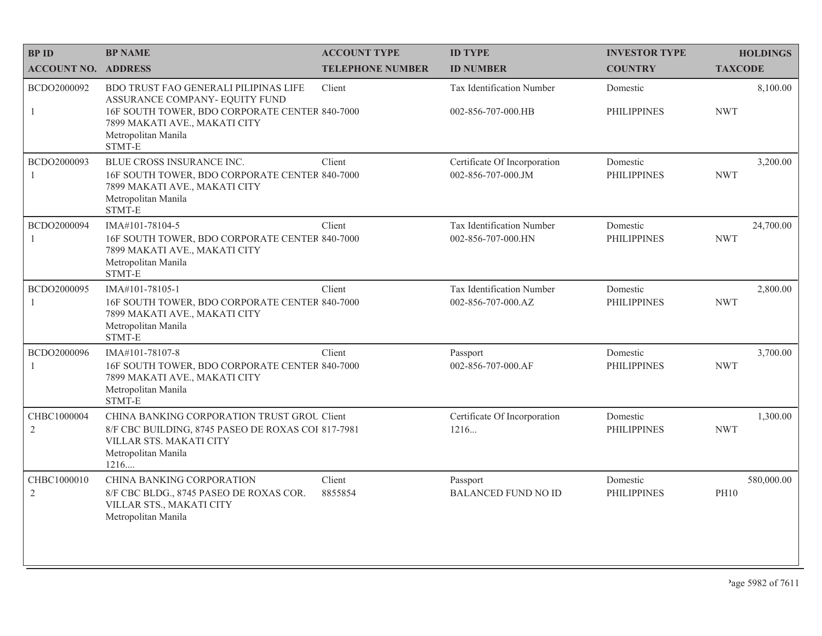| <b>BPID</b>                   | <b>BP NAME</b>                                                                                                                                                                              | <b>ACCOUNT TYPE</b>     | <b>ID TYPE</b>                                     | <b>INVESTOR TYPE</b>           | <b>HOLDINGS</b>           |
|-------------------------------|---------------------------------------------------------------------------------------------------------------------------------------------------------------------------------------------|-------------------------|----------------------------------------------------|--------------------------------|---------------------------|
| <b>ACCOUNT NO. ADDRESS</b>    |                                                                                                                                                                                             | <b>TELEPHONE NUMBER</b> | <b>ID NUMBER</b>                                   | <b>COUNTRY</b>                 | <b>TAXCODE</b>            |
| BCDO2000092<br>$\mathbf{1}$   | BDO TRUST FAO GENERALI PILIPINAS LIFE<br>ASSURANCE COMPANY- EQUITY FUND<br>16F SOUTH TOWER, BDO CORPORATE CENTER 840-7000<br>7899 MAKATI AVE., MAKATI CITY<br>Metropolitan Manila<br>STMT-E | Client                  | Tax Identification Number<br>002-856-707-000.HB    | Domestic<br><b>PHILIPPINES</b> | 8,100.00<br><b>NWT</b>    |
| BCDO2000093<br>$\mathbf{1}$   | BLUE CROSS INSURANCE INC.<br>16F SOUTH TOWER, BDO CORPORATE CENTER 840-7000<br>7899 MAKATI AVE., MAKATI CITY<br>Metropolitan Manila<br>STMT-E                                               | Client                  | Certificate Of Incorporation<br>002-856-707-000.JM | Domestic<br><b>PHILIPPINES</b> | 3,200.00<br><b>NWT</b>    |
| BCDO2000094<br>1              | IMA#101-78104-5<br>16F SOUTH TOWER, BDO CORPORATE CENTER 840-7000<br>7899 MAKATI AVE., MAKATI CITY<br>Metropolitan Manila<br>STMT-E                                                         | Client                  | Tax Identification Number<br>002-856-707-000.HN    | Domestic<br><b>PHILIPPINES</b> | 24,700.00<br><b>NWT</b>   |
| BCDO2000095<br>1              | IMA#101-78105-1<br>16F SOUTH TOWER, BDO CORPORATE CENTER 840-7000<br>7899 MAKATI AVE., MAKATI CITY<br>Metropolitan Manila<br>STMT-E                                                         | Client                  | Tax Identification Number<br>002-856-707-000.AZ    | Domestic<br><b>PHILIPPINES</b> | 2,800.00<br><b>NWT</b>    |
| BCDO2000096<br>1              | IMA#101-78107-8<br>16F SOUTH TOWER, BDO CORPORATE CENTER 840-7000<br>7899 MAKATI AVE., MAKATI CITY<br>Metropolitan Manila<br>STMT-E                                                         | Client                  | Passport<br>002-856-707-000.AF                     | Domestic<br><b>PHILIPPINES</b> | 3,700.00<br><b>NWT</b>    |
| CHBC1000004<br>$\mathfrak{2}$ | CHINA BANKING CORPORATION TRUST GROU Client<br>8/F CBC BUILDING, 8745 PASEO DE ROXAS COI 817-7981<br>VILLAR STS. MAKATI CITY<br>Metropolitan Manila<br>1216                                 |                         | Certificate Of Incorporation<br>1216               | Domestic<br><b>PHILIPPINES</b> | 1,300.00<br><b>NWT</b>    |
| CHBC1000010<br>$\mathfrak{2}$ | <b>CHINA BANKING CORPORATION</b><br>8/F CBC BLDG., 8745 PASEO DE ROXAS COR.<br>VILLAR STS., MAKATI CITY<br>Metropolitan Manila                                                              | Client<br>8855854       | Passport<br><b>BALANCED FUND NO ID</b>             | Domestic<br><b>PHILIPPINES</b> | 580,000.00<br><b>PH10</b> |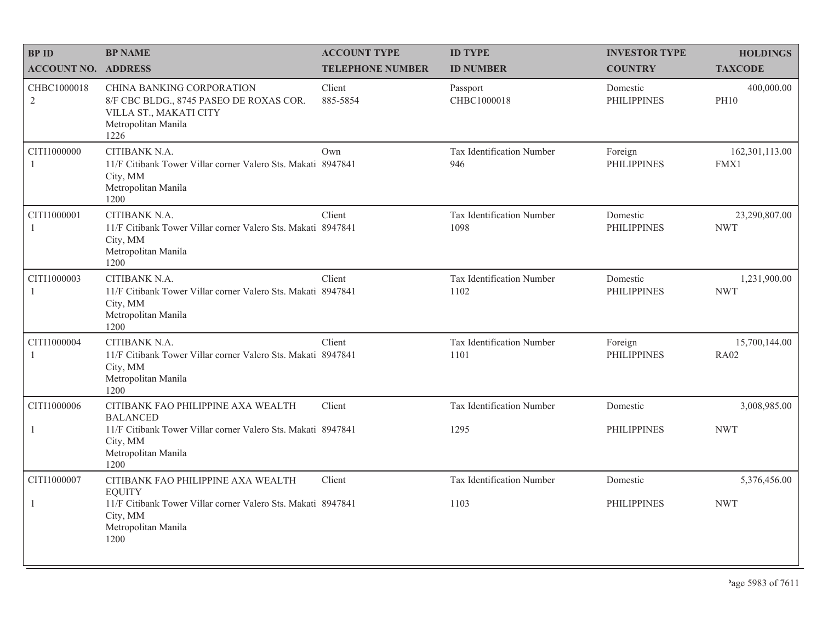| <b>BP ID</b>                  | <b>BP NAME</b>                                                                                                                | <b>ACCOUNT TYPE</b>     | <b>ID TYPE</b>                    | <b>INVESTOR TYPE</b>           | <b>HOLDINGS</b>              |
|-------------------------------|-------------------------------------------------------------------------------------------------------------------------------|-------------------------|-----------------------------------|--------------------------------|------------------------------|
| <b>ACCOUNT NO. ADDRESS</b>    |                                                                                                                               | <b>TELEPHONE NUMBER</b> | <b>ID NUMBER</b>                  | <b>COUNTRY</b>                 | <b>TAXCODE</b>               |
| CHBC1000018<br>$\overline{2}$ | CHINA BANKING CORPORATION<br>8/F CBC BLDG., 8745 PASEO DE ROXAS COR.<br>VILLA ST., MAKATI CITY<br>Metropolitan Manila<br>1226 | Client<br>885-5854      | Passport<br>CHBC1000018           | Domestic<br><b>PHILIPPINES</b> | 400,000.00<br><b>PH10</b>    |
| CITI1000000<br>$\overline{1}$ | CITIBANK N.A.<br>11/F Citibank Tower Villar corner Valero Sts. Makati 8947841<br>City, MM<br>Metropolitan Manila<br>1200      | Own                     | Tax Identification Number<br>946  | Foreign<br><b>PHILIPPINES</b>  | 162,301,113.00<br>FMX1       |
| CITI1000001<br>-1             | CITIBANK N.A.<br>11/F Citibank Tower Villar corner Valero Sts. Makati 8947841<br>City, MM<br>Metropolitan Manila<br>1200      | Client                  | Tax Identification Number<br>1098 | Domestic<br><b>PHILIPPINES</b> | 23,290,807.00<br><b>NWT</b>  |
| CITI1000003<br>-1             | CITIBANK N.A.<br>11/F Citibank Tower Villar corner Valero Sts. Makati 8947841<br>City, MM<br>Metropolitan Manila<br>1200      | Client                  | Tax Identification Number<br>1102 | Domestic<br><b>PHILIPPINES</b> | 1,231,900.00<br><b>NWT</b>   |
| CITI1000004<br>$\overline{1}$ | CITIBANK N.A.<br>11/F Citibank Tower Villar corner Valero Sts. Makati 8947841<br>City, MM<br>Metropolitan Manila<br>1200      | Client                  | Tax Identification Number<br>1101 | Foreign<br><b>PHILIPPINES</b>  | 15,700,144.00<br><b>RA02</b> |
| CITI1000006                   | CITIBANK FAO PHILIPPINE AXA WEALTH<br><b>BALANCED</b>                                                                         | Client                  | Tax Identification Number         | Domestic                       | 3,008,985.00                 |
| -1                            | 11/F Citibank Tower Villar corner Valero Sts. Makati 8947841<br>City, MM<br>Metropolitan Manila<br>1200                       |                         | 1295                              | <b>PHILIPPINES</b>             | <b>NWT</b>                   |
| CITI1000007                   | CITIBANK FAO PHILIPPINE AXA WEALTH<br><b>EOUITY</b>                                                                           | Client                  | Tax Identification Number         | Domestic                       | 5,376,456.00                 |
| -1                            | 11/F Citibank Tower Villar corner Valero Sts. Makati 8947841<br>City, MM<br>Metropolitan Manila<br>1200                       |                         | 1103                              | <b>PHILIPPINES</b>             | <b>NWT</b>                   |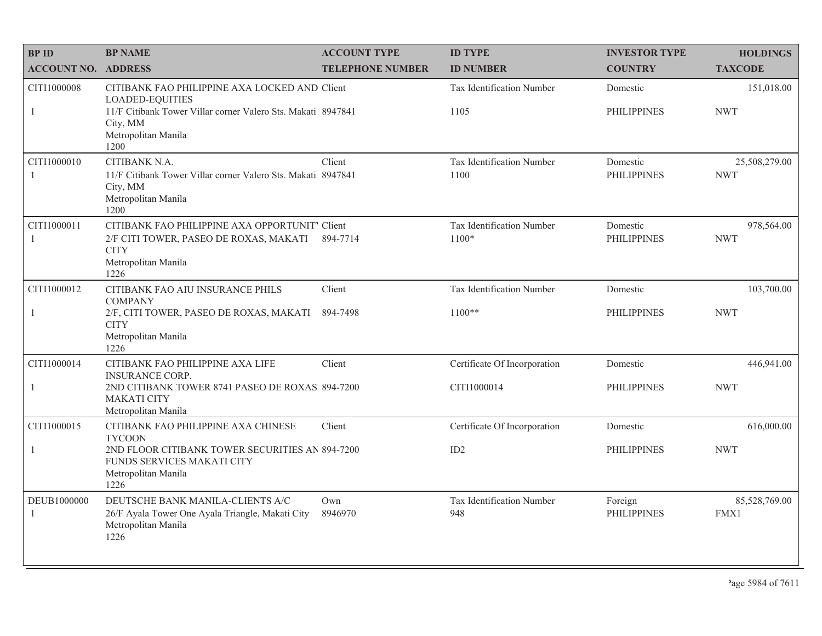| <b>BPID</b>                   | <b>BP NAME</b>                                                                                                                          | <b>ACCOUNT TYPE</b>     | <b>ID TYPE</b>                       | <b>INVESTOR TYPE</b>           | <b>HOLDINGS</b>             |
|-------------------------------|-----------------------------------------------------------------------------------------------------------------------------------------|-------------------------|--------------------------------------|--------------------------------|-----------------------------|
| <b>ACCOUNT NO. ADDRESS</b>    |                                                                                                                                         | <b>TELEPHONE NUMBER</b> | <b>ID NUMBER</b>                     | <b>COUNTRY</b>                 | <b>TAXCODE</b>              |
| CITI1000008<br>1              | CITIBANK FAO PHILIPPINE AXA LOCKED AND Client<br><b>LOADED-EQUITIES</b><br>11/F Citibank Tower Villar corner Valero Sts. Makati 8947841 |                         | Tax Identification Number<br>1105    | Domestic<br><b>PHILIPPINES</b> | 151,018.00<br><b>NWT</b>    |
|                               | City, MM<br>Metropolitan Manila<br>1200                                                                                                 |                         |                                      |                                |                             |
| CITI1000010<br>$\overline{1}$ | CITIBANK N.A.<br>11/F Citibank Tower Villar corner Valero Sts. Makati 8947841<br>City, MM<br>Metropolitan Manila<br>1200                | Client                  | Tax Identification Number<br>1100    | Domestic<br><b>PHILIPPINES</b> | 25,508,279.00<br><b>NWT</b> |
| CITI1000011<br>$\overline{1}$ | CITIBANK FAO PHILIPPINE AXA OPPORTUNIT' Client<br>2/F CITI TOWER, PASEO DE ROXAS, MAKATI<br><b>CITY</b><br>Metropolitan Manila<br>1226  | 894-7714                | Tax Identification Number<br>$1100*$ | Domestic<br><b>PHILIPPINES</b> | 978,564.00<br><b>NWT</b>    |
| CITI1000012                   | CITIBANK FAO AIU INSURANCE PHILS<br><b>COMPANY</b>                                                                                      | Client                  | Tax Identification Number            | Domestic                       | 103,700.00                  |
| $\mathbf{1}$                  | 2/F, CITI TOWER, PASEO DE ROXAS, MAKATI<br><b>CITY</b><br>Metropolitan Manila<br>1226                                                   | 894-7498                | $1100**$                             | <b>PHILIPPINES</b>             | <b>NWT</b>                  |
| CITI1000014                   | CITIBANK FAO PHILIPPINE AXA LIFE<br><b>INSURANCE CORP.</b>                                                                              | Client                  | Certificate Of Incorporation         | Domestic                       | 446,941.00                  |
| 1                             | 2ND CITIBANK TOWER 8741 PASEO DE ROXAS 894-7200<br><b>MAKATI CITY</b><br>Metropolitan Manila                                            |                         | CITI1000014                          | <b>PHILIPPINES</b>             | <b>NWT</b>                  |
| CITI1000015                   | CITIBANK FAO PHILIPPINE AXA CHINESE<br><b>TYCOON</b>                                                                                    | Client                  | Certificate Of Incorporation         | Domestic                       | 616,000.00                  |
| $\overline{1}$                | 2ND FLOOR CITIBANK TOWER SECURITIES AN 894-7200<br>FUNDS SERVICES MAKATI CITY<br>Metropolitan Manila<br>1226                            |                         | ID2                                  | <b>PHILIPPINES</b>             | <b>NWT</b>                  |
| DEUB1000000<br>-1             | DEUTSCHE BANK MANILA-CLIENTS A/C<br>26/F Ayala Tower One Ayala Triangle, Makati City<br>Metropolitan Manila<br>1226                     | Own<br>8946970          | Tax Identification Number<br>948     | Foreign<br><b>PHILIPPINES</b>  | 85,528,769.00<br>FMX1       |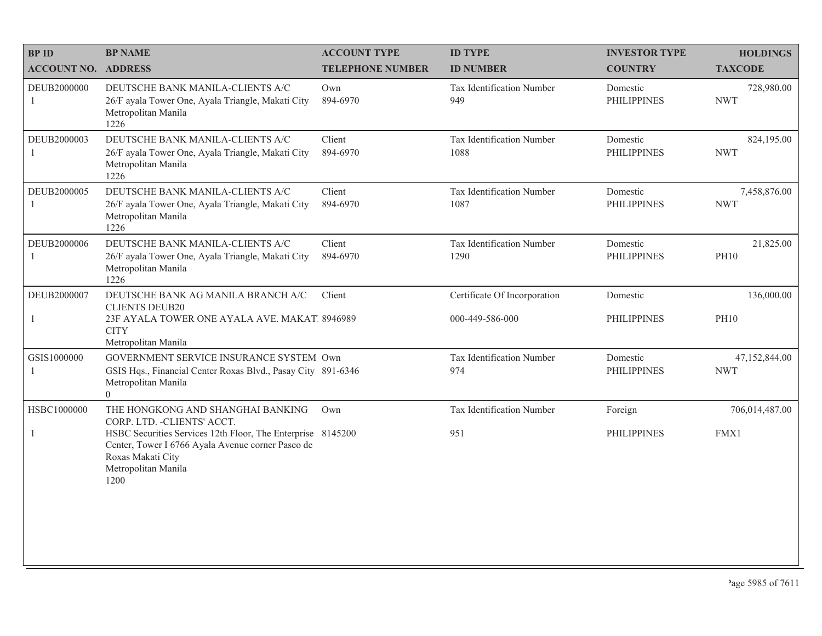| <b>BPID</b>                | <b>BP NAME</b>                                                                                                                                                                                                                           | <b>ACCOUNT TYPE</b>     | <b>ID TYPE</b>                                  | <b>INVESTOR TYPE</b>           | <b>HOLDINGS</b>             |
|----------------------------|------------------------------------------------------------------------------------------------------------------------------------------------------------------------------------------------------------------------------------------|-------------------------|-------------------------------------------------|--------------------------------|-----------------------------|
| <b>ACCOUNT NO. ADDRESS</b> |                                                                                                                                                                                                                                          | <b>TELEPHONE NUMBER</b> | <b>ID NUMBER</b>                                | <b>COUNTRY</b>                 | <b>TAXCODE</b>              |
| DEUB2000000<br>1           | DEUTSCHE BANK MANILA-CLIENTS A/C<br>26/F ayala Tower One, Ayala Triangle, Makati City<br>Metropolitan Manila<br>1226                                                                                                                     | Own<br>894-6970         | Tax Identification Number<br>949                | Domestic<br><b>PHILIPPINES</b> | 728,980.00<br><b>NWT</b>    |
| DEUB2000003                | DEUTSCHE BANK MANILA-CLIENTS A/C<br>26/F ayala Tower One, Ayala Triangle, Makati City<br>Metropolitan Manila<br>1226                                                                                                                     | Client<br>894-6970      | Tax Identification Number<br>1088               | Domestic<br><b>PHILIPPINES</b> | 824,195.00<br><b>NWT</b>    |
| DEUB2000005                | DEUTSCHE BANK MANILA-CLIENTS A/C<br>26/F ayala Tower One, Ayala Triangle, Makati City<br>Metropolitan Manila<br>1226                                                                                                                     | Client<br>894-6970      | Tax Identification Number<br>1087               | Domestic<br><b>PHILIPPINES</b> | 7,458,876.00<br><b>NWT</b>  |
| DEUB2000006                | DEUTSCHE BANK MANILA-CLIENTS A/C<br>26/F ayala Tower One, Ayala Triangle, Makati City<br>Metropolitan Manila<br>1226                                                                                                                     | Client<br>894-6970      | Tax Identification Number<br>1290               | Domestic<br><b>PHILIPPINES</b> | 21,825.00<br><b>PH10</b>    |
| DEUB2000007                | DEUTSCHE BANK AG MANILA BRANCH A/C<br><b>CLIENTS DEUB20</b><br>23F AYALA TOWER ONE AYALA AVE. MAKAT. 8946989<br><b>CITY</b><br>Metropolitan Manila                                                                                       | Client                  | Certificate Of Incorporation<br>000-449-586-000 | Domestic<br><b>PHILIPPINES</b> | 136,000.00<br><b>PH10</b>   |
| GSIS1000000                | GOVERNMENT SERVICE INSURANCE SYSTEM Own<br>GSIS Hqs., Financial Center Roxas Blvd., Pasay City 891-6346<br>Metropolitan Manila<br>$\overline{0}$                                                                                         |                         | Tax Identification Number<br>974                | Domestic<br><b>PHILIPPINES</b> | 47,152,844.00<br><b>NWT</b> |
| HSBC1000000<br>-1          | THE HONGKONG AND SHANGHAI BANKING<br>CORP. LTD. - CLIENTS' ACCT.<br>HSBC Securities Services 12th Floor, The Enterprise 8145200<br>Center, Tower I 6766 Ayala Avenue corner Paseo de<br>Roxas Makati City<br>Metropolitan Manila<br>1200 | Own                     | Tax Identification Number<br>951                | Foreign<br><b>PHILIPPINES</b>  | 706,014,487.00<br>FMX1      |
|                            |                                                                                                                                                                                                                                          |                         |                                                 |                                |                             |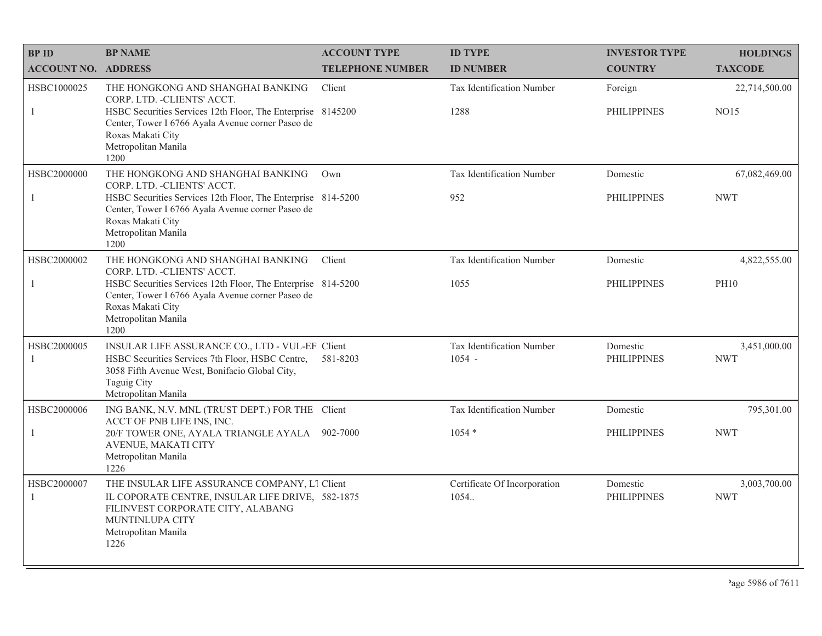| <b>BPID</b>                   | <b>BP NAME</b>                                                                                                                                                                              | <b>ACCOUNT TYPE</b>     | <b>ID TYPE</b>                        | <b>INVESTOR TYPE</b>           | <b>HOLDINGS</b>            |
|-------------------------------|---------------------------------------------------------------------------------------------------------------------------------------------------------------------------------------------|-------------------------|---------------------------------------|--------------------------------|----------------------------|
| <b>ACCOUNT NO. ADDRESS</b>    |                                                                                                                                                                                             | <b>TELEPHONE NUMBER</b> | <b>ID NUMBER</b>                      | <b>COUNTRY</b>                 | <b>TAXCODE</b>             |
| HSBC1000025<br>-1             | THE HONGKONG AND SHANGHAI BANKING<br>CORP. LTD. - CLIENTS' ACCT.<br>HSBC Securities Services 12th Floor, The Enterprise 8145200                                                             | Client                  | Tax Identification Number<br>1288     | Foreign<br><b>PHILIPPINES</b>  | 22,714,500.00<br>NO15      |
|                               | Center, Tower I 6766 Ayala Avenue corner Paseo de<br>Roxas Makati City<br>Metropolitan Manila<br>1200                                                                                       |                         |                                       |                                |                            |
| HSBC2000000                   | THE HONGKONG AND SHANGHAI BANKING<br>CORP. LTD. - CLIENTS' ACCT.                                                                                                                            | Own                     | Tax Identification Number             | Domestic                       | 67,082,469.00              |
| -1                            | HSBC Securities Services 12th Floor, The Enterprise 814-5200<br>Center, Tower I 6766 Ayala Avenue corner Paseo de<br>Roxas Makati City<br>Metropolitan Manila<br>1200                       |                         | 952                                   | <b>PHILIPPINES</b>             | <b>NWT</b>                 |
| HSBC2000002                   | THE HONGKONG AND SHANGHAI BANKING<br>CORP. LTD. - CLIENTS' ACCT.                                                                                                                            | Client                  | Tax Identification Number             | Domestic                       | 4,822,555.00               |
| $\overline{1}$                | HSBC Securities Services 12th Floor, The Enterprise 814-5200<br>Center, Tower I 6766 Ayala Avenue corner Paseo de<br>Roxas Makati City<br>Metropolitan Manila<br>1200                       |                         | 1055                                  | <b>PHILIPPINES</b>             | <b>PH10</b>                |
| HSBC2000005<br>$\overline{1}$ | INSULAR LIFE ASSURANCE CO., LTD - VUL-EF Client<br>HSBC Securities Services 7th Floor, HSBC Centre,<br>3058 Fifth Avenue West, Bonifacio Global City,<br>Taguig City<br>Metropolitan Manila | 581-8203                | Tax Identification Number<br>$1054 -$ | Domestic<br><b>PHILIPPINES</b> | 3,451,000.00<br><b>NWT</b> |
| HSBC2000006                   | ING BANK, N.V. MNL (TRUST DEPT.) FOR THE Client<br>ACCT OF PNB LIFE INS, INC.                                                                                                               |                         | Tax Identification Number             | Domestic                       | 795,301.00                 |
| 1                             | 20/F TOWER ONE, AYALA TRIANGLE AYALA 902-7000<br>AVENUE, MAKATI CITY<br>Metropolitan Manila<br>1226                                                                                         |                         | $1054*$                               | <b>PHILIPPINES</b>             | <b>NWT</b>                 |
| HSBC2000007<br>$\mathbf{1}$   | THE INSULAR LIFE ASSURANCE COMPANY, L1 Client<br>IL COPORATE CENTRE, INSULAR LIFE DRIVE, 582-1875<br>FILINVEST CORPORATE CITY, ALABANG<br>MUNTINLUPA CITY<br>Metropolitan Manila<br>1226    |                         | Certificate Of Incorporation<br>1054. | Domestic<br><b>PHILIPPINES</b> | 3,003,700.00<br><b>NWT</b> |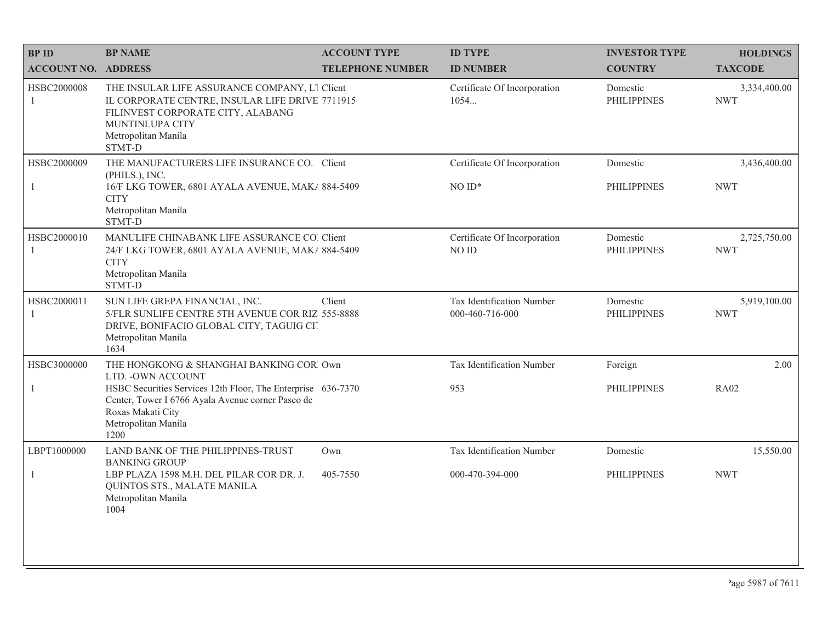| <b>BPID</b>                 | <b>BP NAME</b>                                                                                                                                                                            | <b>ACCOUNT TYPE</b>     | <b>ID TYPE</b>                               | <b>INVESTOR TYPE</b>           | <b>HOLDINGS</b>            |
|-----------------------------|-------------------------------------------------------------------------------------------------------------------------------------------------------------------------------------------|-------------------------|----------------------------------------------|--------------------------------|----------------------------|
| <b>ACCOUNT NO. ADDRESS</b>  |                                                                                                                                                                                           | <b>TELEPHONE NUMBER</b> | <b>ID NUMBER</b>                             | <b>COUNTRY</b>                 | <b>TAXCODE</b>             |
| HSBC2000008<br>1            | THE INSULAR LIFE ASSURANCE COMPANY, L1 Client<br>IL CORPORATE CENTRE, INSULAR LIFE DRIVE 7711915<br>FILINVEST CORPORATE CITY, ALABANG<br>MUNTINLUPA CITY<br>Metropolitan Manila<br>STMT-D |                         | Certificate Of Incorporation<br>1054         | Domestic<br><b>PHILIPPINES</b> | 3,334,400.00<br><b>NWT</b> |
| HSBC2000009<br>$\mathbf{1}$ | THE MANUFACTURERS LIFE INSURANCE CO. Client<br>(PHILS.), INC.<br>16/F LKG TOWER, 6801 AYALA AVENUE, MAK/ 884-5409<br><b>CITY</b><br>Metropolitan Manila<br>STMT-D                         |                         | Certificate Of Incorporation<br>$NOID*$      | Domestic<br><b>PHILIPPINES</b> | 3,436,400.00<br><b>NWT</b> |
| HSBC2000010<br>$\mathbf{1}$ | MANULIFE CHINABANK LIFE ASSURANCE CO. Client<br>24/F LKG TOWER, 6801 AYALA AVENUE, MAK/ 884-5409<br><b>CITY</b><br>Metropolitan Manila<br>STMT-D                                          |                         | Certificate Of Incorporation<br>NO ID        | Domestic<br><b>PHILIPPINES</b> | 2,725,750.00<br><b>NWT</b> |
| HSBC2000011<br>1            | SUN LIFE GREPA FINANCIAL, INC.<br>5/FLR SUNLIFE CENTRE 5TH AVENUE COR RIZ 555-8888<br>DRIVE, BONIFACIO GLOBAL CITY, TAGUIG CIT<br>Metropolitan Manila<br>1634                             | Client                  | Tax Identification Number<br>000-460-716-000 | Domestic<br><b>PHILIPPINES</b> | 5,919,100.00<br><b>NWT</b> |
| HSBC3000000                 | THE HONGKONG & SHANGHAI BANKING COR Own<br>LTD. - OWN ACCOUNT                                                                                                                             |                         | Tax Identification Number                    | Foreign                        | 2.00                       |
| $\mathbf{1}$                | HSBC Securities Services 12th Floor, The Enterprise 636-7370<br>Center, Tower I 6766 Ayala Avenue corner Paseo de<br>Roxas Makati City<br>Metropolitan Manila<br>1200                     |                         | 953                                          | <b>PHILIPPINES</b>             | <b>RA02</b>                |
| LBPT1000000                 | LAND BANK OF THE PHILIPPINES-TRUST<br><b>BANKING GROUP</b>                                                                                                                                | Own                     | Tax Identification Number                    | Domestic                       | 15,550.00                  |
| 1                           | LBP PLAZA 1598 M.H. DEL PILAR COR DR. J.<br>QUINTOS STS., MALATE MANILA<br>Metropolitan Manila<br>1004                                                                                    | 405-7550                | 000-470-394-000                              | <b>PHILIPPINES</b>             | <b>NWT</b>                 |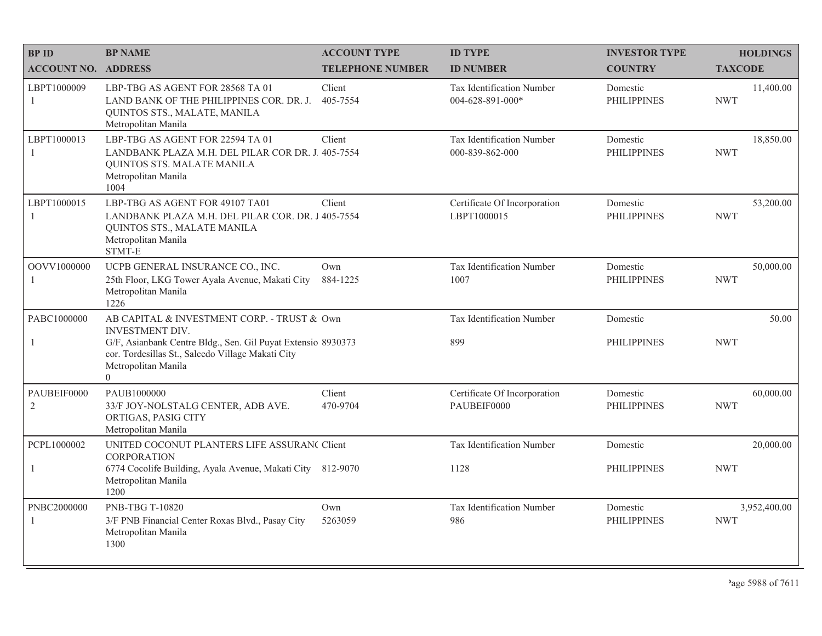| <b>BPID</b>                   | <b>BP NAME</b>                                                                                                                                                                             | <b>ACCOUNT TYPE</b>     | <b>ID TYPE</b>                                | <b>INVESTOR TYPE</b>           | <b>HOLDINGS</b>            |
|-------------------------------|--------------------------------------------------------------------------------------------------------------------------------------------------------------------------------------------|-------------------------|-----------------------------------------------|--------------------------------|----------------------------|
| <b>ACCOUNT NO. ADDRESS</b>    |                                                                                                                                                                                            | <b>TELEPHONE NUMBER</b> | <b>ID NUMBER</b>                              | <b>COUNTRY</b>                 | <b>TAXCODE</b>             |
| LBPT1000009<br>$\mathbf{1}$   | LBP-TBG AS AGENT FOR 28568 TA 01<br>LAND BANK OF THE PHILIPPINES COR. DR. J.<br>QUINTOS STS., MALATE, MANILA<br>Metropolitan Manila                                                        | Client<br>405-7554      | Tax Identification Number<br>004-628-891-000* | Domestic<br><b>PHILIPPINES</b> | 11,400.00<br><b>NWT</b>    |
| LBPT1000013<br>$\mathbf{1}$   | LBP-TBG AS AGENT FOR 22594 TA 01<br>LANDBANK PLAZA M.H. DEL PILAR COR DR. J. 405-7554<br>QUINTOS STS. MALATE MANILA<br>Metropolitan Manila<br>1004                                         | Client                  | Tax Identification Number<br>000-839-862-000  | Domestic<br><b>PHILIPPINES</b> | 18,850.00<br><b>NWT</b>    |
| LBPT1000015<br>$\mathbf{1}$   | LBP-TBG AS AGENT FOR 49107 TA01<br>LANDBANK PLAZA M.H. DEL PILAR COR. DR. J 405-7554<br>QUINTOS STS., MALATE MANILA<br>Metropolitan Manila<br>STMT-E                                       | Client                  | Certificate Of Incorporation<br>LBPT1000015   | Domestic<br><b>PHILIPPINES</b> | 53,200.00<br><b>NWT</b>    |
| OOVV1000000<br>1              | UCPB GENERAL INSURANCE CO., INC.<br>25th Floor, LKG Tower Ayala Avenue, Makati City<br>Metropolitan Manila<br>1226                                                                         | Own<br>884-1225         | Tax Identification Number<br>1007             | Domestic<br><b>PHILIPPINES</b> | 50,000.00<br><b>NWT</b>    |
| PABC1000000<br>1              | AB CAPITAL & INVESTMENT CORP. - TRUST & Own<br><b>INVESTMENT DIV.</b><br>G/F, Asianbank Centre Bldg., Sen. Gil Puyat Extensio 8930373<br>cor. Tordesillas St., Salcedo Village Makati City |                         | Tax Identification Number<br>899              | Domestic<br><b>PHILIPPINES</b> | 50.00<br><b>NWT</b>        |
|                               | Metropolitan Manila<br>$\overline{0}$                                                                                                                                                      |                         |                                               |                                |                            |
| PAUBEIF0000<br>$\overline{2}$ | PAUB1000000<br>33/F JOY-NOLSTALG CENTER, ADB AVE.<br>ORTIGAS, PASIG CITY<br>Metropolitan Manila                                                                                            | Client<br>470-9704      | Certificate Of Incorporation<br>PAUBEIF0000   | Domestic<br><b>PHILIPPINES</b> | 60,000.00<br><b>NWT</b>    |
| PCPL1000002                   | UNITED COCONUT PLANTERS LIFE ASSURAN( Client<br><b>CORPORATION</b>                                                                                                                         |                         | Tax Identification Number                     | Domestic                       | 20,000.00                  |
| $\mathbf{1}$                  | 6774 Cocolife Building, Ayala Avenue, Makati City 812-9070<br>Metropolitan Manila<br>1200                                                                                                  |                         | 1128                                          | <b>PHILIPPINES</b>             | <b>NWT</b>                 |
| PNBC2000000<br>1              | PNB-TBG T-10820<br>3/F PNB Financial Center Roxas Blvd., Pasay City<br>Metropolitan Manila<br>1300                                                                                         | Own<br>5263059          | Tax Identification Number<br>986              | Domestic<br><b>PHILIPPINES</b> | 3,952,400.00<br><b>NWT</b> |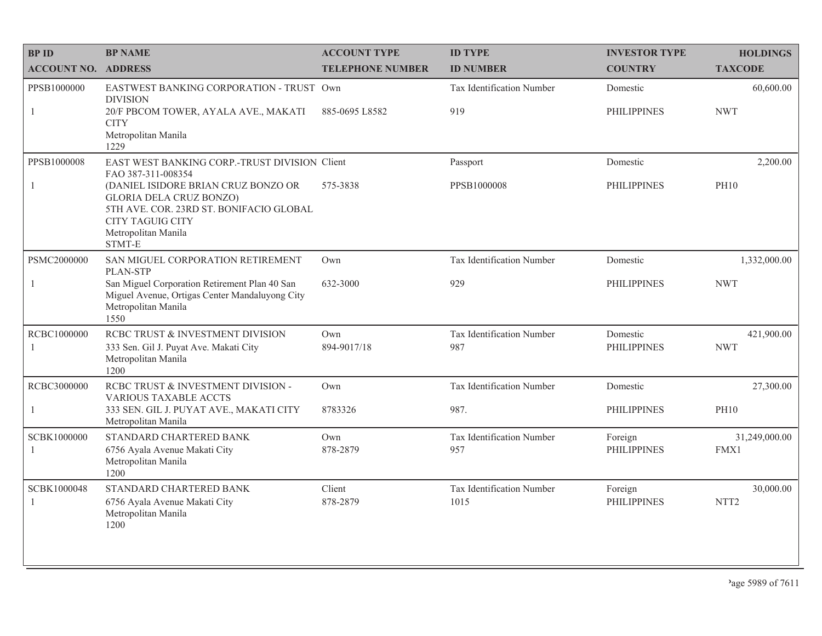| <b>BPID</b>                   | <b>BP NAME</b>                                                                                                                                                               | <b>ACCOUNT TYPE</b>     | <b>ID TYPE</b>                    | <b>INVESTOR TYPE</b>           | <b>HOLDINGS</b>               |
|-------------------------------|------------------------------------------------------------------------------------------------------------------------------------------------------------------------------|-------------------------|-----------------------------------|--------------------------------|-------------------------------|
| <b>ACCOUNT NO. ADDRESS</b>    |                                                                                                                                                                              | <b>TELEPHONE NUMBER</b> | <b>ID NUMBER</b>                  | <b>COUNTRY</b>                 | <b>TAXCODE</b>                |
| PPSB1000000                   | EASTWEST BANKING CORPORATION - TRUST Own<br><b>DIVISION</b>                                                                                                                  |                         | Tax Identification Number         | Domestic                       | 60,600.00                     |
| 1                             | 20/F PBCOM TOWER, AYALA AVE., MAKATI<br><b>CITY</b><br>Metropolitan Manila<br>1229                                                                                           | 885-0695 L8582          | 919                               | <b>PHILIPPINES</b>             | <b>NWT</b>                    |
| PPSB1000008                   | EAST WEST BANKING CORP.-TRUST DIVISION Client<br>FAO 387-311-008354                                                                                                          |                         | Passport                          | Domestic                       | 2,200.00                      |
| $\mathbf{1}$                  | (DANIEL ISIDORE BRIAN CRUZ BONZO OR<br><b>GLORIA DELA CRUZ BONZO)</b><br>5TH AVE. COR. 23RD ST. BONIFACIO GLOBAL<br><b>CITY TAGUIG CITY</b><br>Metropolitan Manila<br>STMT-E | 575-3838                | PPSB1000008                       | <b>PHILIPPINES</b>             | <b>PH10</b>                   |
| PSMC2000000                   | SAN MIGUEL CORPORATION RETIREMENT<br><b>PLAN-STP</b>                                                                                                                         | Own                     | Tax Identification Number         | Domestic                       | 1,332,000.00                  |
| $\mathbf{1}$                  | San Miguel Corporation Retirement Plan 40 San<br>Miguel Avenue, Ortigas Center Mandaluyong City<br>Metropolitan Manila<br>1550                                               | 632-3000                | 929                               | <b>PHILIPPINES</b>             | <b>NWT</b>                    |
| RCBC1000000<br>$\overline{1}$ | RCBC TRUST & INVESTMENT DIVISION<br>333 Sen. Gil J. Puyat Ave. Makati City<br>Metropolitan Manila<br>1200                                                                    | Own<br>894-9017/18      | Tax Identification Number<br>987  | Domestic<br><b>PHILIPPINES</b> | 421,900.00<br><b>NWT</b>      |
| RCBC3000000                   | RCBC TRUST & INVESTMENT DIVISION -<br><b>VARIOUS TAXABLE ACCTS</b>                                                                                                           | Own                     | Tax Identification Number         | Domestic                       | 27,300.00                     |
| $\mathbf{1}$                  | 333 SEN. GIL J. PUYAT AVE., MAKATI CITY<br>Metropolitan Manila                                                                                                               | 8783326                 | 987.                              | <b>PHILIPPINES</b>             | <b>PH10</b>                   |
| SCBK1000000<br>-1             | STANDARD CHARTERED BANK<br>6756 Ayala Avenue Makati City<br>Metropolitan Manila<br>1200                                                                                      | Own<br>878-2879         | Tax Identification Number<br>957  | Foreign<br><b>PHILIPPINES</b>  | 31,249,000.00<br>FMX1         |
| SCBK1000048<br>-1             | STANDARD CHARTERED BANK<br>6756 Ayala Avenue Makati City<br>Metropolitan Manila<br>1200                                                                                      | Client<br>878-2879      | Tax Identification Number<br>1015 | Foreign<br><b>PHILIPPINES</b>  | 30,000.00<br>NTT <sub>2</sub> |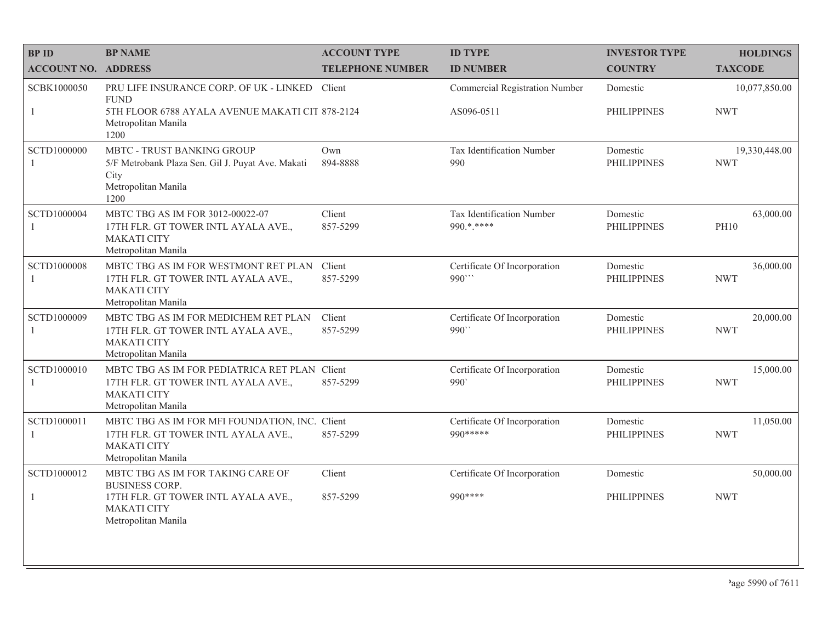| <b>BPID</b>                   | <b>BP NAME</b>                                                                                                                     | <b>ACCOUNT TYPE</b>     | <b>ID TYPE</b>                            | <b>INVESTOR TYPE</b>           | <b>HOLDINGS</b>             |
|-------------------------------|------------------------------------------------------------------------------------------------------------------------------------|-------------------------|-------------------------------------------|--------------------------------|-----------------------------|
| <b>ACCOUNT NO. ADDRESS</b>    |                                                                                                                                    | <b>TELEPHONE NUMBER</b> | <b>ID NUMBER</b>                          | <b>COUNTRY</b>                 | <b>TAXCODE</b>              |
| SCBK1000050                   | PRU LIFE INSURANCE CORP. OF UK - LINKED<br><b>FUND</b>                                                                             | Client                  | Commercial Registration Number            | Domestic                       | 10,077,850.00               |
| $\mathbf{1}$                  | 5TH FLOOR 6788 AYALA AVENUE MAKATI CIT 878-2124<br>Metropolitan Manila<br>1200                                                     |                         | AS096-0511                                | <b>PHILIPPINES</b>             | <b>NWT</b>                  |
| SCTD1000000                   | MBTC - TRUST BANKING GROUP<br>5/F Metrobank Plaza Sen. Gil J. Puyat Ave. Makati<br>City<br>Metropolitan Manila<br>1200             | Own<br>894-8888         | Tax Identification Number<br>990          | Domestic<br><b>PHILIPPINES</b> | 19,330,448.00<br><b>NWT</b> |
| SCTD1000004                   | MBTC TBG AS IM FOR 3012-00022-07<br>17TH FLR. GT TOWER INTL AYALA AVE.,<br><b>MAKATI CITY</b><br>Metropolitan Manila               | Client<br>857-5299      | Tax Identification Number<br>990.*.****   | Domestic<br><b>PHILIPPINES</b> | 63,000.00<br><b>PH10</b>    |
| <b>SCTD1000008</b><br>-1      | MBTC TBG AS IM FOR WESTMONT RET PLAN<br>17TH FLR. GT TOWER INTL AYALA AVE.,<br><b>MAKATI CITY</b><br>Metropolitan Manila           | Client<br>857-5299      | Certificate Of Incorporation<br>990       | Domestic<br><b>PHILIPPINES</b> | 36,000.00<br><b>NWT</b>     |
| SCTD1000009<br>-1             | MBTC TBG AS IM FOR MEDICHEM RET PLAN<br>17TH FLR. GT TOWER INTL AYALA AVE.,<br><b>MAKATI CITY</b><br>Metropolitan Manila           | Client<br>857-5299      | Certificate Of Incorporation<br>990"      | Domestic<br><b>PHILIPPINES</b> | 20,000.00<br><b>NWT</b>     |
| SCTD1000010<br>$\overline{1}$ | MBTC TBG AS IM FOR PEDIATRICA RET PLAN Client<br>17TH FLR. GT TOWER INTL AYALA AVE.,<br><b>MAKATI CITY</b><br>Metropolitan Manila  | 857-5299                | Certificate Of Incorporation<br>990       | Domestic<br><b>PHILIPPINES</b> | 15,000.00<br><b>NWT</b>     |
| SCTD1000011<br>-1             | MBTC TBG AS IM FOR MFI FOUNDATION, INC. Client<br>17TH FLR. GT TOWER INTL AYALA AVE.,<br><b>MAKATI CITY</b><br>Metropolitan Manila | 857-5299                | Certificate Of Incorporation<br>990 ***** | Domestic<br><b>PHILIPPINES</b> | 11,050.00<br><b>NWT</b>     |
| SCTD1000012                   | MBTC TBG AS IM FOR TAKING CARE OF<br><b>BUSINESS CORP.</b>                                                                         | Client                  | Certificate Of Incorporation              | Domestic                       | 50,000.00                   |
| -1                            | 17TH FLR. GT TOWER INTL AYALA AVE.,<br><b>MAKATI CITY</b><br>Metropolitan Manila                                                   | 857-5299                | 990 ****                                  | <b>PHILIPPINES</b>             | <b>NWT</b>                  |
|                               |                                                                                                                                    |                         |                                           |                                |                             |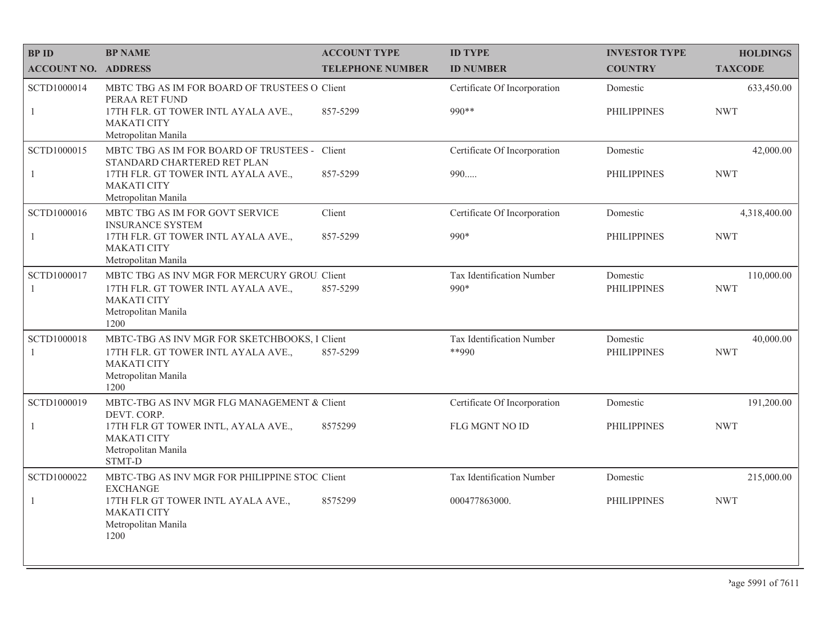| <b>BPID</b>                | <b>BP NAME</b>                                                                                                                            | <b>ACCOUNT TYPE</b>     | <b>ID TYPE</b>                       | <b>INVESTOR TYPE</b>           | <b>HOLDINGS</b>         |
|----------------------------|-------------------------------------------------------------------------------------------------------------------------------------------|-------------------------|--------------------------------------|--------------------------------|-------------------------|
| <b>ACCOUNT NO. ADDRESS</b> |                                                                                                                                           | <b>TELEPHONE NUMBER</b> | <b>ID NUMBER</b>                     | <b>COUNTRY</b>                 | <b>TAXCODE</b>          |
| SCTD1000014                | MBTC TBG AS IM FOR BOARD OF TRUSTEES O Client<br>PERAA RET FUND                                                                           |                         | Certificate Of Incorporation         | Domestic                       | 633,450.00              |
| 1                          | 17TH FLR. GT TOWER INTL AYALA AVE.,<br><b>MAKATI CITY</b><br>Metropolitan Manila                                                          | 857-5299                | 990 **                               | <b>PHILIPPINES</b>             | <b>NWT</b>              |
| SCTD1000015                | MBTC TBG AS IM FOR BOARD OF TRUSTEES - Client<br>STANDARD CHARTERED RET PLAN                                                              |                         | Certificate Of Incorporation         | Domestic                       | 42,000.00               |
| $\mathbf{1}$               | 17TH FLR. GT TOWER INTL AYALA AVE.,<br><b>MAKATI CITY</b><br>Metropolitan Manila                                                          | 857-5299                | 990                                  | <b>PHILIPPINES</b>             | <b>NWT</b>              |
| SCTD1000016                | MBTC TBG AS IM FOR GOVT SERVICE<br><b>INSURANCE SYSTEM</b>                                                                                | Client                  | Certificate Of Incorporation         | Domestic                       | 4,318,400.00            |
| $\mathbf{1}$               | 17TH FLR. GT TOWER INTL AYALA AVE.,<br><b>MAKATI CITY</b><br>Metropolitan Manila                                                          | 857-5299                | 990*                                 | PHILIPPINES                    | <b>NWT</b>              |
| SCTD1000017                | MBTC TBG AS INV MGR FOR MERCURY GROU. Client                                                                                              |                         | Tax Identification Number            | Domestic                       | 110,000.00              |
| -1                         | 17TH FLR. GT TOWER INTL AYALA AVE.,<br><b>MAKATI CITY</b><br>Metropolitan Manila<br>1200                                                  | 857-5299                | 990*                                 | <b>PHILIPPINES</b>             | <b>NWT</b>              |
| SCTD1000018<br>1           | MBTC-TBG AS INV MGR FOR SKETCHBOOKS, I Client<br>17TH FLR. GT TOWER INTL AYALA AVE.,<br><b>MAKATI CITY</b><br>Metropolitan Manila<br>1200 | 857-5299                | Tax Identification Number<br>$**990$ | Domestic<br><b>PHILIPPINES</b> | 40,000.00<br><b>NWT</b> |
| SCTD1000019                | MBTC-TBG AS INV MGR FLG MANAGEMENT & Client<br>DEVT. CORP.                                                                                |                         | Certificate Of Incorporation         | Domestic                       | 191,200.00              |
| $\mathbf{1}$               | 17TH FLR GT TOWER INTL, AYALA AVE.,<br><b>MAKATI CITY</b><br>Metropolitan Manila<br>STMT-D                                                | 8575299                 | FLG MGNT NO ID                       | <b>PHILIPPINES</b>             | <b>NWT</b>              |
| SCTD1000022                | MBTC-TBG AS INV MGR FOR PHILIPPINE STOC Client<br><b>EXCHANGE</b>                                                                         |                         | Tax Identification Number            | Domestic                       | 215,000.00              |
| $\mathbf{1}$               | 17TH FLR GT TOWER INTL AYALA AVE.,<br><b>MAKATI CITY</b><br>Metropolitan Manila<br>1200                                                   | 8575299                 | 000477863000.                        | PHILIPPINES                    | <b>NWT</b>              |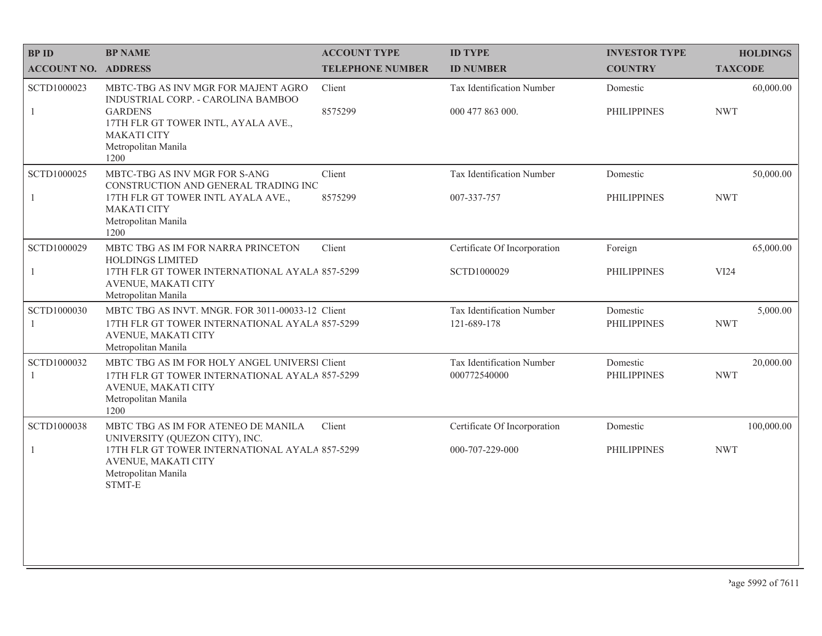| <b>BPID</b>                 | <b>BP NAME</b>                                                                                                                                        | <b>ACCOUNT TYPE</b>     | <b>ID TYPE</b>                            | <b>INVESTOR TYPE</b>           | <b>HOLDINGS</b>         |
|-----------------------------|-------------------------------------------------------------------------------------------------------------------------------------------------------|-------------------------|-------------------------------------------|--------------------------------|-------------------------|
| <b>ACCOUNT NO. ADDRESS</b>  |                                                                                                                                                       | <b>TELEPHONE NUMBER</b> | <b>ID NUMBER</b>                          | <b>COUNTRY</b>                 | <b>TAXCODE</b>          |
| SCTD1000023                 | MBTC-TBG AS INV MGR FOR MAJENT AGRO<br>INDUSTRIAL CORP. - CAROLINA BAMBOO                                                                             | Client                  | Tax Identification Number                 | Domestic                       | 60,000.00               |
| $\mathbf{1}$                | <b>GARDENS</b><br>17TH FLR GT TOWER INTL, AYALA AVE.,<br><b>MAKATI CITY</b><br>Metropolitan Manila<br>1200                                            | 8575299                 | 000 477 863 000.                          | <b>PHILIPPINES</b>             | <b>NWT</b>              |
| SCTD1000025                 | MBTC-TBG AS INV MGR FOR S-ANG<br>CONSTRUCTION AND GENERAL TRADING INC                                                                                 | Client                  | Tax Identification Number                 | Domestic                       | 50,000.00               |
| $\mathbf{1}$                | 17TH FLR GT TOWER INTL AYALA AVE.,<br><b>MAKATI CITY</b><br>Metropolitan Manila<br>1200                                                               | 8575299                 | 007-337-757                               | <b>PHILIPPINES</b>             | <b>NWT</b>              |
| SCTD1000029                 | MBTC TBG AS IM FOR NARRA PRINCETON<br><b>HOLDINGS LIMITED</b>                                                                                         | Client                  | Certificate Of Incorporation              | Foreign                        | 65,000.00               |
| $\mathbf{1}$                | 17TH FLR GT TOWER INTERNATIONAL AYALA 857-5299<br>AVENUE, MAKATI CITY<br>Metropolitan Manila                                                          |                         | SCTD1000029                               | <b>PHILIPPINES</b>             | VI24                    |
| SCTD1000030                 | MBTC TBG AS INVT. MNGR. FOR 3011-00033-12 Client<br>17TH FLR GT TOWER INTERNATIONAL AYALA 857-5299<br>AVENUE, MAKATI CITY<br>Metropolitan Manila      |                         | Tax Identification Number<br>121-689-178  | Domestic<br><b>PHILIPPINES</b> | 5,000.00<br><b>NWT</b>  |
| SCTD1000032<br>$\mathbf{1}$ | MBTC TBG AS IM FOR HOLY ANGEL UNIVERSI Client<br>17TH FLR GT TOWER INTERNATIONAL AYALA 857-5299<br>AVENUE, MAKATI CITY<br>Metropolitan Manila<br>1200 |                         | Tax Identification Number<br>000772540000 | Domestic<br><b>PHILIPPINES</b> | 20,000.00<br><b>NWT</b> |
| SCTD1000038                 | MBTC TBG AS IM FOR ATENEO DE MANILA<br>UNIVERSITY (QUEZON CITY), INC.                                                                                 | Client                  | Certificate Of Incorporation              | Domestic                       | 100,000.00              |
| 1                           | 17TH FLR GT TOWER INTERNATIONAL AYALA 857-5299<br>AVENUE, MAKATI CITY<br>Metropolitan Manila<br>STMT-E                                                |                         | 000-707-229-000                           | <b>PHILIPPINES</b>             | <b>NWT</b>              |